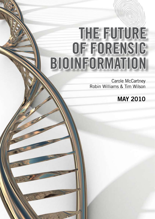# THE FUTURE OF FORENSIC BIOINFORMATION

Carole McCartney Robin Williams & Tim Wilson

# MAY 2010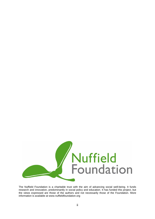

The Nuffield Foundation is a charitable trust with the aim of advancing social well-being. It funds research and innovation, predominantly in social policy and education. It has funded this project, but the views expressed are those of the authors and not necessarily those of the Foundation. More information is available at www.nuffieldfoundation.org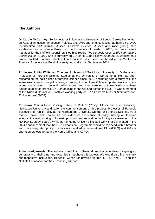## **The Authors**

**Dr Carole McCartney**: Senior lecturer in law at the University of Leeds. Carole has written on Australian justice, Innocence Projects, and DNA and criminal justice, authoring *Forensic Identification and Criminal Justice: Forensic Science, Justice and Risk* (2006). She established an Innocence Project at the University of Leeds in 2005, and was project manager for the Nuffield Council on Bioethics report '*The Forensic Uses of Bio-information: Ethical Issues'* (2007). She is currently an EU Marie Curie Fellow (2009-2012), working on a project entitled: 'Forensic Identification Frontiers', which sees her based at the Centre for Forensic Excellence at Bond University, Australia until September 2011.

**Professor Robin Williams**: Emeritus Professor of Sociology, University of Durham and Professor of Forensic Science Studies at the University of Northumbria. He has been researching the police uses of forensic science since 2000, beginning with a study of crime scene examiners in one police area, extending this to Home Office supported work on crime scene examination in several police forces, and then carrying out two Wellcome Trust funded studies of forensic DNA databasing in the UK and across the EU. He was a member of the Nuffield Council on Bioethics working party on '*The Forensic Uses of Bioinformation: Ethical Issues*' (2007).

**Professor Tim Wilson**: Visiting Fellow at PEALS (Policy, Ethics and Life Sciences), Newcastle University and, after the commencement of this project, Professor of Forensic Science and Public Policy at the Northumbria University Centre for Forensic Science. As a former Senior Civil Servant he has extensive experience of policy making on forensic science, the restructuring of forensic provision and regulation (including as a member of the NDNAD Strategy Board). While at the Home Office he initiated work that culminated in the 2004 announcement that the DNA Expansion Programme would be replaced with a broader and more integrated policy. He has also worked on international EU (AEGIS) and G8 cooperation projects for both the Home Office and ACPO.

**Acknowledgements**: The authors would like to thank all seminar attendees for giving so generously of their time and expertise throughout this project. We would also like to thank our respective institutions, Benedict Wilson for drawing figures 4.2, 4.3 and 6.1, and the Nuffield Foundation for their unstinting support.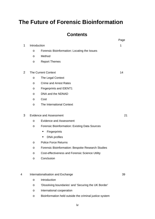# **The Future of Forensic Bioinformation**

# **Contents**

|   |                                   |                                                         | Page |
|---|-----------------------------------|---------------------------------------------------------|------|
| 1 | Introduction                      | 1                                                       |      |
|   | O                                 | Forensic Bioinformation: Locating the Issues            |      |
|   | O                                 | Method                                                  |      |
|   | $\circ$                           | <b>Report Themes</b>                                    |      |
| 2 | <b>The Current Context</b>        | 14                                                      |      |
|   | O                                 | The Legal Context                                       |      |
|   | O                                 | <b>Crime and Arrest Rates</b>                           |      |
|   | O                                 | <b>Fingerprints and IDENT1</b>                          |      |
|   | O                                 | DNA and the NDNAD                                       |      |
|   | O                                 | Cost                                                    |      |
|   | O                                 | The International Context                               |      |
| 3 | <b>Evidence and Assessment</b>    | 21                                                      |      |
|   | O                                 | <b>Evidence and Assessment</b>                          |      |
|   | $\circ$                           | <b>Forensic Bioinformation: Existing Data Sources</b>   |      |
|   |                                   | Fingerprints<br>п                                       |      |
|   |                                   | <b>DNA</b> profiles<br>٠                                |      |
|   | O                                 | <b>Police Force Returns</b>                             |      |
|   | O                                 | Forensic Bioinformation: Bespoke Research Studies       |      |
|   | O                                 | <b>Cost-effectiveness and Forensic Science Utility</b>  |      |
|   | O                                 | Conclusion                                              |      |
|   |                                   |                                                         |      |
| 4 | Internationalisation and Exchange | 39                                                      |      |
|   | $\circ$                           | Introduction                                            |      |
|   | O                                 | 'Dissolving boundaries' and 'Securing the UK Border'    |      |
|   | O                                 | International cooperation                               |      |
|   | O                                 | Bioinformation held outside the criminal justice system |      |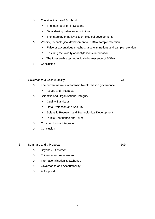- o The significance of Scotland
	- The legal position in Scotland
	- **•** Data sharing between jurisdictions
	- The interplay of policy & technological developments
- o Validity, technological development and DNA sample retention
	- **False or adventitious matches, false eliminations and sample retention**
	- **Ensuring the validity of dactyloscopic information**
	- The foreseeable technological obsolescence of SGM+
- o Conclusion

#### 5 Governance & Accountability 73

- o The current network of forensic bioinformation governance
	- Issues and Prospects
- o Scientific and Organisational Integrity
	- **Quality Standards**
	- Data Protection and Security
	- **Scientific Research and Technological Development**
	- Public Confidence and Trust
- o Criminal Justice Integration
- o Conclusion

#### 6 Summary and a Proposal 109

- o Beyond *S & Marper*
- o Evidence and Assessment
- o Internationalisation & Exchange
- o Governance and Accountability
- o A Proposal

v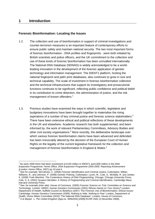#### **1 Introduction**

1

#### **Forensic Bioinformation: Locating the Issues**

- 1.2. The collection and use of bioinformation in support of criminal investigations and counter-terrorism measures is an important feature of contemporary efforts to ensure public safety and maintain national security. The two most important forms of forensic bioinformation - DNA profiles and fingerprints - were both initiated by British scientists and police officers, and the UK commitment to the collection and use of these kinds of forensic bioinformation has been unrivalled internationally. The National DNA Database (NDNAD) is widely acknowledged to be a worldleading innovation in the development of the forensic application of genetic technology and information management. The IDENT1 platform, hosting the national fingerprint and palm print databases, also continues to grow in size and technical capability. The scale of investment in forensic bioinformation collection and the technical infrastructures that support its investigatory and prosecutorial functions continues to be significant, reflecting public confidence and political belief in its contribution to crime detection, the administration of justice, and the risk management of known offenders.<sup>1</sup>
- 1.3. Previous studies have examined the ways in which scientific, legislative and budgetary innovations have been brought together to materialise the rising aspirations of a number of key criminal justice and forensic science stakeholders. $2$ There have been extensive ethical and political reflections of these developments in the UK and elsewhere. Academic research has both supplemented, and been informed by, the work of relevant Parliamentary Committees, Advisory Bodies and other civil society organisations. $3$  More recently, the deliberative landscape over which various forensic bioinformation claims have been advanced and defended has been irrevocably altered by the decision of the European Court of Human Rights on the legality of the current legislative framework for the collection and management of forensic bioinformation in England & Wales.<sup>4</sup>

 $1$  By early 2006 there had been investment of £150 million in IDENT1 and £300 million in the DNA Expansion Programme: Home Office, *DNA Expansion Programme 2000-2005: Reporting Achievement* (London: Home Office, 2007) pp 19 and 4.

See for example: McCartney, C. (2006) *Forensic Identification and Criminal Justice*, Cullompton: Willan; Williams, R., and Johnson, P. (2008) *Genetic Policing*, Cullompton: Lynch, M., Cole, S., McNally, R. and Jordan, K. (2008) *Truth Machine: The Contentious History of DNA Fingerprinting*. Chicago: Chicago University Press; Cole, S. A. (2001) *Suspect Identities: A History of Fingerprinting and Criminal Identification*. Cambridge Mass:

Harvard University Press. 3 See, for example (*inter alia*): House of Commons. (2005) *Forensic Science on Trial*. Committee on Science and Technology. London: HMSO; Human Genetics Commission (2001) *Whose Hands on Your Genes?* London: Department of Health; Nuffield Council on Bioethics (2007) '*The Forensic Use of Bioinformation: Ethical Issues'* Cambridge; Human Genetics Commission (2009) *'Nothing to Hide, Nothing to Fear'* London, Department of Health; Home Affairs Committee (2010) 'The National DNA Database'; London, House of Commons. 4 *S & Marper v. The United Kingdom* (App.no. 30562/04) [2008] ECHR 1581 (4 December 2008).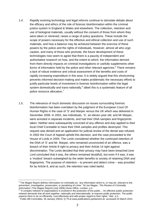- 1.4. Rapidly evolving technology and legal reforms continue to stimulate debate about the efficacy and ethics of the role of forensic bioinformation within the criminal justice system in England & Wales and elsewhere. The collection, retention and use of biological materials, usually without the consent of those from whom they were taken or retrieved, raises a range of policy questions. These include the scope of powers necessary for the effective and ethical collection and use of such materials, and how a balance may be achieved between the exercise of these powers by the police and the rights of individuals. However, almost all who urge caution, and many of those who promote, the future development of these technologies now seem to agree that there is a paucity of independent and authoritative research on how, and the extent to which, the information derived from them directly impacts on criminal investigations or usefully supplements other forms of information held by the police and other relevant agencies.<sup>5</sup> There remains a lack of robust evidence and critical assessment of the benefits and costs of rapidly increasing expenditure in this area. It is widely argued that this shortcoming prevents informed decision-making and makes problematic the necessary efforts to justify particular levels of investment in forensic bioinformation within the legal system domestically and trans-nationally,  $6$  albeit this is a systematic feature of all police resource allocation.<sup>7</sup>
- 1.5. The relevance of much domestic discussion on issues surrounding forensic bioinformation has been overtaken by the judgment of the European Court Of Human Rights in the case of 'S' and Marper versus the UK which was delivered in December 2008. In 2001, two individuals, 'S', an eleven year old, and Mr Marper, were arrested in separate incidents, and had their DNA samples and fingerprints taken. Neither were subsequently convicted of any offence and duly applied to their local Chief Constable to have their DNA samples and profiles destroyed. This request was denied and an application for judicial review of the denial was refused. In 2002 the Court of Appeal upheld this decision, and the case proceeded to the House of Lords in 2004. The Lords considered whether the continued retention of the DNA of 'S' and Mr. Marper, who remained unconvicted of an offence, was a breach of their Article 8 right to privacy and their Article 14 right against discrimination. The Lords decided that their privacy may have been breached (one Lord concluded that it was, the others remained doubtful), but even if it was, it was a 'modest' breach outweighed by the wider benefits to society of retaining DNA and fingerprints. The purpose of retention – to prevent and detect crime – was provided for by Article 8, and as such, the retention was ruled lawful.

 5 The Magee Report defines information on criminality as: 'any information which is, or may be, relevant to the prevention, investigation, prosecution, or penalising of crime." Sir Ian Magee, '*The Review of Criminality Information*' (The Magee Report) (July 2008) Home Office, London. p.4.

<sup>&</sup>lt;sup>6</sup> "A complex network of organisations is involved in the protection of the public... An effective public protection network demands that all work together, nationally and internationally, to improve public protection. The public expects them to do so efficiently, cost-effectively and with proper regard to their rights." *ibid.,* p.3.<br><sup>7</sup> Public Bill Committee, 26 January 20010, Q 79 at www.publications.parliament.uk accessed 24 March 2010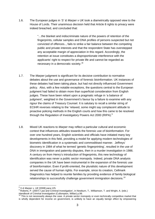1.6. The European judges in *'S' & Marper v UK* took a diametrically opposed view to the House of Lords. Their unanimous decision held that Article 8 rights to privacy were indeed breached, and concluded that:

> "…the blanket and indiscriminate nature of the powers of retention of the fingerprints, cellular samples and DNA profiles of persons suspected but not convicted of offences.., fails to strike a fair balance between the competing public and private interests and that the respondent State has overstepped any acceptable margin of appreciation in this regard. Accordingly, the retention at issue constitutes a disproportionate interference with the applicants' right to respect for private life and cannot be regarded as necessary in a democratic society."8

- 1.7. The *Marper* judgment is significant for its decisive contribution to normative debates about the use and governance of forensic bioinformation. UK instances of these debates had been taking place, but had not directly influenced Government policy. Also, with a few notable exceptions, the questions central to the European judgment had failed to obtain more than superficial consideration from English judges. These have been reliant upon a pragmatic refuge in 'a balance of judgment', weighted in the Government's favour by a failure to examine with any rigour the claims of Treasury Counsel. It is salutary to recall a similar string of ECtHR reverses relating to the 'relaxed, some might say complacent attitude to proactive policing methods in the English courts and how this came to be resolved through the Regulation of Investigatory Powers Act 2000 (RIPA). $^9$
- 1.8. Mixed UK reactions to *Marper* may reflect a particular cultural and economic context that influences attitudes towards the forensic use of bioinformation. For over one hundred years, English scientists and officials have initiated many key developments in this field, providing a model for applying modern technologies of biometric identification in a systematic and commoditised manner. Jeffreys' discovery in 1984 of what he termed 'genetic fingerprinting', resulted in the use of DNA in immigration and paternity disputes, then in a murder investigation in 1986. A century on from Henry's introduction of fingerprints, this new technology of identification was never a public sector monopoly. Indeed, private DNA analysis companies in the UK have been instrumental in the expansion of the forensic use of bioinformation. Even if profit-oriented, the pluralistic nature of this development served the cause of human rights. For example, since its creation, Cellmark Diagnostics has helped to reunite families by providing evidence of family biological relationships to successfully challenge government immigration decisions.<sup>10</sup>

<sup>1</sup> 

<sup>&</sup>lt;sup>8</sup> S & Marper v. UK [2008] para.125.<br>
<sup>9</sup> Roberts, P. (2007) 'Law and Criminal Investigation', in Newb<br> *Handbook of Criminal Investigation* (Cullompton, Willan) p.99.<br>
<sup>10</sup> This is not sear. <sup>9</sup> Roberts, P. (2007) 'Law and Criminal Investigation', in Newburn, T., Williamson, T. and Wright, A. (eds.)

This is not necessarily always the case. A private sector monopoly or even technically competitive market that is wholly dependent for income on government, is unlikely to have an equally benign effect by empowering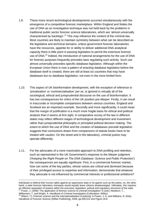- 1.9. These more recent technological developments occurred simultaneously with the emergence of a competitive forensic marketplace. Within England and Wales the use of DNA as an investigative technique was not held back by the problems in traditional public sector forensic science laboratories, which are 'almost universally characterised by backlogs'.<sup>11</sup> This may influence the content of the criminal law. Most countries are likely to maintain symmetry between what can be described as the legislative and technical domains: unless government forensic laboratories have the resources, appetite for or ability to deliver additional DNA analytical capacity there is little point in passing legislation to permit the extensive forensic use of DNA.<sup>12</sup> Indeed, the introduction of national arrangements for the use of DNA for forensic purposes frequently precedes laws regulating such activity. Such use almost universally precedes specific database legislation. Although within the European Union there is now a pattern of enacting database legislation before the database itself is created, there are still at least six countries that may have databases but no database legislation, not even in the more limited form.
- 1.10. This aspect of UK bioinformation development, with the exception of reference to 'privatisation' or 'commercialisation' *per se*, is ignored in virtually all of the sociological, ethical and jurisprudential discourse on the use of bioinformation. It has two consequences for critics of the UK position pre-*Marper*. Firstly, it can result in inaccurate or incomplete comparisons between various countries. England and Scotland are an important example. Secondly and more significantly, it could mean that the margin of justification is a much more fragile basis for ethical and political analysis than it seems at first sight. A comparative survey of the law in different states may reflect different stages of technological development and investment rather than jurisprudential philosophy or principled political decision making. The extent to which the use of DNA and the creation of databases precede legislation suggests that conclusions drawn from comparisons of statute books have to be treated with caution. On the street and in the laboratory, criminal justice may operate differently.
- 1.11. For the advocates of a more maximalist approach to DNA profiling and retention, such as represented in the UK Government's response to the *Marper* judgment ('*Keeping the Right People on The DNA Database: Science and Public Protection'*) the consequences are equally significant. First, in a commercial forensic market, how can some of the key parties, whose voices are critical and dominant because of their privileged access to expertise and information, demonstrate that whatever they advocate is not influenced by commercial interests or professional ambitions?

individuals to defend their human rights against an oppressive state or its agents such as the police, on, the other hand, a state forensic laboratory monopoly would equally leave citizens disadvantaged. Ultimately, this requires an effective separation of powers within the executive, legislative, judicial and regulatory structures of the state.<br><sup>11</sup> Fraser, J. (2006) 'The application of forensic science to criminal investigation' in (eds.) Newburn

Williamson, T. and Wright, A. *Handbook of Criminal Investigation* (Cullompton: Willan)<br><sup>12</sup> Wilson, TJ, Forensic science and the internationalisation of policing' in Fraser, J. G. and Williams, R. (Eds) *Handbook of Forensic Science* (Willan Publishing), 2009, pp.509-512 and Figure 18.9.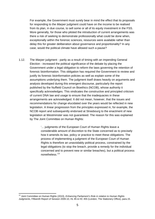For example, the Government must surely bear in mind the effect that its proposals for responding to the *Marper* judgment could have on the income to be realised from its plan, in due course, to sell some or all of its equity investment in the FSS. More generally, for those who piloted the introduction of current arrangements was there a risk of seeking to demonstrate professionally what could be done when, exceptionally within the forensic sciences, resources were available rather than delay this for greater deliberation about governance and proportionality? In any case, would the political climate have allowed such a pause?

1.12. The *Marper* judgment - partly as a result of timing with an impending General Election - increased the political significance of the debate by placing the Government under a legal obligation to reform the laws governing the retention of forensic bioinformation. This obligation has required the Government to review and justify its forensic bioinformation policies as well as explain some of the assumptions underlying them. The judgment itself draws heavily on arguments and analysis developed during this emergent discourse, particularly the report published by the Nuffield Council on Bioethics (NCOB), whose authority it specifically acknowledges. This vindicates the constructive and principled criticism of current DNA law and usage to ensure that the inadequacies in these arrangements are acknowledged. It did not mean, however, that the issues and recommendations for change elucidated over the years would be reflected in new legislation. A linear progression from the principles expressed in, for example, the NCOB report and subsequently endorsed at Strasbourg to the enactment of new legislation at Westminster was not guaranteed. The reason for this was explained by The Joint Committee on Human Rights:

> '... judgments of the European Court of Human Rights leave a considerable amount of discretion to the State concerned as to precisely how it amends its law, policy or practice to meet these obligations. The process of implementing a judgment of the European Court of Human Rights is therefore an unavoidably political process, constrained by the legal obligations (to stop the breach, provide a remedy for the individual concerned and to prevent new or similar breaches), but a political process nonetheless.'13

<sup>1</sup> 13 Joint Committee on Human Rights (2010), *Enhancing Parliament's Role in relation to Human Rights Judgments,* Fifteenth Report of Session 2009-10, HL 85 & HC 455 (London, The Stationery Office), para.15.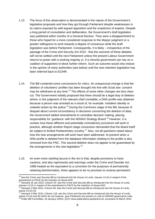- 1.13. The force of this observation is demonstrated in the nature of the Government's legislative proposals and how they got through Parliament despite weaknesses in its claims exposed by well argued opposition and the scepticism of experts. Despite a long period of consultation and deliberation, the Government's draft legislation was published within months of a General Election. They were a disappointment to those who hoped for a more considered response to the *Marper* judgment or a greater willingness to work towards a degree of consensus while the draft legislation was before Parliament. Consequently, it is likely – irrespective of the passage of the Crime and Security Act 2010 - that the outcome of these debates will not be settled until the next Parliament unless the present Labour Government returns to power with a working majority or, if a minority government can rely on a coalition of supporters to block further reform. Such an outcome would only endure in the opinion of many authorities (see below) until the new retention legislation has been referred back to ECtHR.
- 1.14. The Bill contained some concessions for critics. An unequivocal change is that the deletion of volunteers' profiles has been brought into line with Scots law: consent may be withdrawn at any time.<sup>14</sup> The effects of some other changes are less clearcut. The Government initially proposed that there should be a legal duty of deletion where, in the judgment of the relevant chief constable, a DNA profile was obtained because a person was arrested as a result of, for example, mistaken identity or unlawful action by the police.<sup>15</sup> During the Commons stage of the Bill, because of disquiet about current inconsistency in decisions concerning the deletion of data, the Government tabled amendments to centralise decision making, placing responsibility for 'guidance' with the NDNAD Strategy Board.<sup>16</sup> However, it is unclear how these different and potentially contradictory provisions will work in practice, although another Report stage concession demanded that the Board itself be subject to limited Parliamentary scrutiny.<sup>17</sup> Also, not all questions raised about how the new arrangements will work have been addressed. At present when a DNA profile is deleted from the database information relating to the profile is also removed from the PNC. This second deletion does not appear to be guaranteed by the arrangements in the new legislation.<sup>18</sup>
- 1.15. An even more startling lacuna in the Act is that, despite provisions to have cautions, and also reprimands and warnings under the Crime and Disorder Act 1998 treated as the equivalent to a conviction for the purposes of permanently retaining bioinformation, there appears to be no provision to reverse permanent

1

 $14$  See the Crime and Security Bill as introduced into the House of Lords, clauses 14 (2) in respect of the amendment to PACE by the insertion of clause 64ZL

<sup>15</sup> Hansard 18 Jan 2010, Column 34: See the Crime and Security Bill as introduced into the House of Lords, clauses 14 (2) in respect of the amendment to PACE by the insertion of clause 64ZI.

 $16$  Hansard, 8 Mar 2010, Column 65: See the Crime and Security Bill as introduced into the House of Lords, clause 23 (2)-(3).

Hansard, 8 Mar 2010, Column 118: see the Crime and Security Bill as introduced into the House of Lords,

clause 23 (4) and (6) which do not however, give Parliament any powers to vote on NDNAD governance rules. <sup>18</sup> Public Bill Committee, 26 January 20010, Q137 www.publications.parliament.uk, accessed 24 March 2010.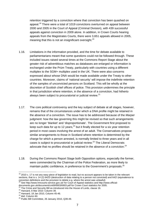retention triggered by a conviction where that conviction has been quashed on appeal.<sup>19</sup> There were a total of 1019 convictions overturned on appeal between 2000 and 2005 in the Court of Appeal (Criminal Division), with 439 successful appeals against conviction in 2009 alone. In addition, in Crown Courts hearing appeals from the Magistrates Courts, there were 3,651 appeals allowed in 2005, meaning that this is not an insignificant oversight. $20$ 

- 1.16. Limitations in the information provided, and the time for debate available to parliamentarians meant that some questions could not be followed through. These included issues raised several times at the Commons Report Stage about the greater risk of adventitious matches as databases are enlarged or information is exchanged under the Prüm Treaty, particularly with countries using a different multiplex to the SGM+ multiplex used in the UK. There were also concerns expressed about whose DNA would be made available under the Treaty to other countries. Moreover, claims of 'national security' will impose the indefinite retention of the samples of unconvicted persons on Scotland. This will be wholly at the discretion of Scottish chief offices of police. This provision undermines the principle in that jurisdiction where retention, in the absence of a conviction, had hitherto always been subject to procuratorial or judicial review. $21$
- 1.17. The core political controversy and the key subject of debate at all stages, however, remains that of the circumstances under which a DNA profile might be retained in the absence of a conviction. The issue has to be addressed because of the *Marper* judgment: how the law governing this might be revised so that such arrangements are no longer 'blanket' and 'disproportionate'. The Government first proposed to keep such data for up to 12 years, $^{22}$  but it finally elected for a six year retention period in most cases involving the arrest of an adult. The Conservatives propose similar arrangements to those in Scotland where retention is determined by the charge for which a person arrested, is normally limited to three years and in all cases is subject to procuratorial or judicial review.<sup>23</sup> The Liberal Democrats advocate that no profiles should be retained in the absence of a conviction.<sup>24</sup>
- 1.18. During the Commons Report Stage both Opposition options, especially the former, were commended by the Chairman of the Police Federation, as more likely to maintain public confidence, in preference to the Government's proposals.<sup>25</sup>

1

 $19$  2010 c. 17 is not any easy piece of legislation to read, but no account appears to be taken in the relevant sections, that is s. 14 (2) 64ZD (destruction of data relating to a person not convicted) and 64ZI (equivalence to conviction definitions and the provision to delete e.g. where the arrest was unlawful)<br><sup>20</sup> See http://www.hmcourts-service.gov.uk/ for Court of Appeal statistics and http://www.official-

documents.gov.uk/document/cm69/6903/6903.pdf for Crown Court statistics for 2005.<br>
<sup>21</sup> The Crime and Security Bill as introduced into the House of Lords, clause 16.<br>
<sup>22</sup> Hansard, 8 Mar 2010: Column 39.<br>
<sup>23</sup> Hansard, 18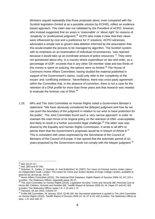Ministers argued repeatedly that those proposals alone, even compared with the Scottish legislation (hinted at as a possible solution by ECtHR), reflect an evidence based approach. This claim was not validated by the President of ACPO, however, who instead suggested that six years is 'reasonable' or 'about right' for reasons of 'simplicity' or 'professional judgment.<sup>26</sup> ACPO also made it clear that their views were influenced by cost and a preference for IT solutions. ACPO witnesses advocated a simple rule to govern data deletion informed by the assumption that this would enable the process to be managed by algorithm. The Scottish system, with its emphasis on an examination of individual circumstances, 'was rejected because it would take up an inordinate amount of police resources'.<sup>27</sup> They were not questioned about why, in a country where expenditure on law and order, as a percentage of GDP, exceeds that in any other G8 member state and two-thirds of this money is spent on policing, the options were so limited.<sup>28</sup> The House of Commons Home Affairs Committee, having studied the material published in support of the Government's claims, could only refer to the 'complexity of the issues' and 'conflicting evidence'. Nevertheless, there was cross-party agreement within the Committee that, in the absence of conviction, there is not a case for the retention of a DNA profile for more than three years and that research was needed to evaluate the forensic use of DNA.<sup>29</sup>

1.19. MPs and The Joint Committee on Human Rights noted a Government Minister's statement: "We have obviously considered the [*Marper*] judgment and how far we can push the boundary of the judgment in relation to our wish to have protection for the public". The Joint Committee found such a 'very narrow approach' in order 'to maintain the main thrust of its original policy on the retention of DNA' unacceptable, and likely to result in a further successful legal challenge.<sup>30</sup> The latter view was shared by the Equality and Human Rights Commission. It wrote to all MPs to advise them that the Government's proposals would be in breach of Article  $8^{31}$ This is consistent with views expressed by the Secretariat of the Council of Ministers of the Council of Europe. It has opined that the automatic period of six years proposed by the Government would not comply with the *Marper* judgment.<sup>32</sup>

<sup>&</sup>lt;sup>26</sup> ibid. Q112-117.

<sup>26</sup> *ibid*, Q112-117. <sup>27</sup> *ibid*, Q93 and 97-100. 28 Soloman, E., Eades, C.,Garside, R. And Rutherford, M. (2007) *Ten Years of Criminal Justice Under Labour: An Independent Audit*, London: The centre for Crime and Justice Studies at Kings College London, available at www.kcl.ac.uk/ccjs pp. 18-23

<sup>29</sup> Home Affairs Committee (2010), *The National DNA Database*, Eighth Report of Session 2009–10, HC 222-1 (London, The Stationery Office), especially paras 35-37.<br><sup>30</sup> The Joint Committee on Human Rights (2010), *Legislative Scrutiny: Crime and Security Bill; Personal Care at* 

*Home Bill; Children, Schools and Families Bill, Twelfth Report of Session 2009-10, HL Paper 67 and HC 402*<br>(London, The Stationery Office), paras 1.8 -1.10 and 1.72.

 $31$  Hansard, 18 Jan 2010, Column 37.<br> $32$  Public Bill Committee, 26 January 2010, Q149-150; the Secretariat statement is quoted in The Joint Committee on Human Rights (2010), *Twelfth Report of Session 2009-10*, HL 67 & HC 402 (London, The Stationery Office) at para. 1.47 and note 47.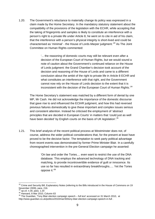1.20. The Government's reluctance to materially change its policy was expressed in a claim made by the Home Secretary. In the mandatory statutory statement about the compatibility of the provisions of the legislation with the ECHR, while accepting that the taking of fingerprints and samples is likely to constitute an interference with a person's right to a private life under Article 8, he went on to cite in aid of his claim, that the interference with a person's physical integrity is short-lived and could be characterised as 'minimal' - the House of Lords *Marper* judgment.'33 As The Joint Committee on Human Rights commented:

> '... the reasoning of domestic courts may still be relevant even after a decision of the European Court of Human Rights, but we would sound a note of caution about the Government's continued reliance on the House of Lords judgment: the Grand Chamber's decision took account of the decision and reasoning of the House of Lords and came to a different conclusion about the ambit of the right to private life in Article 8 ECHR and what constitutes an interference with that right, and the Government cannot now rely on the House of Lords decision to the extent that it is inconsistent with the decision of the European Court of Human Rights.<sup>34</sup>

The Home Secretary's statement was matched by a different form of denial by one MP, Mr Cash. He did not acknowledge the importance of the domestic discourse that gave rise to and influenced the ECtHR judgment, and how this had reversed previous failures domestically to give these important and complex issues serious and consistent attention. Instead he criticised the employment of 'abstract principles that are decided in European Courts' in matters that 'could just as well have been decided' by English courts on the basis of UK legislation'.<sup>35</sup>

1.21. This brief analysis of the recent political process at Westminster does not, of course, address the wider political considerations that, for the present at least have proved to be the decisive factor. The temptation to seek party political advantage from recent events was demonstrated by former Prime Minister Blair. In a carefully choreographed intervention in the pre-General Election campaign he asserted:

> 'On law and order the Tories.... even want to restrict the use of the DNA database. This employs the advanced technology of DNA tracking and matching, to provide incontrovertible evidence of guilt or innocence. Its use so far has resulted in extraordinary breakthroughs..... Yet the Tories oppose it.'<sup>36</sup>

 $\overline{a}$  $33$  Crime and Security Bill, Explanatory Notes (referring to the Bills introduced in the House of Commons on 19 November 2009), para. 216.<br><sup>34</sup> op.cit. n.30, para. 1.20

<sup>34</sup> *op.cit.* n.30, para. 1.20 35 Hansard, 8 Mar 2010, Column 63 36 The Guardian, 'Tony Blair election campaign speech – full text' accessed on 31 March 2010, at http://www.guardian.co.uk/politics/2010/mar/30/tony-blair-election-campaign-speech-in-full .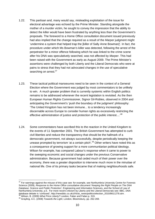- 1.22. This partisan and, many would say, misleading exploitation of the issue for electoral advantage was echoed by the Prime Minister. Standing alongside the mother of a murder victim, he sought to convey the impression that the ability to detect the killer would have been frustrated by anything less than the Government's proposals. The foreword to a Home Office consultation document issued previously had also implied that the change required as a result of the *Marper* judgment might 'undermine a system that helped trap the [killer of Sally Anne Bowman]'. In fact, the procedure under which Ms Bowman's killer was detected, following the arrest of the perpetrator for a minor offence following which he was linked to the crime scene after his DNA was speculatively searched, was not affected by *Marper*. This had been raised with the Government as early as August 2009. The Prime Minister's assertions were challenged by both Liberty and the Liberal Democrats who were at pains to stress that they had not advocated changes in the use of speculative searching on arrest.<sup>37</sup>
- 1.23. These tactical political manoeuvres need to be seen in the context of a General Election where the Government was judged by most commentators to be unlikely to win. A much greater problem that is currently systemic within English politics remains to be addressed whenever the recent legislation is revisited. As the then European Human Rights Commissioner, Signor Gil-Robles, observed in 2004 and anticipating the Government's 'push the boundary of the judgment' philosophy: 'The United Kingdom has not been immune... to a tendency increasingly discernable across Europe to consider human rights as excessively restricting the effective administration of justice and protection of the public interest....<sup>38</sup>
- 1.24. Some commentators have ascribed this to the reaction in the United Kingdom to the events of 11 September 2001. The British Government has attempted to curb civil liberties and reduce the transparency that should be the hallmark of a democratic government, not always successfully, despite periodically keeping the unease prompted by terrorism 'at a certain pitch'.<sup>39</sup> Other writers have noted this as a consequence of growing support for a more communitarian political ideology. Wilson for example, has compared Labour's response when it came to power to the sweeping economic and social changes under the previous Conservative administration. Because government had ceded much of their power over the economy, there was a greater disposition to intervene much more in the minutiae of national life. One of its primary tasks became that of making neighbourhoods safe.

1

 $37$  For warnings against the misuse of this case see: for example, see Northumbria University Centre for Forensic Science (2009), *Response to the Home Office consultative document 'Keeping the Right People on The DNA Database: Science and Public Protection'*, Engineering and Information Sciences, and the School of Law of Northumbria University, p.5. For more recent criticism by Liberty and the Liberal Democrats see: BBC, DNA database debate is 'confused', http://newsbbc.co.uk/z/hi/uk\_news/politics/election\_2010/8611278.stm .<br><sup>38</sup> Wilson, B. (2009) What Price Liberty? London, Faber and Faber,p. 319.<br><sup>39</sup> Grayling, A.C. (2008) Towards the Light,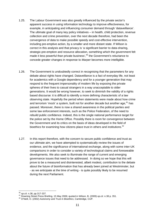- 1.25. The Labour Government was also greatly influenced by the private sector's apparent success in using information technology to improve effectiveness, for example, in anticipating and influencing consumer demand through 'dataveillance'. The ultimate goal of many key policy initiatives – in health, child protection, revenue collection and crime prevention, over the next decade therefore, had been the convergence of data to make possible speedy and cost-effective intervention, including pre-emptive action, by a smaller and more distant state. If Wilson is correct in this analysis and that privacy is 'a significant barrier to data-sharing, strategic-pre-emption and resource allocation, something which the government felt made it less powerful than private business', $40$  the Government's reluctance to concede greater changes in response to *Marper* becomes more intelligible.
- 1.26. The Government is undoubtedly correct in recognising that the parameters for any debate about rights have changed. Dataveillance is a fact of everyday life, not least for academics with a Google dependency and for a younger generation that may respond to the frequent impersonality of modern life by exposing the private spheres of their lives to casual strangers in a way unacceptable to older generations. It would be wrong however, to seek to diminish the validity of a rights based discourse: it is difficult to identify a more defining characteristic of a law observing state. Hopefully the period when statements were made about how crime and terrorism 'mock' a system, built not for another decade but another age,  $41$  has passed. Moreover, there is now a shared awareness in the political parties and some law enforcement interests, such as the Police Federation, of the need to rebuild public confidence. Indeed, this is the single national performance target for the police set by the Home Office. Possibly there is room for convergence between the Government and its critics on the basis of ideas developed in the field of bioethics for examining how citizens place trust in others and institutions. $42$
- 1.27. In this report therefore, with the concern to secure public confidence and trust as our ultimate aim, we have attempted to systematically review the issues of evidence, and the significance of international exchange, along with some inter-UK comparisons in order to consider a variety of technological claims and foreseeable developments. We also seek to illuminate the range of current and emerging governance issues that need to be addressed. In doing so we hope that this will prove to be a measured and disinterested, albeit modest, contribution to the debate about the future of bioinformation that has already been joined at Westminster, but - as we anticipate at the time of writing - is quite possibly likely to be resumed during the next Parliament.

<sup>1</sup> 

<sup>&</sup>lt;sup>40</sup> *op.cit.* n.38, pp.317-337.<br><sup>41</sup> Downing Street Press Briefing, 15 May 2006; quoted in Wilson, B. (2009) *op.cit.* n.38 p. 351.<br><sup>42</sup> O'Neill, O. (2002) *Autonomy and Trust in Bioethics*, Cambridge, CUP.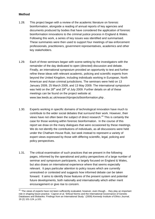#### **Method**

- 1.28. This project began with a review of the academic literature on forensic bioinformation, alongside a reading of annual reports of key agencies and documents produced by bodies that have considered the application of forensic bioinformation innovations to the criminal justice process in England & Wales. Following this work, a series of key issues was identified and summarised. These summaries were then used to support four meetings of law enforcement professionals, practitioners, government representatives, academics and other key stakeholders.
- 1.29. Each of three seminars began with scene-setting by the investigators with the remainder of the day dedicated to open (directed) discussion and debate. Finally, an international symposium provided an opportunity to test and further refine these ideas with relevant academic, policing and scientific experts from beyond the United Kingdom, including individuals working in European, North American and Asian criminal jurisdictions. The seminars were held on 13 January 2009, 25 March 2009, and 13 May 2009. The international symposium was held on the  $28<sup>th</sup>$  and  $29<sup>th</sup>$  of July 2009. Further details on all of these meetings can be found on the project website at: www.law.leeds.ac.uk/research/projects/bioinformation.php .
- 1.30. Experts working in specific domains of technological innovation have much to contribute to the wider social debates that surround their work. However, their views have not often been the subject of direct research. $43$  This is certainly the case for those working within forensic bioinformation. In the course of this report we draw on the many dialogues that were occasioned by these meetings. We do not identify the contributions of individuals, as all discussions were held under the Chatham House Rule, but seek instead to represent a variety of expert views expressed by those with differing scientific, legal, policing and policy perspectives.
- 1.31. The critical examination of such practices that we present in the following pages, informed by the operational and policy perspectives of a large number of seminar and symposium participants, is largely focused on England & Wales, but also draws on international experience where that seems especially relevant. It pays particular attention to policy issues which are currently unresolved or contested and suggests how informed debate can be taken forward. It aims to identify those features of the present system and potential future developments, both nationally and internationally which either merit encouragement or give rise to concern.

<sup>1</sup>  $43$  'The views of experts have not been sufficiently evaluated, however, even though... they play an important role in shaping future practice.' Capron *et al*, 'Ethical Norms and the International Governance of Genetic Databases and Biobanks: Findings from an International Study.' (2009) *Kennedy Institute of Ethics Journal*, 19 (2) 101-124, p.101.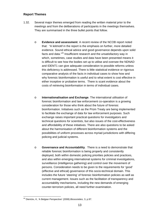#### **Report Themes**

- 1.32. Several major themes emerged from reading the written material prior to the meetings and from the deliberations of participants in the meetings themselves. They are summarised in the three bullet points that follow.
	- o **Evidence and assessment**. A recent review of the NCOB report noted that: "A leitmotif in the report is the emphasis on further, more detailed evidence. Sound ethical advice and good governance depends upon solid facts and data."<sup>44</sup> Insufficient research and the unsatisfactory way in which, sometimes, case studies and data have been presented means it is difficult to see how the bodies set up to utilise and oversee the NDNAD and IDENT1 can give adequate consideration to possible reforms unless this deficiency is addressed. There is little statistical evidence or rigorous comparative analysis of the facts in individual cases to show how and why forensic bioinformation is useful and to what extent is cost effective in either inceptive or probative terms. There is scant evidence about the costs of retrieving bioinformation in terms of individual cases.
	- o **Internationalisation and Exchange**. The international utilisation of forensic bioinformation and law enforcement co-operation is a growing consideration for those who think about the future of forensic bioinformation. Initiatives such as the Prüm Treaty are being implemented to facilitate the exchange of data for law enforcement purposes. Such exchange raises important practical questions for investigators and technical questions for scientists, but also issues of the cost-effectiveness and affordability of these initiatives. There are also questions to be asked about the harmonisation of different bioinformation systems and the possibilities of uniform processes across myriad jurisdictions with differing policing and judicial systems.
	- o **Governance and Accountability**. There is a need to demonstrate that reliable forensic bioinformation is being properly and consistently deployed, both within domestic policing priorities policies and practices, and also within emerging international systems for criminal investigations, surveillance (intelligence gathering) and control over the movement of persons. Consideration needs to be given to the requirements for 'good' (effective and ethical) governance of this socio-technical domain. This includes the future 'steering' of forensic bioinformation policies as well as current management. Issues such as the facilitation of transparency and accountability mechanisms, including the new demands of emerging counter-terrorism policies, all need further examination.

 $\overline{a}$ 44 Dierickx, K, 'A Belgian Perspective' (2008) *Biosocieties*, 3, p.97.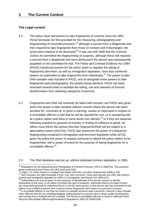#### **The Legal context**

- 2.1. The police have had powers to take fingerprints of convicts since the 1891 Penal Servitude Act first provided for the measuring, photographing and fingerprinting of convicted prisoners, $45$  although a warrant from a Magistrate was then required to take fingerprints from those on remand and if discharged, the prints were required to be destroved.<sup>46</sup> It was not until 1948 that the Criminal Justice Act permitted the fingerprinting of suspects, although these still required a warrant from a Magistrate and were destroyed if the person was subsequently acquitted or not committed for trial. The Police and Criminal Evidence Act 1984 (PACE) introduced powers for the police alone to regulate the taking of fingerprints (terrorism, as well as immigration legislation, have also conferred powers on authorities to take fingerprints from individuals). $47$  The power to take DNA samples was included in PACE, and sit alongside those powers to take fingerprints (and photographs), the powers being identical. PACE has been amended several times to facilitate the taking, use and retention of forensic bioinformation from widening categories of persons.
- 2.2. Fingerprints and DNA will ordinarily be taken with consent, but PACE also gives police the power to take samples without consent where the person has been arrested for, convicted of, or given a warning, caution or reprimand in respect of a recordable offence or told that he will be reported for one, or is answering bail at a police station and there is some doubt over identity, $48$  or if they are detained following acquittal on grounds of insanity or finding of unfitness to plead. An officer must inform the person that their fingerprints/DNA will be subject to a speculative search (s61(7a)). PACE also preserves the power of compulsory fingerprinting contained in immigration and terrorism legislation while s27(3) gives the police the power to request someone to attend the police station to be fingerprinted, with a power of arrest for the purpose of taking fingerprints for a recordable offence.<sup>49</sup>

2.3. The DNA database was set up, without dedicated primary legislation, in 1995.

<sup>1</sup>  $^{45}$  Regulations for the Measuring and Photography of Criminal Prisoners, SR & O 1896/762. This provision being continued by the Prison Act 1952 ss16 and 54(3).<br><sup>46</sup> Leigh, L.H. *Police Powers in England and Wales (2nd edn.) (London, Butterworths, 1985) p.228.* 

<sup>47</sup> See Terrorism Act 2000 Schedule 8 Part I s10; Anti-Terrorism, Crime and Security Act 2001 s89 (ss201); Asylum and Immigration Appeals Act 1993 s.3; Immigration and Asylum Act 1999 s141.<br><sup>48</sup> Authorisation can only be given for the purposes of identification if the person refuses to identify

themselves or the court, or an officer of at least the rank of inspector, authorises them to be taken if there are reasonable grounds for believing that he is not the same person; or the person who has answered to bail claims to be a different person from a person whose fingerprints were taken on a previous occasion.<br><sup>49</sup> A recordable offence is one that can attract a custodial sentence upon conviction, however it also includes

other offences that do not, including begging, selling alcohol to a person who is drunk, public drunkenness, and running onto a football pitch for example. The full list of recordable offences is found in National Police Records (Recordable Offences)(Amendment) Regulations 2005 (SI 2005/3106).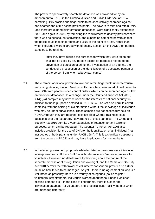The power to speculatively search the database was provided for by an amendment to PACE in the Criminal Justice and Public Order Act of 1994, permitting DNA profiles and fingerprints to be speculatively searched against one another and crime scene profiles/prints. The powers to take and retain DNA (and therefore expand bioinformation databases) were significantly extended in 2001, and again in 2003, by removing the requirement to destroy profiles where there was no subsequent conviction, and expanding sampling powers so that the police could take fingerprints and DNA at the point of arrest, rather than when individuals were charged with offences. Section 64 of PACE then permits samples to be retained:

> "after they have fulfilled the purposes for which they were taken but shall not be used by any person except for purposes related to the prevention or detection of crime, the investigation of an offence, the conduct of a prosecution or the identification of a deceased person or of the person from whom a body part came."

- 2.4. There remain additional powers to take and retain fingerprints under terrorism and immigration legislation. Most recently there has been an additional power to take DNA from people under 'control orders' which can be searched against law enforcement databases. In a change under the Counter-Terrorism Act 2008, s.14(5)(a) samples may now be used "in the interests of national security" in addition to those purposes detailed in PACE s.64. The Act also permits covert sampling, with the seizing of bioinformation without the knowledge of individuals who may be under surveillance. These samples are not necessarily held on NDNAD though they are retained, (it is not clear where), raising serious questions over the (separate?) governance of these samples. The Crime and Security Act 2010 permits 2 year extensions of retention for anti-terrorism purposes, which can be repeated. The Counter-Terrorism Act 2008 also includes provision for the use of DNA for the identification of an individual (not just bodies or body parts as under PACE 1984). This is a significant departure from the powers in PACE, and may have implications for human rights.
- 2.5. In the latest government proposals (detailed later) measures were introduced to keep volunteers off the NDNAD – with reference to a 'separate process' for volunteers. However, no details were forthcoming about the nature of the separate process or of its regulation and oversight, and the Crime and Security Act 2010 permits the withdrawal of volunteers' consent but provides no further detail on how this is to be managed. As yet – there is no agreement on who is a 'volunteer' as presently there are a variety of categories (police register volunteers; sex offenders; individuals worried about honour-based violence; missing persons etc.). In the case of fingerprints, there is a separate 'elimination database' for volunteers and a 'special case' facility, both of which are managed differently.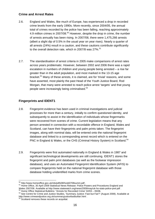#### **Crime and Arrest Rates**

- 2.6. England and Wales, like much of Europe, has experienced a drop in recorded crime levels from the early 1990s. More recently, since 2004/05, the annual total of crimes recorded by the police has been falling, reaching approximately 4.9 million crimes in 2007/08.<sup>50</sup> However, despite the drop in crime, the number of arrests annually has been rising. In 2007/08, there were 1,475,266 arrests (albeit a slight dip of 0.5% in the usual year on year rises). Nearly a quarter of all arrests (24%) result in a caution, and these cautions contribute significantly to the overall detection rate, which in 2007/8 was  $27\%$ .<sup>51</sup>
- 2.7. The standardisation of arrest criteria in 2005 make comparisons of arrest rates across years problematic. However, between 2002 and 2006 there was a rapid escalation in numbers of children and young people being arrested – a rise far greater than in the adult population, and most marked in the 13-15 age bracket.52 Many of these arrests, it is claimed, are for 'trivial' reasons, and some have asserted, most plainly the past Head of the Youth Justice Board, Rod Morgan, that many were arrested to reach police arrest 'targets' and that young people were increasingly being criminalised. $53$

## **Fingerprints and IDENT1**

- 2.8. Fingerprint evidence has been used in criminal investigations and judicial processes for more than a century, initially to confirm questioned identity, and subsequently to assist in the identification of individuals whose fingermarks were recovered from scenes of crime. Current legislation means that any person arrested in connection with a recordable offence in England, Wales and Scotland, can have their fingerprints and palm prints taken. The fingerprint images, along with nominal data, will be entered onto the national fingerprint database and linked to a corresponding arrest record which is entered on the PNC in England & Wales, or the CHS (Criminal History System) in Scotland.<sup>54</sup>
- 2.9. Fingerprints were first automated nationally in England & Wales in 1987 and significant technological developments are still continuing. IDENT1 stores the fingerprint and palm print databases (as well as the footwear impression database), and uses an Automated Fingerprint Identification System (AFIS) to compare fingerprints held on the national fingerprint database with those database holding unidentified marks from crime scenes.

<sup>&</sup>lt;sup>50</sup> http://www.homeoffice.gov.uk/rds/pdfs08/hosb0708summ.pdf.

<sup>51</sup> Home Office, 30 April 2009 Statistical News Release: Police Powers and Procedures England and<br>Wales 2007/08. Available at http://www.statewatch.org/news/2009/may/uk-ho-stats-police-prel.pdf .

 $52$  Home Office Statistical Bulletins: "Arrests for Recorded Crime'  $02/03 - 05/06$ .<br> $53$  See Centre for Crime and Justice Studies, 'Summary Justice: Fast but Fair?' (August 2008). Available at http://www.crimeandjustice.org.uk/summaryjusticefastbutfair.html .<br>
54 Scotland removes these records on acquittal.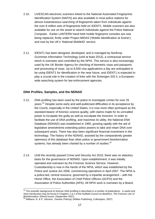- 2.10. LIVESCAN electronic scanners linked to the National Automated Fingerprints Identification System (NAFIS) are also available in most police stations for almost instantaneous searching of fingerprints taken from individuals against the over 8 million sets of fingerprints held on IDENT1. Mobile scanners are also available for use on the street to search individuals against the Police National Computer. Earlier LANTERN hand held mobile fingerprint consoles are now being replaced, firstly under Project MIDAS ('Mobile Identification at Scene'), and now by the UK's 'National MobileID' service.
- 2.11. IDENT1 has been designed, developed, and is managed by Northrop Grumman Information Technology (until at least 2013), a contractual service which is overseen and controlled by the NPIA. This service is also increasingly used by the UK Border Agency for checking of biometric visas and passports and processing of visas. Up to 8,500 visa applications a day are anticipated to be using IDENT1 for identification in the near future, and IDENT1 is expected to play a crucial role in the creation of links with the Schengen SIS II, a Europeanwide searching system for law enforcement agencies.

#### **DNA Profiles, Samples, and the NDNAD**

- 2.12. DNA profiling has been used by the police to investigate crimes for over 25 years.55 Despite some early and well-publicised difficulties in its acceptance by the Courts, especially in the United States, it is now more often portrayed as the standard-bearer of forensic science quality, with claims made for its unrivalled power to inculpate the guilty as well as exculpate the innocent. In order to facilitate the use of DNA profiling, and maximise its utility, the National DNA Database (NDNAD) was established in 1995, growing rapidly with the aid of legislative amendments extending police powers to take and retain DNA over subsequent years. There has also been significant financial investment in the technology. The history of the NDNAD, assisted by the comparatively greater openness of this database than other police or government bioinformation systems, has already been charted by a number of studies.<sup>56</sup>
- 2.13. Until the recently passed Crime and Security Act 2010, there was no statutory basis for the governance of NDNAD. Upon establishment, it was initially operated and overseen by the Forensic Science Service. However, Custodianship is now in the hands of the NPIA, which was established by the Police and Justice Act 2006, commencing operations in April 2007. The NPIA is a police-led, central resource, governed by a tripartite arrangement – with the Home Office, the Association of Chief Police Officers (ACPO) and the Association of Police Authorities (APA). All NPIA work is overseen by a Board,

<sup>1</sup>  $55$  The scientific background to forensic DNA profiling is described in a number of publications. A useful and short introduction may be found in Chapters 1 & 2 of the Nuffield Council on Bioethics: *The Forensic Use of Bioinformation: Ethical Issues'* (September 2007). 56 Williams. R. & P. Johnson, '*Genetic Policing'* (Willian Publishing, Cullompton, 2007).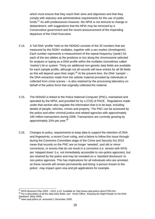which must ensure that they reach their aims and objectives and that they comply with statutory and administrative requirements for the use of public funds.<sup>57</sup> As with predecessors however, the NPIA is not immune to change or disbandment, with suggestions that the NPIA may be removed by a Conservative government and the recent announcement of the impending departure of the Chief Executive.

- 2.14. A 'full DNA 'profile' held on the NDNAD consists of the 20 numbers that are measured by the SGM+ multiplex, together with a sex marker (Amelogenin). Each number represents a measurement of the repeat frequency ('peak') for each of the two alleles at the positions or loci along the chromosome selected for analysis or typing as a DNA profile within the multiplex (sometimes called 'marker') kit or system. Thirty-six additional non-genetic data fields are available for each sample profile, although not all records will have entries for all 36 fields as this will depend upon their origin.<sup>58</sup> At the present time, the DNA 'sample'  $$ the DNA extraction made from the cellular material provided by individuals or collected from crime scenes – is also retained by the processing laboratory on behalf of the police force that originally collected the material.
- 2.15. The NDNAD is linked to the Police National Computer (PNC), maintained and operated by the NPIA, and provided for by s.27(4) of PACE. Regulations made under that section also regulate the information that is to be kept, including details of people, vehicles, crimes and property. The PNC can be accessed by the police and other criminal justice and related agencies with approximately 185 million transactions during 2008. Transactions are currently growing by approximately 10% per year.<sup>59</sup>
- 2.16. Changes to policy, requirements to keep data to support the retention of DNA and fingerprints, a recent Court ruling, and a failure to follow this issue through during the Commons Committee stage of the Crime and Security Act 2010 mean that records on the PNC are no longer 'weeded', and old or minor convictions, or arrests that do not result in a conviction (i.e. arrests with NFA) are 'stepped down' (i.e. not immediately accessible to non-police agencies), but are retained by the police and may be revealed on a 'standard disclosure' to non-police agencies. This has implications for all individuals who are arrested, as these records will remain permanently and being 'a person known to the police', may impact upon visa and job applications for example.

 $57$  NPIA Business Plan 2009 – 2010. p.15. Available at: http://www.npia.police.uk/en/7403.htm.

<sup>58</sup> For a description of all the data entry fields, see: Home Office, '*Keeping the Right People on the DNA Database*' (May 2009). 59 www.npia.police.uk accessed 1 December 2009.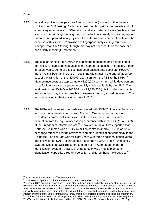#### **Cost**

- 2.17. Individual police forces pay their forensic provider (with whom they have a contract) for DNA testing. Each force must then budget for their needs and will spend varying amounts on DNA testing and associated activities (such as crime scene recovery). Fingerprinting may be harder to accurately cost as fingerprint bureaux are operated locally by each force. It has been commonly believed that because of this 'in-house' provision of fingerprint analysis, fingerprints are 'cheaper' than DNA testing, though this may not necessarily be the case or a particularly meaningful statement.
- 2.18. The cost of running the NDNAD, including the monitoring and accrediting of forensic DNA suppliers increases as the number of suppliers increases, though in recent years, some of this cost has been passed onto suppliers. However, there has still been an increase in costs, notwithstanding the one-off 2008/09 cost of the transition of the NDNAD operation from the FSS to the NPIA.<sup>60</sup> Maintenance costs are approximately £200,000 per annum while development costs for future years are yet to be publicly made available by the NPIA. The total cost of the NDNAD in 2008-09 was £4,290,500 (this includes both capital and running costs; it is not possible to separate the two, as well as almost £1m in costs relating to the transfer to the NPIA). $61$
- 2.19. The NPIA will not reveal the costs associated with IDENT1/ Livescan because it forms part of a private contract with Northrop Grumman and is therefore considered commercially sensitive. On this basis, the NPIA has claimed exemption from the right of access in accordance with sections 41(1) and 43(2) of the Freedom of Information Act.<sup>62</sup> However, in 2004, it was reported that Northrop Grumman won a US\$244 million contract (approx. £125m at 2004 exchange rates) to provide advanced biometric identification technology to the UK police. The contract was for eight years with three additional option years, and followed the NAFIS contract that it held from 1995.<sup>63</sup> The NPIA recently awarded Detica an £18.1m contract to deliver an Automated Fingerprint Identification System (AFIS) to provide a nationwide mobile biometric identification capability through a selection of different hand-held devices.<sup>64</sup>

<sup>&</sup>lt;sup>60</sup> NPIA website. accessed on 1<sup>st</sup> December 2009.

 $61$  Lord West of Spithead, Written Answers - HC Deb, 2 December 2009, c51W.<br> $62$  Section 41(1) exempts information if it was obtained by a public authority from any other person and the disclosure of the information would constitute an actionable breach of confidence. This exemption is absolute so does not require a 'public interest' test to be undertaken. Section 43 also exempts information if it is likely to prejudice commercial interests, although this is a qualified exemption, and the balance of public interest and the benefit to the community at large, should be considered before disclosing the information.<br><sup>63</sup> Northrop Grumman Wins U.K. Fingerprinting Job, *The Washington Post*, December 20, 2004; Page E04.<br><sup>64</sup> '\$25m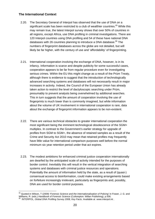### **The International Context**

- 2.20. The Secretary General of Interpol has observed that the use of DNA on a significant scale has been restricted to a club of wealthier countries.<sup>65</sup> While this may remain true, the latest Interpol survey shows that over 50% of countries in all regions, except Africa, use DNA profiling in criminal investigations. There are 120 Interpol countries using DNA profiling and 54 of these have national DNA databases with 26 countries planning to introduce a DNA database.<sup>66</sup> The numbers of fingerprint databases across the globe are not detailed, but will likely be far higher, with the century of use and 'affordability' of fingerprinting.
- 2.21. International cooperation involving the exchange of DNA, however, is in its infancy. Information is scarce and despite publicity for some successful cases, cooperation appears to be far from regular procedure even for investigating serious crimes. Within the EU this might change as a result of the Prüm Treaty, although there is evidence to suggest that the introduction of technologically advanced searching systems and databases will not necessarily result in major increases in activity. Indeed, the Council of the European Union has already taken action to restrict the level of dactyloscopic searching under Prüm, presumably to prevent analysts being overwhelmed by additional searches. This in turn suggests that the amount of cooperation involving the use of fingerprints is much lower than is commonly imagined, but while information about the volume of UK involvement in international cooperation is rare, data about the exchange of fingerprint information appears to be non-existent.
- 2.22. There are various technical obstacles to greater international cooperation the most significant being the imminent technological obsolescence of the SGM+ multiplex. In contrast to the Government's earlier strategy for upgrade of profiles from SGM to SGM+, the absence of retained samples as a result of the Crime and Security Act 2010 may mean that retained profiles may frequently have little value for international comparison purposes well before the normal minimum six year retention period under that act expires.
- 2.23. The modest ambitions for enhanced criminal justice cooperation internationally are dwarfed by the anticipated scale of activity intended for the purposes of border control. Inevitably this will result in the vertical integration of searching systems and databases with criminal justice resources and operations. Potentially the amount of information held by the state, as a result of (quasi-) consensual access to bioinformation, could make existing arrangements based on forfeiture increasingly irrelevant, particularly as fingerprints and, possibly, DNA are used for border control purposes.

<sup>1</sup> 65 Quoted in Wilson, T (2009) '*Forensic Science and the Internationalisation of Policing'* in Fraser, J. G. and Williams, R. (eds.) *Handbook of Forensic Science* (Cullompton: Willan Publishing), p.506.<br><sup>66</sup> INTERPOL, *Global DNA Profiling Survey 2008, Key Facts*. Available at www.interpol.int .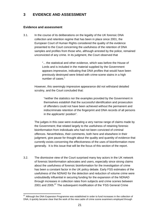# **3 EVIDENCE AND ASSESSMENT**

#### **Evidence and assessment**

3.1. In the course of its deliberations on the legality of the UK forensic DNA collection and retention regime that has been in place since 2001, the European Court of Human Rights considered the quality of the evidence presented to the Court concerning the usefulness of the retention of DNA samples and profiles from those who, although arrested by the police, remained unconvicted of any crime. In its judgment, the Court observed that

> "... the statistical and other evidence, which was before the House of Lords and is included in the material supplied by the Government appears impressive, indicating that DNA profiles that would have been previously destroyed were linked with crime-scene stains in a high number of cases."

However, this seemingly impressive appearance did not withstand detailed scrutiny, and the Court concluded that:

"neither the statistics nor the examples provided by the Government in themselves establish that the successful identification and prosecution of offenders could not have been achieved without the permanent and indiscriminate retention of the fingerprint and DNA records of all persons in the applicants' position".

The judges in this case were evaluating a very narrow range of claims made by the Government; that related largely to the usefulness of retaining forensic bioinformation from individuals who had not been convicted of criminal offences. Nevertheless, their comments, both here and elsewhere in their judgment, give pause for thought about the quality and quantity of evidence that currently exists concerning the effectiveness of the uses of bioinformation more generally. It is this issue that will be the focus of this section of the report.

3.2. The dismissive view of the Court surprised many key actors in the UK network of forensic bioinformation advocates and users, especially since strong claims about the usefulness of forensic bioinformation for the investigation of crime has been a constant factor in the UK policy debate. Early FSS estimates of the usefulness of the NDNAD for the detection and reduction of volume crime were undoubtedly influential in securing funding for the expansion of the NDNAD through increases in collection rates from subjects and crime scenes between 2001 and 2005.<sup>67</sup> The subsequent modification of the 'FSS General Crime

<sup>1</sup>  $67$  Although the DNA Expansion Programme was established in order to fund increases in the collection of DNA, it quickly became clear that the work of the new cadre of crime scene examiners employed through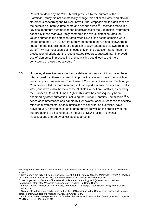Reduction Model' by the 'MHB Model' provided by the authors of the 'Pathfinder' study did not substantially change this optimistic view, and official statements concerning the NDNAD have further emphasised its significance to the detection of both volume crime and serious crime.<sup>68</sup> Assertions made in a key document that summarised the effectiveness of the Expansion Programme, especially those that favourably compared the overall detection rates for volume crimes to the detection rates when DNA crime scene samples were loaded onto the NDNAD, are frequently repeated in the UK and elsewhere in support of the establishment or expansion of DNA databases elsewhere in the world.<sup>69</sup> Whilst most such claims focus only on the detection, rather than the prosecution of offenders, the recent Magee Report suggested that "improved use of biometrics in prosecuting and convicting could lead to 1% more convictions of those tried at court."70

3.3. However, alternative voices in the UK debate on forensic bioinformation have often argued that there is a need to improve the research base from which to launch any such assertions. The House of Commons Science and Technology Committee called for more research in their report '*Forensic Science on Trial'* in 2005, and it was also the view of the Nuffield Council on Bioethics, as cited by the European Court of Human Rights. This view has subsequently been endorsed by other authorities, including the Human Genetics Commission.<sup>71</sup> A series of commentaries and papers by Genewatch, often in response to specific Ministerial statements, or as submissions to consultation exercises, have provided very detailed critiques of data quality as well as the credibility of the interpretations of existing data on the use of DNA profiles in criminal investigations offered by official spokespersons.<sup>72</sup>

this programme would result in an increase in fingermarks as well biological samples collected from crime scenes.

<sup>68</sup> Both models are fully outlined in Burrows, J. et.al. (2005) *Forensic Science Pathfinder Project: Evaluating Increased Forensic Activity in Two English Police Forces*. London: The Home Office. 69 See pages 16-17 of Home Office Forensic Science and Pathology Unit (2006) *DNA Expansion* 

*Programme 2000-2005: Reporting Achievement.* London: The Home Office.<br><sup>70</sup> Sir Ian Magee, '*The Review of Criminality Information*' (The Magee Report) (July 2008) Home Office, London. p.17.

Statements to this effect can be read both in the HGC response to the Consultation Paper and, in more detail, in their 2009 Report: '*Nothing to Hide, Nothing to Fear'*.<br><sup>72</sup> A full collection of these papers can be found on the Genewatch website: http://www.genewatch.org/sub-

<sup>539478</sup> accessed 16th April 2010.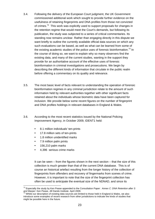- 3.4. Following the delivery of the European Court judgment, the UK Government commissioned additional work which sought to provide further evidence on the usefulness of retaining fingerprints and DNA profiles from those not convicted of crimes.<sup>73</sup> This work was explicitly used to support proposals for changes in the retention regime that would meet the Court's demands, but following its publication, the study was subjected to a series of critical commentaries. Its standing now remains unclear. Rather than engaging directly in this dispute we want briefly to outline the currently available official data sources on which any such evaluations can be based, as well as what can be learned from some of the existing academic studies of the police uses of forensic bioinformation.<sup>74</sup> In the course of doing so, we want to explain why so many observers find the existing data, and many of the current studies, wanting in the support they provide for an authoritative account of the effective uses of forensic bioinformation in criminal investigations and prosecutions. We begin by describing the different kinds of information that circulate in the public realm before offering a commentary on its quality and relevance.
- 3.5. The most basic level of facts relevant to understanding the operation of forensic bioinformation regimes in any criminal jurisdiction relate to the amount of such information held by relevant authorities together with other significant facts retained about the individuals whose biometric data have been captured for inclusion. We provide below some recent figures on the number of fingerprint and DNA profiles holdings in relevant databases in England & Wales.
- 3.6. According to the most recent statistics issued by the National Policing Improvement Agency, in October 2009, IDENT1 held:
	- 8.1 million individuals' ten-prints
	- 17.8 million sets of ten-prints
	- 1.8 million unidentified marks
	- 7.9 million palm prints
	- 156,210 palm marks

1

• 4,396 serious crime marks

 It can be seen – from the figures shown in the next section – that the size of this collection is much greater than that of the current DNA database. This is of course an historical artefact resulting from the longer history of the collection of fingerprints from offenders and recovery of fingermarks from scenes of crime. However, it is important to note that the size of the fingerprint collection has often be used to anticipate the eventual size of the NDNAD, and since its

<sup>73</sup> Especially the study by Ken Pease appended to the Consultation Paper: *Annex C: DNA Retention after S*  and Marper: Ken Pease, Jill Dando Institute. April 2009.<br><sup>74</sup> Whilst our description of existing data sources are limited to those held in England & Wales, we also

introduce some examples of recent research from other jurisdictions to indicate the kinds of studies that might be possible here in the future.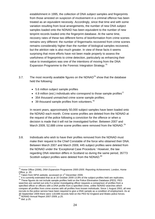establishment in 1995, the collection of DNA subject samples and fingerprints from those arrested on suspicion of involvement in a criminal offence has been treated as an equivalent necessity. Accordingly, since that time and with some variation resulting from local arrangements, the number of new DNA subject samples loaded onto the NDNAD has been equivalent to the number of new tenprint records loaded onto the fingerprint database. At the same time, recovery rates of these two different forms of bioinformation from crime scenes remains very different: the number of fingermarks recovered from crime scenes remains considerably higher than the number of biological samples recovered, but the attrition rate is also much greater. In view of these facts it seems surprising that more efforts have not been made properly to assess the usefulness of fingerprints to crime detection, particularly as enhancing their value to investigators was one of the intentions of moving from the DNA Expansion Programme to the Forensic Integration Strategy.<sup>75</sup>

- 3.7. The most recently available figures on the NDNAD<sup>76</sup> show that the database held the following:
	- 5.6 million subject sample profiles
	- 4.9 million (est.) individuals who correspond to those sample profiles<sup>77</sup>
	- 354 thousand unmatched crime scene sample profiles;
	- $\bullet$  39 thousand sample profiles from volunteers.<sup>78</sup>

 In recent years, approximately 50,000 subject samples have been loaded onto the NDNAD each month. Crime scene profiles are deleted from the NDNAD at the request of the police following a conviction for the offence or when a decision is made that it will not be investigated further. Between 2007 and March 2009, 52,688 crime scene profiles were removed from the NDNAD.<sup>79</sup>

3.8. Individuals who wish to have their profiles removed from the NDNAD must make their request to the Chief Constable of the force who obtained their DNA. Between March 2007 and March 2009, 445 subject profiles were deleted from the NDNAD under the 'Exceptional Case Procedure.' However, the law regarding DNA retention differs in Scotland so during the same period, 35773 Scottish subject profiles were deleted from the NDNAD.<sup>80</sup>

<sup>1</sup> 75 Home Office (2006), *DNA Expansion Programme 2000-2005: Reporting Achievement,* London, Home Office, p. 20.<br><sup>76</sup> Taken from NPIA website, accessed on 1<sup>st</sup> December 2009.

<sup>77</sup> It is currently estimated that as at 16 October 2009 13.8% of the subject profiles held are replicates.<br><sup>78</sup> These figures do not include sample profiles held on the Police Elimination Database (PED). PED searches are carried out only if a senior investigating officer requests a comparison of profiles from a specified officer or officers with a DNA profile from a specified crime, unlike NDNAD searches which compare all profiles from crime scenes with all profiles from known individuals. Since 1 August 2002, all new recruits to the police service have been required to give a DNA sample as a condition of employment. As at 30 September 2009 there were 118,699 records held on the PED for England and Wales police forces. 79 NDNAD Annual Report 2007-2009, p.25. <sup>80</sup> *ibid*. p.25.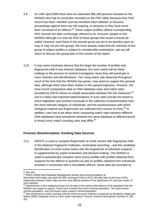- 3.9. On 24th April 2009 there were an estimated 986,185 persons included on the NDNAD who had no conviction recorded on the PNC either because their PNC record has been 'weeded' and has therefore been deleted, or because proceedings against them are still ongoing, or because or they have never been convicted of an offence.<sup>81</sup> These subject profiles without corresponding PNC records are often confusingly referred to as 'innocent' people on the NDNAD although it is only the third of these groups that would correctly be called 'innocent' (and those in the second group are yet to be decided upon so may or may not join this group). We have already noted that the retention of this group of subject profiles is subject to considerable contestation, and we will return to discuss this group later in this section of the report.
- 3.10. It may seem intuitively obvious that the larger the number of profiles and fingerprints held in any forensic database, the more useful will be these holdings to the process of criminal investigation since they will eventuate in more matches and identifications. The rising match rate observed throughout much of the time that the NDNAD has grown, may seem to support this general idea, although there have been stutters in the upward trajectory. However, the most recent comparative data on DNA database sizes and match rates provided by ENFSI shows no simple association between the two measures, <sup>82</sup> and it is likely that important determinations of such rates include the extent to which legislation and practice eventuate in the collection of bioinformation from the most relevant category of individuals, and the assiduousness with which biological material and fingermarks are collected from scenes of crime.<sup>83</sup> In addition, care has to be taken when comparing match rates between different DNA databases (and sometimes between the same database at different points in times) since match counting rules may differ.<sup>84</sup>

#### **Forensic Bioinformation: Existing Data Sources**

3.11. IDENT1 is used to compare fingermarks at crime scenes with fingerprints held in the National Fingerprint Collection. Automated searching – and the candidate identification of crime scene marks with the fingerprints of individual suspects – is supplemented by expert evaluation and decision-making. The NDNAD is used to automatically compare crime scene profiles with profiles obtained from suspects for the offence in question as well as profiles obtained from individuals arrested in connection with a recordable offence. Some data are provided by

 $81$  ibid. p43.

<sup>82</sup> ENSFI (2009) DNA-Database Management Review and recommendations at

http://www.enfsi.eu/get\_doc.php?uid=345, accessed 6 March 2010. We later take up the issue of the relationship between match rates and the more difficult question of the significance of, and uses made, of such matches.

<sup>&</sup>lt;sup>83</sup> Attentiveness to this categorical issue can be seen in the various descriptions of the population that the NDNAD was hoped to capture. These have included 'the active criminal population', 'the active known criminal population', and 'the known active suspect criminal population'.

<sup>&</sup>lt;sup>84</sup> See comments on match counting rules for scene-to-scene matches in particular by Buckleton, Bright and Walsh (2009) 'Database crime to crime match calculation' *Forensic Science International: Genetics* 3: 200- 201.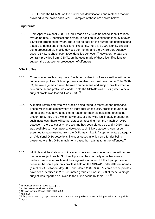IDENT1 and the NDNAD on the number of identifications and matches that are provided to the police each year. Examples of these are shown below.

### **Fingerprints**

3.12. From April to October 2009, IDENT1 made 47,783 crime scene 'identifications', averaging 85000 identifications a year. In addition, it verifies the identity of over 1.5million arrestees per year. There are no data on the number of identifications that led to detections or convictions. Presently, there are 2000 identity checks being processed via mobile devices per month, and the UK Borders Agency uses IDENT1 to check over 4000 identities per week.<sup>85</sup> However, no data are centrally provided from IDENT1 on the uses made of these identifications to support the detection or prosecution of offenders.

#### **DNA Profiles**

- 3.13. Crime scene profiles may 'match' with both subject profiles as well as with other crime scene profiles. Subject profiles can also match with each other.<sup>86</sup> In 2008-09, the average match rates between crime scene and subject profiles when a new crime scene profile was loaded onto the NDNAD was 58.7%; when a new subject profile was loaded it was 2.3%.<sup>87</sup>
- 3.14. A 'match' refers simply to two profiles being found to match on the database. These will include cases where an individual whose DNA profile is found at a crime scene may have a legitimate reason for their biological material being present (e.g. they are a victim, a witness, or otherwise legitimately present). In such instances, there will be no 'detection' resulting from the match. A 'DNA detection' refers to cases where a crime has been cleared up and a DNA match was available to investigators. However, such 'DNA detections' cannot be assumed to have resulted from the DNA match itself. A supplementary category of 'Additional DNA detections' includes cases in which an offender being presented with his DNA 'match' for a case, then admits to further offences.<sup>88</sup>
- 3.15. 'Multiple matches' also occur in cases where a crime scene matches with more than one subject profile. Such multiple matches normally arise because a partial crime scene profile matches against a number of full subject profiles or because the same person's profile is held on the NDNAD under different names (a replicate). Between May 2001 and March 2009, 306,379 crime scene profiles have been identified in 282,861 match groups. $89$  For 226,393 of these, a single subject was reported as linked to the crime scene by their  $DNA$ .  $90$

<sup>85</sup> NPIA Business Plan 2009-2010, p.31.

<sup>&</sup>lt;sup>86</sup> In the case of 'replicate profiles'.<br><sup>87</sup> NDNAD Annual Report 2007-2009, p.33.<br><sup>88</sup> *ibid.* p.35.<br><sup>89</sup> *ibid.* p.28. A 'match group' consists of two or more DNA profiles that are indistinguishable or compatible.<br><sup>89</sup>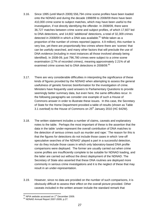- 3.16. Since 1995 (until March 2009) 556,794 crime scene profiles have been loaded onto the NDNAD and during the decade 1998/99 to 2008/09 there have been 410,000 crime scene to subject matches, which may have been useful to the investigation, if not directly identifying the offender. In 2008/09, there were 36,727 matches between crime scene and subject profiles, of which 17,607 led to DNA detections, and 14,602 'additional' detections, a total of 32,309 crimes detected in 2008/09 in which a DNA was available. $91$  While taken as a proportion of the number of crimes reported (approx. 4.9 million), this number is very low, yet there are proportionally few crimes where there are 'scenes' that can be usefully searched, and many other factors that will preclude the use of DNA evidence (including in most instances all those involved already being identified). In 2008-09, just 796,780 crimes were subject to a crime scene examination (17% of recorded crimes), meaning approximately 2.21% of all examined crime scenes led to DNA detections in 2008/09.<sup>92</sup>
- 3.17. There are very considerable difficulties in interpreting the significance of these kinds of figures provided by the NDNAD when attempting to assess the general usefulness of genetic forensic bioinformation for the investigation of crime. Ministers have frequently used answers to Parliamentary Questions to provide seemingly better summary data, but even here, the same difficulties recur. In the following paragraphs we consider one example of such a House of Commons answer in order to illustrate these issues. In this case, the Secretary of State for the Home Department provided a table of results (shown as Table 3.1 overleaf) to the House of Commons on  $25<sup>th</sup>$  January 2010 (HC 642W).
- 3.18. The written statement includes a number of claims, caveats and explanatory notes to the table. Perhaps the most important of these is the assertion that the data in the table 'under-represent the overall contribution of DNA matches to the detection of serious crimes such as murder and rape.' The reason for this is that the figures for detections do not include those cases in which 'one-off speculative searches of the NDNAD' played a part in a successful detection, nor do they include those cases in which only laboratory-based DNA profile comparisons were deployed. The former are usually carried out when crime scene profiles are insufficiently complete to be suitable for NDNAD loading, and the latter are carried out without the direct deployment of the NDNAD. The Secretary of State also asserted that these DNA routines are deployed more commonly in serious crime investigations and it is the neglect of these that may result in an under-representation.
- 3.19. However, since no data are provided on the number of such comparisons, it is obviously difficult to assess their effect on the overall picture provided. Other caveats included in the written answer include the standard remark that

<sup>1</sup> <sup>91</sup> NPIA website accessed on 1<sup>st</sup> December 2009.<br><sup>92</sup> NDNAD Annual Report 2007-2009, p.27.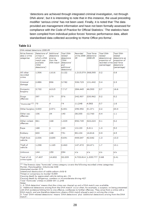'detections are achieved through integrated criminal investigation, not through DNA alone', but it is interesting to note that in this instance, the usual preceding modifier 'serious crime' has not been used. Finally, it is noted that 'The data provided are management information and have not been formally assessed for compliance with the Code of Practice for Official Statistics.' The statistics have been compiled from individual police forces' forensic performance data, albeit standardised data collected according to Home Office pro-forma'.

#### **Table 3.1**

| DNA-related detections 2008-09                |                                                                                                         |                                                |                                                                                                 |                                          |                               |                                                                                                       |                                                                                       |  |  |  |
|-----------------------------------------------|---------------------------------------------------------------------------------------------------------|------------------------------------------------|-------------------------------------------------------------------------------------------------|------------------------------------------|-------------------------------|-------------------------------------------------------------------------------------------------------|---------------------------------------------------------------------------------------|--|--|--|
| Police forensic<br>data-2 crime<br>categories | Detections of Additional<br>crimes in<br>which a DNA<br>match was<br>available<br>('DNA<br>detections') | detections<br>arising<br>from the<br>DNA match | Total DNA-<br>related<br>detections<br>('DNA<br>detections'<br>and<br>additional<br>detections) | Recorded<br>crime 2008- detections<br>09 | <b>Total</b> force<br>2008-09 | Total DNA-<br>related<br>detections as<br>proportion of<br>recorded crime total force<br>(percentage) | Total DNA-<br>related<br>detections as<br>proportion of<br>detections<br>(percentage) |  |  |  |
| All other<br>recorded<br>crime                | 1,506                                                                                                   | 1,616                                          | 3.122                                                                                           | 1,315,079 368,595                        |                               | 0.2                                                                                                   | 0.8                                                                                   |  |  |  |
| Criminal<br>damage                            | 2,886                                                                                                   | 896                                            | 3.782                                                                                           | 936,729                                  | 131,442                       | 0.4                                                                                                   | 2.9                                                                                   |  |  |  |
| Domestic<br>burglary                          | 3,702                                                                                                   | 4,015                                          | 7.717                                                                                           | 284,445                                  | 46,500                        | 2.7                                                                                                   | 16.6                                                                                  |  |  |  |
| Drugs<br>offences                             | 397                                                                                                     | 179                                            | 576                                                                                             | 242,907                                  | 230.962                       | 0.2                                                                                                   | 0.2                                                                                   |  |  |  |
| "Homicide" <sup>(1)</sup>                     | 70                                                                                                      | 4                                              | 74                                                                                              | 11,248                                   | 4,583                         | 0.7                                                                                                   | 1.6                                                                                   |  |  |  |
| Other burglary 3,830                          |                                                                                                         | 2,571                                          | 6,401                                                                                           | 296,952                                  | 31,371                        | 2.2                                                                                                   | 20.4                                                                                  |  |  |  |
| Other sex<br>offences                         | 106                                                                                                     | 34                                             | 140                                                                                             | 38,355                                   | 12,760                        | 0.4                                                                                                   | 1.1                                                                                   |  |  |  |
| Other violent<br>offences                     | 861                                                                                                     | 168                                            | 1,029                                                                                           | 892,745                                  | 422,224                       | 0.1                                                                                                   | 0.2                                                                                   |  |  |  |
| Rape                                          | 168                                                                                                     | 1                                              | 169                                                                                             | 13,133                                   | 3.411                         | 1.3                                                                                                   | 5.0                                                                                   |  |  |  |
| Robbery                                       | 603                                                                                                     | 148                                            | 751                                                                                             | 80,104                                   | 16,816                        | 0.9                                                                                                   | 4.5                                                                                   |  |  |  |
| Theft from<br>vehicle                         | 2,036                                                                                                   | 3,655                                          | 5,691                                                                                           | 444.647                                  | 42,642                        | 1.3                                                                                                   | 13.3                                                                                  |  |  |  |
| Theft of<br>vehicle                           | 1,298                                                                                                   | 1,165                                          | 2,463                                                                                           | 147.470                                  | 24.471                        | 1.7                                                                                                   | 10.1                                                                                  |  |  |  |
| Unknown                                       | 144                                                                                                     | 150                                            | 294                                                                                             | n/a                                      | n/a                           | n/a                                                                                                   | n/a                                                                                   |  |  |  |
| Total of 12<br>crime types                    | 17,607                                                                                                  | 14,602                                         | 32,209                                                                                          | 4,703,814 1,335,777                      |                               | 0.68                                                                                                  | 2.41                                                                                  |  |  |  |

 $(1)$  The forensic data "homicide" crime category covers the following recorded crime categories: Murder, Manslaughter, Infanticide-648

Attempted murder-575

Intentional destruction of viable unborn child-8

Threat or conspiracy to murder-9,559

Causing death by aggravated vehicle taking etc.-31

Causing death by dangerous, careless or inconsiderate driving-427

Total 'Homicide' crimes in 2008-09-11,248

Notes:

1. A 'DNA detection' means that the crime was cleared up and a DNA match was available.

2. 'Additional detections arising from the DNA match' occur when, for example, a suspect, on being presented with DNA evidence linking him to one offence, confesses to further offences. They arise from a crime with a DNA match; and are therefore detections where a DNA match played a part in solving the crime.

3. Total 'DNA-related detections' means 'DNA detections' plus 'additional detections arising from the DNA match'.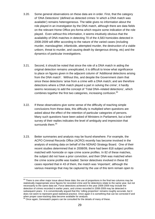- 3.20. Some general observations on these data are in order. First, that the category of 'DNA Detections' (defined as detected crimes 'in which a DNA match was available') remains heterogeneous. The table gives no information about the role played in an investigation by the DNA match, although there are data fields on the relevant Home Office pro-forma which require some indication of the role played. Even without this information, it seems intuitively obvious that the availability of DNA matches in detecting 70 of the 4,583 homicides detected in 2008-2009 will differ according to the nature of the varied cases (including murder, manslaughter, infanticide, attempted murder, the destruction of a viable unborn, threat to murder, and causing death by dangerous driving, etc) and the dynamics of particular investigations.
- 3.21. Second, it should be noted that since the role of a DNA match in aiding the original detection remains unexplicated, it is difficult to know what significance to place on figures given in the adjacent column of 'Additional detections arising from the DNA match'. Without this, and despite the Government claim that since these detections 'arise from a crime with a DNA match; and are therefore detections where a DNA match played a part in solving the crime', it hardly seems necessary to add the concept of 'Total DNA–related detections', which combines together the first two categories, increasing confusion.<sup>93</sup>
- 3.22. If these observations give some sense of the difficulty of reaching simple conclusions from these data, this difficulty is multiplied when questions are asked about the effect of the retention of particular categories of persons. Many such questions have been asked of Ministers in Parliament, but a brief survey of their replies indicates the level of ambiguity and imprecision that surrounds them.<sup>94</sup>
- 3.23. Better summaries and analysis may be found elsewhere. For example, the ACPO Criminal Records Office (ACRO) recently has become involved in the analysis of existing data on behalf of the NDNAD Strategy Board. One of their recent studies determined that in 2008/09, there had been 818 subject profiles matched with homicide or rape crime scene profiles. In 82 of these matches, the subject did not have a prior conviction, and their DNA was matched when the crime scene profile was loaded. Senior detectives involved in these 82 cases reported that in 43 of them, the match was 'important', although the various meanings that may be captured by the use of this term remain open to

<sup>1</sup>  $93$  There is one other major issue about these data: the use of proportions in the final two columns may be statistically inappropriate since figures for recorded crime and for detections relate to the same year, but not necessarily to the same data-set. Force detections achieved in the year 2008-2009 may include the detection of crimes recorded in earlier years, and crimes recorded in 2008-2009 may be detected in subsequent years. It is conventionally argued that this 'rolling proportion' remains roughly accurate, but it does not seem to represent good statistical practice. Once again it is something that can be corrected if and when proper case-tracking data become available for analysis.

<sup>94</sup> Once again, Genewatch papers can be consulted for the details of many of these.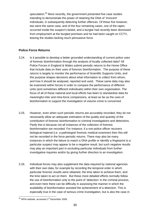speculation.<sup>95</sup> More recently, the government presented five case studies intending to demonstrate the power of retaining the DNA of 'innocent' individuals, in subsequently detecting further offences. Of these five however, two were the same case, and of the four remaining cases, one of the rapes occurred inside the suspect's bedsit, and a burglar had recently been dismissed from employment at the burgled premises and he had been caught on CCTV, leaving the studies lacking much persuasive force.

## **Police Force Returns**

- 3.24. Is it possible to develop a better grounded understanding of current police uses of forensic bioinformation through the analysis of locally collected data? All Police Forces in England & Wales submit periodic returns to the Home Office that include data on their uses of forensic bioinformation. The purpose of these returns is largely to monitor the performance of Scientific Supports Units, and this purpose shapes decisions about what information to collect from whom, and how it should be analysed, reported and used. These same data may also be examined within forces in order to compare the performance of different units (and sometimes different individuals) within their own organisation. The focus of all of these national and local efforts has been to standardise data for meaningful inter and intra-force comparisons, at least as far as the uses of bioinformation to support the investigation of volume crime is concerned.
- 3.25. However, even when such periodic returns are accurately recorded, they do not necessarily allow an adequate estimation of the quality and quantity of the contribution of forensic bioinformation to criminal investigations and detections. Partly this is because not all instances of the collection of forensic bioinformation are recorded. For instance, if a non-police officer recovers biological material (i.e. a pathologist/ forensic medical examiner) then this will not be recorded in the force periodic returns. There may also be many instances in which the failure to match a DNA profile or identify a fingerprint to a particular suspect may appear to be a negative result, but such negative results may play an important part in excluding particular individuals from further investigative inquiries and/or by giving further direction to an investigation.
- 3.26. Individual forces may also supplement the data required by national agencies with their own data, for example by recording the temporal order in which particular forensic results were obtained, the time taken to achieve them, and the time taken to act on them. But these more detailed efforts normally follow the use of bioinformation only to the point of 'detection' in the criminal process, and even here there can be difficulty in assessing the manner in which the availability of bioinformation assisted the achievement of a detection. This is especially true in the case of serious crime investigation, but is also the case in

 $\overline{a}$ <sup>95</sup> NPIA website, accessed 1<sup>st</sup> December 2009.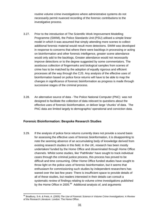routine volume crime investigations where administrative systems do not necessarily permit nuanced recording of the forensic contributions to the investigative process.

- 3.27. Prior to the introduction of The Scientific Work Improvement Modelling Programme (SWIM), the Police Standards Unit (PSU) utilised a simple linear model in which it was assumed that simply attending more scenes to collect additional forensic material would result more detections. SWIM was developed in response to concerns that where there were backlogs in processing or acting on bioinformation and other forensic intelligence, greater scene attendance would only add to the backlogs. Greater attendance would not necessarily improve detections or to the degree suggested by some commentators. The assiduous collection of fingermarks and biological samples from scenes of crime has to be matched by the adoption of equally rigorous and efficient processes all the way through the CJS. Any analysis of the effective uses of bioinformation based on police force returns will have to be able to map the changes in significance of forensic bioinformation as progress is made through successive stages of the criminal process.
- 3.28. An alternative source of data The Police National Computer (PNC) was not designed to facilitate the collection of data relevant to questions about the effective uses of forensic bioinformation, or deliver large 'chunks' of data. The PNC data are limited largely to demographic/ operational and conviction data.

## **Forensic Bioinformation: Bespoke Research Studies**

3.29. If the analysis of police force returns currently does not provide a sound basis for assessing the effective uses of forensic bioinformation, it is disappointing to note the seeming absence of an accumulating body of knowledge derived from existing research studies in this field. In the UK, research has been mostly undertaken/ funded by the Home Office and disseminated through Home Office channels. Whilst some studies, like 'Pathfinder' have sought to track individual cases through the criminal justice process, this process has proved to be difficult and time consuming. Other Home Office funded studies have sought to throw light on the police uses of forensic bioinformation, but it seems that enthusiasm for commissioning such studies by independent researchers has waned over the last few years<sup>.</sup> There is insufficient space to provide details of all of these studies, but readers interested in their details can consult a systematic review of findings relating to volume crime investigations published by the Home Office in 2005. $96$  Additional analysis of, and arguments

<sup>1</sup> 96 Bradbury, S-A. & Feist, A. (2005) *The Use of Forensic Science in Volume Crime Investigations: A Review of the Research Literature*. London: The Home Office.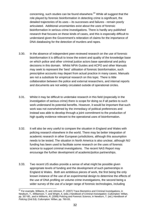concerning, such studies can be found elsewhere.<sup>97</sup> While all suggest that the role played by forensic bioinformation in detecting crime is significant, the detailed trajectories of its uses – its successes and failures - remain poorly articulated. Additional uncertainties exist about the uses of forensic bioinformation in serious crime investigations. There is hardly any published research that focuses on these kinds of cases, and this is especially difficult to understand given the Government's reiteration of claims for the importance of DNA databasing for the detection of murders and rapes.

- 3.30. In the absence of independent peer-reviewed research on the use of forensic bioinformation it is difficult to know the extent and quality of the knowledge base on which police and other criminal justice actors base operational and policy decisions in this domain. Whilst NPIA Guides and ACPO and other Manuals may seek to represent the 'best' utilisation of forensic bioinformation, such prescriptive accounts may depart from actual practice in many cases. Manuals are not a substitute for empirical research on this topic. There is little collaboration between the police and external researchers, and internal reports and documents are not widely circulated outside of operational circles.
- 3.31. Whilst it may be difficult to undertake research in this field (especially in the investigation of serious crime) there is scope for doing so if all parties to such work understand its potential benefits. However, it would be important that such work was not overwhelmed by the immediacy of political preferences and instead was able to develop through a joint commitment to the production of high quality evidence relevant to the operational uses of bioinformation.
- 3.32. It will also be very useful to compare the situation in England and Wales with policing research elsewhere in the world. There may be better integration of academic research in other European jurisdictions, although this assumption needs to be tested. The situation in North America is also unclear, although NIJ funding has been used to facilitate some research on the uses of forensic science to support criminal investigations. The recent NAS Report may encourage the further development of academic/police partnerships.
- 3.33. Two recent US studies provide a sense of what might be possible given appropriate levels of funding and the development of such partnerships in England & Wales. Both are ambitious pieces of work, the first being the only known instance of the use of an experimental design to determine the effects of the use of DNA profiling on volume crime investigations, the second being a wider survey of the use of a larger range of forensic technologies, including

<sup>1</sup>  $97$  For example, Williams, R. and Johnson, P. (2007) Trace Biometrics and Criminal Investigations, in Newburn, T., Williamson, T. and Wright, A. (eds.) *Handbook of Criminal Investigation*. Cullompton: Willan, pp. 357-80., and in Williams, R. (2008) Policing and Forensic Science, in Newburn, T. (ed.) *Handbook of Policing* (2nd Ed). Cullompton: Willan, pp. 760-93.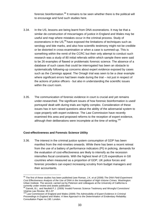forensic bioinformation.<sup>98</sup> It remains to be seen whether there is the political will to encourage and fund such studies here.

- 3.34. In the US, lessons are being learnt from DNA exonerations. It may be that a similar de-construction of miscarriages of justice in England and Wales may be useful and map where mistakes occur in the criminal process. Study of exonerations in the US,<sup>99</sup> have exposed the limitations of techniques such as serology and bite marks, and also how scientific testimony might not be credible or be distorted in cross-examination or when a case is summed-up. This is something within the remit of the CCRC but their only attempt to conduct such research was a study of 80 initial referrals within which sample there were said to be 26 examples of flawed or problematic forensic science. The absence of a database of such cases that could be interrogated has been an obstacle to systematically following-up concerns about expert evidence exposed by cases such as the *Cannings* appeal. The Omagh trial was seen to be a clear example where significant errors had been made during the trial – not just in respect of the actions of police officers - but also in understanding the scientific issues within the court room.
- 3.35. The communication of forensic evidence in court is crucial and yet remains under-researched. The significant issues of how forensic bioinformation is used/ portrayed/ dealt with during trials are highly complex. Consideration of these issues has in turn raised questions about the ability of the adversarial system to cope properly with expert evidence. The Law Commission have recently examined this area and proposed reforms to the reception of expert evidence, although their deliberations were incomplete at the time of writing.<sup>100</sup>

#### **Cost-effectiveness and Forensic Science Utility**

1

3.36. The interest in the criminal justice system consumption of GDP has been manifest from the mid-nineties onwards. While there has been a recent retreat from the use of a battery of performance indicators (PI) in policing, demands for the evaluation of cost-effectiveness are likely to intensify as the recession intensifies fiscal constraints. With the highest level of CJS expenditure in G8 countries when measured as a proportion of GDP, UK police forces and forensic providers can expect increasing scrutiny from budget managers and their accountants.

<sup>98</sup> The first of these studies has been published (see Roman, J.K. *et al* (2008) *The DNA Field Experiment: Cost Effectiveness Analysis of the Use of DNA in the Investigation of High-Volume Crimes*. Washington: Urban Institute. The second, carried out by Peterson and colleagues at the University of California is currently under review and awaits publication.

 $99$  Garrett, B.L. and Neufeld P.J. (2009) 'Invalid Forensic Science Testimony and Wrongful Convictions'

*Virginia Law Review, 95:1-97*<br><sup>100</sup> Law Commission of England and Wales (2009) *The Admissibility of Expert Evidence in Criminal Proceedings in England and Wales: A New Approach to the Determination of Evidentiary Reliability.* Consultation Paper no.190. London.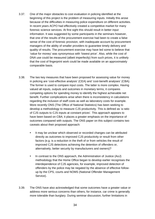- 3.37. One of the major obstacles to cost evaluation in policing identified at the beginning of this project is the problem of measuring inputs. Initially this arose because of the difficulties in measuring police expenditure on different activities. In recent years ACPO had effectively created a competitive market for many forensic science services. At first sight this should result in better input information. It was suggested by some participants in the seminars however, that one of the results of the procurement exercise had been to create a false sense of the cost of forensic provision, with inadequate account by procurement managers of the ability of smaller providers to guarantee timely delivery and quality of results. The procurement exercise may have led some to believe that 'value for money' was synonymous with 'lowest price'. Also, while the cost of DNA use could be measured (albeit imperfectly) from such prices, it is unlikely that the cost of fingerprint work could be made available on an approximately comparable basis.
- 3.38. The two key measures that have been proposed for assessing value for money in policing are 'cost-effective analysis' (CEA) and 'cost-benefit analyses' (CBA). The former is used to compare input costs. The latter is more complex. Having valued all inputs, outputs and outcomes in monetary terms, it compares competing options for spending money to identify the highest achievable net benefit. Further complications arise when there is inconsistency in calculations regarding the inclusion of staff costs as well as laboratory costs for example. More recently ONS (The Office of National Statistics) has been seeking to develop a methodology to measure CJS productivity. This is defined as 'a ratio of CJS outputs to CJS inputs at constant prices'. This approach appears to have been based on CBA; it places a greater emphasis on the importance of outcomes compared with outputs. The ONS paper on this subject contains two caveats about their proposed approach:
	- It may be unclear which observed or recorded changes can be attributed directly as outcomes to improved CJS productivity or result from other factors (e.g. is a reduction in the theft of or from vehicles the result of improved CJS detections achieving the detention of offenders or, alternatively, better security by manufacturers and owners)?
	- In contrast to the ONS approach, the Administration of Justice (AoJ) methodology that the Home Office began to develop earlier recognises the interdependence of CJS agencies, for example, improved detection of offenders by the police may be negated by the absence of effective followup by the CPS, courts and NOMS (National Offender Management Service).
- 3.39. The ONS have also acknowledged that some outcomes have a greater value or address more serious concerns than others, for instance, car crime is generally more tolerable than burglary. During seminar discussion, further limitations in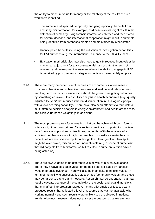the ability to measure value for money or the reliability of the results of such work were identified:

- The sometimes dispersed (temporally and geographically) benefits from acquiring bioinformation, for example, cold case reviews might result in the detection of crimes by using forensic information collected and then stored for several decades, and international cooperation might result in criminals being identified from databases created and maintained by other states.
- Unanticipated benefits including the utilisation of investigation capabilities for DVI purposes (e.g. the international response to the 2004 Tsunami).
- Evaluation methodologies may also need to qualify reduced input values by making an adjustment for any consequential loss of output in terms of research and development investment where the ability to engage in R&D is curtailed by procurement strategies or decisions based solely on price.
- 3.40. There are many precedents in other areas of econometrics where research combines objective and subjective measures and seek to evaluate short-term and long-term impacts. Consideration should be given to weighting outcomes by something equivalent to cost-utility analysis in health economics (e.g. 'quality adjusted life year' that reduces inherent discrimination in CBA against people with a lower earning capability). There have also been attempts to formulate a multi-attribute decision-analysis in energy/ environment and health arenas to try and elicit value-based weightings in decisions.
- 3.41. The most promising area for evaluating what can be achieved through forensic science might be major crimes. Case reviews provide an opportunity to obtain data from case support and scientific support units. With the analysis of a sufficient number of cases it might be possible to robustly estimate the costbenefits of forensic science inputs. Although the full range of inputs/outputs might be overlooked, miscounted or unquantifiable (e.g. a scene of crime visit that did not yield trace bioinformation but resulted in crime prevention advice being acted on).
- 3.42. There are always going to be different levels of 'value' in such evaluations. There may always be a cash value for the decisions facilitated by particular types of forensic evidence. There will also be intangible/ (intrinsic) 'values' in terms of the ability to successfully detect crimes (community values) and these may be harder to capture and measure. Research may be undertaken but may require caveats because of the complexity of the social and legal dimensions that may affect interpretation. Moreover, many pilot studies or focused work produced results that reflected a level of resource that was not available when working normally and such results were unlikely to be replicated in national trends. Also much research does not answer the questions that we are now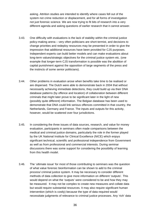asking. Attrition studies are intended to identify where cases fell out of the system not crime reduction or displacement, and for all forms of investigation not just forensic science. We are now trying to fit bits of research into a very different agenda and asking questions of earlier research that it cannot answer.

- 3.43. One difficulty with evaluations is the lack of stability within the criminal justice policy-making arena – very often politicians are short-termist, and decisions to change priorities and redeploy resources may be presented in order to give the impression that additional resources have been provided for CJS purposes. Independent experts can build better models and can make evaluations about long-term values/strategic objectives for the criminal justice system etc. (one example that longer-term CJS transformation is possible was the abolition of capital punishment against the opposition of large segments of the press and the instincts of some senior politicians).
- 3.44. Other problems in evaluation arose when benefits take time to be realised or are dispersed. The Dutch were able to demonstrate back in 2004 that without necessarily achieving immediate detections, they could build up via their DNA database patterns (by offence and location) of collaboration between different criminals that might later prove to be significant later in the light of new (possibly quite different) information. The Belgian database has been used to demonstrate that DNA could link serious offences committed in that country, the Netherlands, Germany and France. The inputs and outputs for this activity, however, would be scattered over four jurisdictions.
- 3.45. In considering the three issues of data sources, research, and value for money evaluation, participants in seminars often made comparisons between the medical and criminal justice domains, particularly the role in the former played by the UK National Institute for Clinical Excellence (NICE) which enjoys significant technical, scientific and professional independence from Government as well as from professional and commercial interests. During seminar discussions there was some support for considering the possibility of learning from this health model.
- 3.46. The 'ultimate issue' for most of those contributing to seminars was the question of what value forensic bioinformation can be shown to add to the criminal process/ criminal justice system. It may be necessary to consider different methods of data collection to give more information on different 'outputs'. This would depend on what the 'outputs' were considered to be and how they may be measured. It may not be complex to create new measures and collate data but would require substantial resources. It may also require significant human intervention (which is costly) because the type of data required would necessitate judgments of relevance to criminal justice processes. Any 'rich' data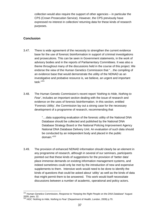collection would also require the support of other agencies – in particular the CPS (Crown Prosecution Service). However, the CPS previously have expressed no interest in collection/ returning data for these kinds of research purposes.

## **Conclusion**

1

- 3.47. There is wide agreement of the necessity to strengthen the current evidence base for the use of forensic bioinformation in support of criminal investigations and prosecutions. This can be seen in Government statements, in the work of advisory bodies and in the reports of Parliamentary Committees. It was also a theme throughout many of the discussions held in the course of this project. We endorse the view of the Human Genetics Commission that "…the compiling of an evidence base that would demonstrate the utility of the NDNAD as an investigative and probative resource is, we believe, an urgent and important task."101
- 3.48. The Human Genetic Commission's recent report '*Nothing to Hide, Nothing to Fear'*, includes an important section dealing with the issue of research and evidence on the uses of forensic bioinformation. In this section, entitled 'Forensic Utility', the Commission lay out a strong case for the necessary development of a programme of research, recommending that

"....data supporting evaluation of the forensic utility of the National DNA Database should be collected and published by the National DNA Database Strategy Board or the National Policing Improvement Agency National DNA Database Delivery Unit. An evaluation of such data should be conducted by an independent body and placed in the public domain."<sup>102</sup>

3.49. The provision of enhanced NDNAD information should clearly be an element in any programme of research, although in several of our seminars, participants pointed out that these kinds of suggestions for the provision of 'better data' place immense demands on existing information management systems, and indeed sometimes could only be met by the introduction of new and expensive supplements to them. Intensive work would need to be done to identify the kinds of questions that could be asked about 'utility' as well as the kinds of data that might permit them to be answered. This work would itself necessitate discussions between a number of academic, operational and policy actors.

<sup>101</sup> Human Genetics Commission, *Response to "Keeping the Right People on the DNA Database*" August 2009, para. 22.

<sup>102</sup> HGC '*Nothing to Hide, Nothing to Fear'* (Department of Health, London, 2009) p.70.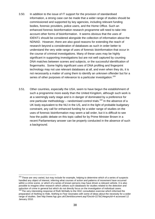- 3.50. In addition to the issue of IT support for the provision of standardised information, a strong case can be made that a wider range of studies should be commissioned and supported by key agencies, including relevant funding bodies, forensic providers, police users, and the Home Office. Such an enhanced forensic bioinformation research programme will need to take into account other forms of bioinformation. It seems obvious that the uses of IDENT1 should be considered alongside the collection of information about the NDNAD. However, there are also good reasons for extending the reach of research beyond a consideration of databases as such in order better to understand the very wide range of uses of forensic bioinformation that occur in the course of criminal investigations. Many of these uses may be highly significant in supporting investigations but are not well captured by counting DNA matches between scenes and subjects, or the successful identification of fingermarks. Some highly significant uses of DNA profiling and fingerprint technology may not use relevant databases at all, and even when they do, it is not necessarily a matter of using them to identify an unknown offender but for a series of other purposes of relevance to a particular investigation.<sup>103</sup>
- 3.51. Other countries, especially the USA, seem to have begun the establishment of such a programme more easily than the United Kingdom, although such work is at a seemingly early stage and is in danger of dominated by a preference for one particular methodology – randomised control trials.<sup>104</sup> In the absence of a UK body equivalent to the NIJ in the US, and in the light of probable budgetary constraint, any call for enhanced funding for a wider range of studies on the uses of forensic bioinformation may seem a tall order, but it is difficult to see how the public debate on this topic called for by Prime Minister Brown in a recent Parliamentary answer can be properly conducted in the absence of such a background.

<sup>&</sup>lt;sup>103</sup> These are very varied, but may include for example, helping to determine which of a series of suspects handled any object of interest, inferring what courses of action and patterns of movement have occurred within a crime scene, or which of a series of known persons may have driven a relevant vehicle. It is also possible to imagine other research which utilises such databases for studies related to the detection and reduction of crime in general but which do not directly focus on the investigation of individual cases.<br><sup>104</sup> The very interesting response of Ruth McNally to the HGC consultation exercise which informed the

preparation of *Nothing to Hide, Nothing to Fear* resonates with some of ideas about the necessity for a wider range of studies. See http://www.hgc.gov.uk/Client/document.asp?DocId=227&CAtegoryId=4 accessed 12 January 2010.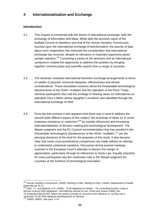# **4 Internationalisation and Exchange**

# **Introduction**

- 4.1. This chapter is concerned with the theme of international exchange: both the exchange of information and ideas. While both the previous report of the Nuffield Council on Bioethics and that of the Human Genetics Commission touched upon the international exchange of bioinformation, the paucity of data about such cooperation has restricted the consideration that international exchange has received, despite its relevance to important arguments about sample retention.<sup>105</sup> Convening a series of UK seminars and an international symposium created the opportunity to address this problem by bringing together criminal justice and scientific experts from a range of countries.
- 4.2. The seminars reviewed international biometric exchange arrangements in terms of validity of purpose, technical obstacles, effectiveness and ethical considerations. These elucidated concerns about the foreseeable technological obsolescence of the SGM+ multiplex and the operation of the Prüm Treaty. Seminar participants also had the privilege of hearing views on international cooperation from a father whose daughter's murderer was identified through the international exchange of DNA.
- 4.3. From the first seminar it was apparent that there was a need to address the second quite different aspect of this subject: the exchange of ideas (or in some instances resistance or 'seduction'<sup>106</sup> by outside influences) and increasing internationalisation of decision making and technological development. The *Marper* judgment and the EU Council recommendation that has resulted in the foreseeable technological obsolescence of the SGM+ multiplex.<sup>107</sup> are the principal decisions of this kind for the purposes of this study. It also became clear that some cross-jurisdictional comparisons are made without an attempt to understand contextual variations. Discussion during several meetings reverted to the European Court's attempts to discern the margin of appreciation, particularly through its references to Scots Law. Equally important for many participants was the cautionary note in the *Marper* judgment for countries at the forefront of technological innovation:

<sup>1</sup> 105 Human Genetics Commission, (2009) *'Nothing to Hide, Nothing to Fear'* London, Department of Health; especially pp.70-71.

<sup>106</sup> Dahl, J.Y. and Sætnan, A.R. (2009), ' "It all happened so slowly" – On controlling function creep in forensic science DNA databases', *International Journal of Law, Crime and Justice* (2009), doi: 10.1016/j.ijcj.2009.04.002, where the authors provide an account of the influence or, as they see it, 'seduction' of UK DNA database developments on Norway.

<sup>107 2009/</sup>C 296/01: See para. 4.74.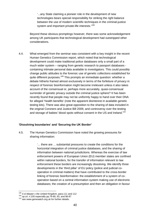'...any State claiming a pioneer role in the development of new technologies bears special responsibility for striking the right balance between the use of modern scientific techniques in the criminal-justice system and important private-life interests.<sup>'108</sup>

 Beyond these obvious promptings however, there was some acknowledgement among UK participants that technological development had outstripped other considerations.

4.4. What emerged from the seminar was consistent with a key insight in the recent Human Genetics Commission report, which noted that technological development could make traditional police databases only a small part of a much wider system – ranging from genetic research to passport databases containing intimate personal data available to investigators. This could possibly change public attitudes to the forensic use of genetic collections established for quite different purposes.<sup>109</sup> This prompts an immediate question: whether a debate hitherto framed almost exclusively in terms of the forfeiture of privacy in respect of forensic bioinformation might become irrelevant unless it also takes account of the consensual or, perhaps more accurately, quasi-consensual surrender of genetic privacy outside the criminal justice sphere? It has been recently found that people may not be uniformly happy to hand over their DNA for alleged 'health benefits' (note the apparent disinterest in available genetic testing kits). There was also great opposition to the sharing of data included in the original Coroners and Justice Bill 2009, and controversy over the testing and storage of babies' blood spots without consent in the US and Ireland.<sup>110</sup>

## **'Dissolving boundaries' and 'Securing the UK Border'**

4.5. The Human Genetics Commission have noted the growing pressures for sharing information:

> '... there are ... substantial pressures to create the conditions for the horizontal integration of criminal justice databases, and the sharing of information between national jurisdictions. Whereas the exercise of law enforcement powers of European Union (EU) member states are confined within national borders, for the transfer of information relevant to law enforcement these borders are increasingly dissolving. We identify three developments in the 'third pillar' of EU policy (police and judicial cooperation in criminal matters) that have contributed to the cross-border linking of forensic bioinformation: the establishment of a system of cooperation based on a central information system making use of electronic databases; the creation of a presumption and then an obligation in favour

<sup>&</sup>lt;sup>108</sup> S & Marper v the United Kingdom, para.111 and 112

<sup>109</sup> *op.cit.* n.105 especially pp.79-80, 83, and 86-87<br><sup>109</sup> see www.genewatch.org.uk for further details.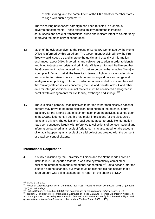of data sharing; and the commitment of the UK and other member states to align with such a system<sup>'.111</sup>

The 'dissolving boundaries' paradigm has been reflected in numerous government statements. These express anxiety about the increasing seriousness and scale of transnational crime and indicate intent to counter it by improving the machinery of cooperation.

- 4.6. Much of the evidence given to the House of Lords EU Committee by the Home Office is informed by this paradigm. The Government explained how the Prüm Treaty would 'speed up and improve the quality and quantity of information exchanged' about DNA, fingerprints and vehicle registration in order to identify and bring to justice terrorists and criminals. Ministers informed Parliament that the Government had negotiated hard 'to get an outcome that enables [them] to sign up to Prüm and get all the benefits in terms of fighting cross-border crime and counter terrorism where so much depends on good data exchange and intelligence led policing'.<sup>112</sup> In turn, parliamentarians and ethicists emphasised that 'privacy-related issues concerning the use and transfer of DNA and other data for inter-jurisdictional criminal matters must be considered and agreed in parallel with arrangements for availability, exchange and linkage'.<sup>113</sup>
- 4.7. There is also a paradox: that initiatives to harden rather than dissolve national borders may prove to be more significant harbingers of the potential future trajectory for the forensic use of bioinformation than the activities touched upon in the *Marper* judgment. If so, this has major implications for the discourse of rights and privacy. The ethical and legal debate about forensic bioinformation has been conducted largely with reference to collections of genetic material and information gathered as a result of forfeiture. It may also need to take account of what is happening as a result of parallel collections created with the consent or quasi-consent of citizens.

#### **International Cooperation**

4.8. A study published by the University of Leiden and the Netherlands Forensic Institute in 2000 reported that there was little systematically compiled or published information about international cooperation.<sup>114</sup> Half a decade later the situation had not changed, but what could be gleaned did not indicate that a large amount was being exchanged. A report on the sharing of DNA

<sup>111</sup> op.cit. n.105 p.84.

<sup>111</sup> *op.cit.* n.105 p.84. 112 House of Lords European Union Committee (2007)18th Report HL Paper 90, Session 2006-07 (London, TSO), Ev.1-2 and Q8.<br>TSO), Ev.1-2 and Q8.<br><sup>113</sup> Nuffield Council on Bioethics (2007), *The Forensic use of Bioinformation: Ethical Issues*, p.105.

<sup>113</sup> Nuffield Council on Bioethics (2007), *The Forensic use of Bioinformation: Ethical Issues*, p.105. 114 Joubert, C. and Bevers, H. 'International Exchange of Police Data and Forensic Expertise' in Nijboer, J.F. and Sprangers, W.J.J. M. (eds), *Harmonisation in Forensic Expertise: An inquiry into the desirability of and opportunities for international standards*, Amsterdam: Thelma Thesis 2000, p.485).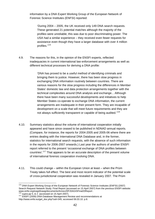information by a DNA Expert Working Group of the European Network of Forensic Science Institutes (ENFSI) reported:

'During 2004 – 2005, the UK received only 149 DNA search requests. These generated 21 potential matches although the majority of the profiles were unreliable; this was due to poor discriminating power. The USA had a similar experience – they received even fewer requests for assistance even though they have a larger database with over 4 million profiles.'115

4.9. The reasons for this, in the opinion of the ENSFI experts, reflected inadequacies in current international law enforcement arrangements as well as different technical processes for deriving a DNA profile:

> 'DNA has proved to be a useful method of identifying criminals and bringing them to justice. However, there has been slow progress in exchanging DNA information routinely between countries. There are various reasons for the slow progress including the differences in Member States' domestic law and data protection arrangements together with the technical complexities around DNA analysis and exchange... Although there have been many successful developments and initiatives to help Member States co-operate to exchange DNA information, the current arrangements are inadequate in their present form. They are incapable of development on a scale that will meet future requirements and they are not always sufficiently transparent or capable of being audited.<sup>116</sup>

- 4.10. Summary statistics about the volume of international cooperation initially appeared and have since ceased to be published in NDNAD annual reports. (Compare, for instance, the reports for 2004-2005 and 2005-06 where there are entries dealing with the International DNA Database and, in the former, statistics for international search requests, with the absence of such information in the reports for 2006-2007 onwards.) Last year the authors of another ENSFI report referred to the present 'occasional exchange of DNA profiles between countries'.117 That appears to be an accurate description of the present volume of international forensic cooperation involving DNA.
- 4.11. This could change within the European Union at least when the Prüm Treaty takes full effect. The best and most recent indicator of the potential scale of cross-jurisdictional cooperation was revealed in January 2007. The Prüm

<sup>&</sup>lt;sup>115</sup> DNA Expert Working Group of the European Network of Forensic Science Institutes (ENFSI) (2007) Search Request Network Study: Final Report (accessed on 15 April 2007) from the previous ENSFI website: www.enfsi.org/ewg/dnawg/documents/Annex20F20AGISFinal20Report .<br>
<sup>116</sup> supra pp 5, & 2 (accessed on 15 April 2007).

<sup>&</sup>lt;sup>117</sup> ENSFI (2009) DNA-Database Management Review and recommendations at http://www.enfsi.eu/get\_doc.php?uid=345, accessed 06.03.10. p.8.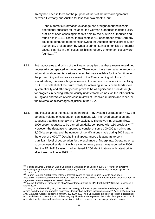Treaty had been in force for the purpose of trials of the new arrangements between Germany and Austria for less than two months, but:

'…the automatic information exchange has brought about noticeable operational success: for instance, the German authorities matched DNA profiles of open cases against data held by the Austrian authorities and found hits in 1,510 cases. In this context 710 open traces from Germany could be attributed to persons known to the Austrian criminal prosecution authorities. Broken down by types of crime, 41 hits in homicide or murder cases, 885 hits in theft cases, 85 hits in robbery or extortion cases were found….'.<sup>118</sup>

- 4.12. Both advocates and critics of the Treaty recognise that these results would not necessarily be repeated in the future. There would have been a large amount of information about earlier serious crimes that was available for the first time to the prosecuting authorities as a result of the Treaty coming into force.<sup>119</sup> Nevertheless, this was a huge increase in the volume of cooperation involving DNA. The potential of the Prüm Treaty for obtaining serious crime leads more systematically and efficiently could prove to be as significant a breakthrough, for progress in dealing with previously undetectable crimes, as the introduction in England and Wales of cold case reviews of unsolved murders and rapes, or the reversal of miscarriages of justice in the USA.
- 4.13. The installation of the most recent Interpol AFIS system illustrates both how the potential volume of cooperation can increase with improved automation and suggests that this is not always fully exploited. The new AFIS system allows 1000 search requests to be carried out daily, compared with 160 previously.<sup>120</sup> However, the database is reported to consist of some 100,000 ten prints and 3,000 latent prints, and the number of identifications made during 2009 was in the order of  $1,000$ .<sup>121</sup> Despite initial appearances this appears to be a significant level of cooperation for the exchange of fingerprints. Operating on a sub-continental scale, but within a single unitary state it was reported in 2006 that the FBI IAFIS system had achieved 1,200 identifications with latent prints after it went online in 1999.<sup>122</sup>

<sup>1</sup> 118 House of Lords European Union Committee, 18th Report of Session 2006–07, *Prüm: an effective*  weapon against terrorism and crime?, HL paper 90, (London: The Stationery Office Limited) pp. 15-16.<br><sup>119</sup> supra p.16.<br><sup>120</sup> Sagem Sécurité (2009) Press release: Interpol places its trust in Sagem Sécurité once again:

http://www.sagem-securite.com/references-263/criminal-justice-police-264/article/interpol-places-its-trust-insagem-securite-once-again, accessed 090310 .

<sup>&</sup>lt;sup>121</sup> Interpol Fact Sheet: Fingerprints http://www.interpol.int/Public/ICPO/FactSheets/FS03.pdf, accessed 9 March 2010.

 $122$  Dror, I.E. and Mnookin, J.L., 'The use of technology in human expert domains: challenges and risks arising from the use of automated fingerprint identification systems in forensic science', *Law, probability and Risk,* Advance Access, published January 22, 2010, p.8. The FBI statistics are likely to reflect jurisdictional responsibilities and like the Interpol data may significantly under represent the scale of cooperation, if much of this is directly between lower level jurisdictions. It does, however, put the Interpol data in context.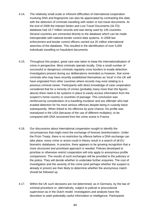- 4.14. The relatively small scale or inherent difficulties of international cooperation involving DNA and fingerprints can also be appreciated by contrasting this data with the detection of criminals travelling with stolen or lost travel documents. At the end of 2008 the Interpol Stolen and Lost Travel Documents (SLTD) database had 16.7 million records and was being used by 145 countries. Several countries are connected directly to the database which can be made interoperable with national border control data systems. In 2008 law enforcement and border control officers carried out 25 million international searches of the database. This resulted in the identification of over 5,000 individuals travelling on fraudulent documents.
- 4.15. Throughout this project, great care was taken to keep the internationalisation of crime in perspective. Most criminals operate locally. Only a small number of successful or dangerous criminals regularly cross borders to evade detection. Investigators present during our deliberations reminded us however, that some criminals who may have recently established themselves as 'local' in the UK will have originated from other countries where records may exist relating to a previous criminal career. Participants with direct knowledge of case cooperation considered that for a minority of crimes (probably many more than the figures above) there need to be systems in place to easily access information from the suspect's home country or countries of passage. This conclusion was reinforced by consideration of a travelling murderer and sex offender who had evaded detection for his most serious offences despite being in custody twice subsequently. When linked to his offences by pure chance, his profile was reanalysed in the USA (because of the use of different multiplex), to be compared with DNA recovered from the crime scene in France.
- 4.16. Our discussions about international cooperation sought to identify the circumstances that might merit the exchange of forensic bioinformation. Under the Prüm Treaty, there is no restriction by offence before a DNA exchange can take place: every crime or arrest could in theory result in a search of all EU biometric databases. In practice, there appears to be growing recognition that a more structured and prioritised approach is needed. Policies developed to prioritise or otherwise restrict cooperation will only apply to anonymous profile comparisons. The results of such exchanges will be provided to the judiciary or the police. They will decide whether to undertake further enquiries. The cost of investigation and the severity of the crime (and perhaps whether the suspect is already in prison) are then likely to determine whether the anonymous match should be followed up.
- 4.17. Within the UK such decisions are not determined, as in Germany, by the law of criminal procedure or, alternatively, subject to judicial or procuratorial supervision as in the Dutch model. Investigators and analysts have the discretion to seek potentially useful information or intelligence. Participants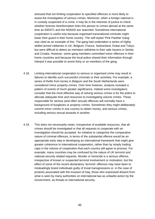stressed that not limiting cooperation to specified offences is more likely to assist the investigation of serious crimes. Moreover, when a foreign national is in custody suspected of a crime, it may be in the interests of justice to check whether forensic bioinformation links this person to crimes abroad at the same time as IDENT1 and the NDNAD are searched. Sometimes international cooperation is useful only because organised transnational criminals might lower their guard in their home country. The self-styled 'Pink Panther Gang' was cited as an example of this. The gang had undertaken a series of highly skilled armed robberies in UK, Belgium, France, Switzerland, Dubai and Tokyo, but were difficult to detect as members withdrew to their safe havens in Serbia and Croatia. However, some gang members committed minor offences in their home countries and because the local police shared their information through Interpol it was possible to arrest thirty or so members of the gang.

- 4.18. Limiting international cooperation to serious or organised crime may result in failures to identify such successful criminals or their activities. For example, a series of thefts from lorries in Belgium and the South Netherlands were considered minor property crimes. Over time however, analysis revealed a pattern of events of much greater significance. Indeed some investigators consider that the most effective way of solving serious crimes is for the police to allocate adequate time and resources to investigating volume crimes. Those responsible for serious (and often sexual) offences will normally have a background of burglaries or property crimes. Sometimes they might deliberately commit minor crimes in one country to obtain money, and serious crimes, including serious sexual assaults in another.
- 4.19. This does not necessarily mean, irrespective of available resources, that all crimes should be investigated or that all requests to cooperate with an investigation should be accepted. An initiative to categorise the comparative nature of criminal offences, in terms of the substantial offence would be an appropriate early step in developing an international framework that might give greater coherence to international cooperation, rather than by simply trading caps in the volume of cooperation that each country will agree to process. For example, many countries may be confused by the nature of UK terrorist and national security related requests. Murder or homicide is a serious offence, irrespective of known or suspected terrorist involvement or motivation, but the effect of some of the recent declaratory 'terrorist' offences may have been to misleadingly brand individuals guilty of trivial transgressions or, in the case of protests associated with the invasion of Iraq, those who expressed dissent from what is seen by many authorities on international law as unlawful action by the Government, as threats to international security.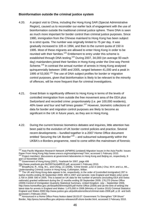## **Bioinformation outside the criminal justice system**

- 4.20. A project visit to China, including the Hong Kong SAR (Special Administrative Region), caused us to reconsider our earlier lack of engagement with the use of bioinformation outside the traditional criminal justice sphere. There DNA is seen as much more important for border control than criminal justice purposes. Since 1980, immigration from the Chinese mainland to Hong Kong has been subject to a strict quota. The number was originally limited to 75 per day. It was gradually increased to 105 in 1994, and then to the current quota of 150 in 1995. Most of these migrants are allowed to enter Hong Kong in order to be reunited with their families.<sup>123</sup> Entitlement to entry under this scheme is established through DNA testing.<sup>124</sup> During 2007, 34,000 (on average 93 each day) mainlanders joined their families in Hong Kong under the One-way Permit Scheme.<sup>125</sup> In contrast the annual number of arrests in Hong Kong analysed quinquennially between 1990 and 2005, ranged between 41,000 and a peak in 1995 of 53,000.<sup>126</sup> The use of DNA subject profiles for border or migration control purposes, given that bioinformation is likely to be relevant to the minority of offences, will be more frequent than for criminal investigations.
- 4.21. Great Britain is significantly different to Hong Kong in terms of the levels of controlled immigration from outside the free movement area of the EEA plus Switzerland and recorded crime: proportionately (i.e. per 100,000 residents), 40% lower and four and half times greater.<sup>127</sup> However, biometric collections of data for border and migration control purposes are likely to become as significant in the UK in future years, as they are in Hong Kong.
- 4.22. During the current forensic biometrics debates and inquiries, little attention has been paid to the evolution of UK border control policies and practice. Several recent developments – bundled together in a 2007 Home Office document entitled 'Securing the UK Border'<sup>128</sup> – and subsumed subsequently within the UKBA's e-Borders programme, need to come within the mainstream of forensic

<sup>1</sup> <sup>123</sup> Asia Pacific Migration Research Network (APMRN) (undated) Migration Issues in the Asia Pacific: Issues Paper From Hong Kong http://www.unesco.org/most/apmrnwp7.htm, accessed 1 February 2010.

<sup>124</sup> Project members' discussions at government laboratories in Hong Kong and Beijing on, respectively, 9 and 13 November 2009.

<sup>&</sup>lt;sup>125</sup> Government of Hong Kong (2007), Yearbook for 2007, page 406

http://www.yearbook.gov.hk/2007/en/pdf/E20.pdf, accessed 1 February 2010.

<sup>126</sup> Broadhurst, R., King, W.L. and Ching, LC (2008), 'Crime trends', p.62 in (eds.) Chui, W.H. and Lo, WL., *Understanding Criminal Justice in Hong Kong*, Cullompton, Willan. 127 The UK and Hong Kong data appear to be, respectively, in the order of (controlled immigration) 287 in

twelve months ending 30 September 2009: 490 in 2007 and (arrests: note England and Wales only) some 2,700 in 2008: 590 in 2005. This is based on UK data for the number of persons (excluding EEA and Swiss nationals) granted settlement during the 12 months ending 30 September 2009: 176,270 (Home Office (2009) Control of Immigration Quarterly Statistical Summary, United Kingdom: July – September 2009, http://www.homeoffice.gov.uk/rds/pdfs09/immiq309.pdf Home Office (2009) and (at the time of writing) the latest data for arrests in England and Wales: 1,475,000 in 2008 (Ministry of Justice 2010) Criminal Statistics: England and Wales 2008 http://www.justice.gov.uk/publications/docs/criminal-stats-2008.pdf, p.16 and both accessed 1 February 2010.

<sup>128</sup> Announced in a Home Office Press Notice dated 28.03.07: Government To Strengthen "Off-Shore" Border, http://press.homeoffice.gov.uk/press-releases/off-shore-border.html, accessed 2 February 2010.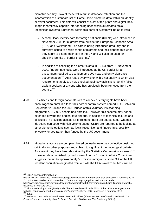biometric scrutiny. Two of these will result in database retention and the incorporation of a standard set of Home Office biometric data within an identity or travel document. This data will consist of a set of ten prints and digital facial image theoretically capable later of being used within automated facial recognition systems. Enrolment within this parallel system will be as follows:

- A compulsory identity card for foreign nationals (ICFNs) was introduced in November 2008 for migrants from outside the European Economic Area (EEA) and Switzerland. The card is being introduced gradually and is currently issued to a wide range of migrants and their dependants when they apply to extend their stay in the UK and will also be used for checking identity at border crossings.<sup>129</sup>
- In addition to checking the biometric data in ICFNs, from 30 November 2009, fingerprint checks were introduced at the UK border for all passengers required to use biometric UK visas and entry clearance documentation.130 As a result every visitor with a nationality to which visa requirements apply are now checked against watchlists to identify failed asylum seekers or anyone who has previously been removed from the country.<sup>131</sup>
- 4.23. UK citizens and foreign nationals with residency or entry rights have been encouraged to enrol in a fast-track border control system named IRIS. Between September 2008 and the 2006 launch of this voluntary iris scanning programme, 217,000 people had enrolled. However, this scheme may not be extended beyond the original four airports. In addition to technical failures and difficulties in providing access for enrolment, there are doubts about whether iris scans can cope with high volume usage. UKBA are reported to be looking at other biometric options such as facial recognition and fingerprints, possibly 'privately funded rather than funded by the UK government'.<sup>132</sup>
- 4.24. Migration statistics are complex, based on inadequate data collection designed originally for other purposes and subject to significant methodological debate. As a result they have been described by the Statistics Commission as 'weak'.<sup>133</sup> However, data published by the House of Lords Economic Affairs Committee suggests that up to approximately 5.5 million immigrants (some 9% of the UK resident population) originated from outside the EEA travel zone. Most will be

<sup>&</sup>lt;sup>129</sup> UKBA website information at

http://www.bia.homeoffice.gov.uk/managingborders/idcardsforforeignnationals/, accessed 1 February 2010.<br><sup>130</sup> UKBA Press Release 25 November 2009 Introducing fingerprint checks at the border,

http://www.bia.homeoffice.gov.uk/sitecontent/newsarticles/2009/november/introducing-fingerprint-checks, accessed 1 February 2010.

<sup>&</sup>lt;sup>131</sup> Airport-technology. com (2008) Body Check: interview with Julie Gillis, of the UK Border Agency, on website, http://www.airport-technology.com/features/feature41603/, accessed 2 February 2010.<br><sup>132</sup> *supra*.<br><sup>133</sup> House of Lords Select Committee on Economic Affairs (2008), *1st Report of Session 2007–08: The* 

*Economic Impact of Immigration, Volume I: Report,* p.10 (London: The Stationery Office).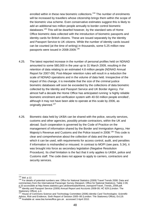enrolled within in these new biometric collections.<sup>134</sup> The number of enrolments will be increased by travellers whose citizenship brings them within the scope of the biometric visa scheme. Even conservative estimates suggest this is likely to add an additional two million people annually to border control biometric databases.<sup>135</sup> This will be dwarfed however, by the standard sets of Home Office biometric data collected with the introduction of biometric passports and identity cards for British citizens. These are issued separately by the Identity and Passport Service to UK citizens. While the number of identity cards issued can be counted (at the time of writing) in thousands, some 5.25 million new passports were issued in 2008-2009.<sup>136</sup>

- 4.25. The latest reported increase in the number of personal profiles held on NDNAD amounted to some 580,000 in the year up to 31 March 2009, resulting in the retention of data relating to an estimated 4.8 million people (NDNAD Annual Report for 2007-09). Post-*Marper* retention rules will result in a reduction the scale of NDNAD operations and in the volume of data held. Irrespective of the impact of this change, it is inevitable that the size of the criminal justice biometric databases will soon be exceeded by the collections of data biometric collected by the Identity and Passport Service and UK Border Agency. For almost half a decade the Home Office has anticipated running 'a highly reliable biometric enrolment and verification system with 40-50 million people enrolled', although it may not have been able to operate at this scale by 2006, as originally planned.<sup>137</sup>
- 4.26. Biometric data held by UKBA can be shared with the police, security services, customs and other agencies, possibly private contractors, within the UK and abroad. Such cooperation is governed by the Code of Practice on the management of information shared by the Border and Immigration Agency, Her Majesty's Revenue and Customs and the Police issued in 2008.<sup>138</sup> This code is clear and comprehensive about the collection of data and the purposes to which it can be used, with requirements for access control, audit, and penalties if information is mishandled or misused. In contrast to MOPI (see para. 5.34), it was brought into force as secondary legislation (Negative Resolution Procedure). Its chief limitation is the fact that it only applies to UKBA, police and Customs staff. The code does not appear to apply to carriers, contractors and security services.

 $134$  ibid. p.12.

<sup>135</sup> For details of potential numbers see: Office for National Statistics (2009) Travel Trends 2008: Data and commentary from the International Passenger Survey (Newport, Office for National Statistics), Table 2.09, p.33 accessible at http://www.statistics.gov.uk/downloads/theme\_transport/Travel\_Trends\_2008.pdf. 136 Identity and Passport Service (2009) *Annual Report and Accounts 2008-09*, HC 629 (London: The Stationery Office), p.4.

<sup>137</sup> House of Commons Science and Technology Committee (2006) *Identity Card Technologies: Scientific Advice, Risk and Evidence,* Sixth Report of Session 2005–06 (London: The Stationery Office), Ev119. 138 Available at: www.bia.homeoffice.gov.uk . accessed 3 April 2010.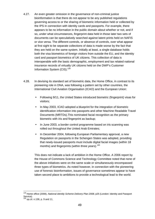- 4.27. An even greater omission in the governance of non-criminal justice bioinformation is that there do not appear to be any published regulations governing access to or the sharing of biometric information held or collected by the IPS in connection with identity cards and passports. For example, there appears to be no information in the public domain about whether or not, and if so, under what circumstances, fingerprint data held in those later two sets of documents can be speculatively searched against latent prints held on NAFIS or vice versa. The different controls, or absence of controls, over what appear at first sight to be separate collections of data is made worse by the fact that they are held on the same system. Initially at least, a single database holds both the visa biometrics of foreign visitors from outside the EU, and the identity card and passport biometrics of UK citizens. This collection of data is interoperable with the basic demographic, employment and tax related national insurance records of virtually UK citizens held on the DWP's Customer Information System (CIS).<sup>139</sup>
- 4.28. In devising its standard set of biometric data, the Home Office, in contrast to its pioneering role in DNA, was following a pattern set by other countries, the International Civil Aviation Organisation (ICAO) and the European Union:
	- Following 9/11, the United States introduced biometric (fingerprint) visas for visitors;
	- In May 2003, ICAO adopted a blueprint for the integration of biometric identification information into passports and other Machine Readable Travel Documents (MRTDs).This nominated facial recognition as the primary biometric with iris and fingerprint as backup;
	- In June 2003, a border control programme based on iris scanning was rolled out throughout the United Arab Emirates;
	- In December 2004, following European Parliamentary approval, a new Regulation on passports in the Schengen States was adopted, providing that newly-issued passports must include digital facial images (within 18 months) and fingerprints (within three years).<sup>140</sup>

This does not indicate a lack of ambition in the Home Office. A 2006 report by the House of Commons Science and Technology Committee noted that none of the above initiatives were on the same scale or simultaneously encompassed three types of biometrics. As noted however, in connection with the pioneering use of forensic bioinformation, issues of governance sometimes appear to have taken second place to ambitions to provide a technological lead to the world.

<sup>139</sup> Home office (2008), *National identity Scheme Delivery Plan 2008*, p25 (London: Identity and Passport Service).

<sup>140</sup> *op.cit*. n.136, p. 9 and 11.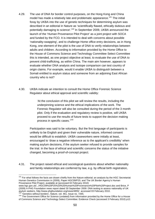- 4.29. The use of DNA for border control purposes, on the Hong Kong and China model has made a relatively late and problematic appearance.<sup>141</sup> The initial foray by UKBA into the use of genetic techniques for determining asylum was described in an editorial in Nature as 'scientifically flawed, ethically dubious and potentially damaging to science'.<sup>142</sup> In September 2009, UKBA announced the launch of the 'Human Provenance Pilot Project' as a joint project with SOCA and funded by the FCO. It is intended to deal with concerns about possible 'nationality-swapping', and to challenge Home office entry decisions, as in Hong Kong, one element of the pilot is the use of DNA to verify relationships between adults and children. According to information provided by the Home Office to the House of Commons Science and Technology Committee Select Committee this is intended, as one project objective at least, to evaluate the use of DNA to prevent child-trafficking, as within China. The main aim however, appears to evaluate whether DNA analysis and isotope comparison can test country of origin claims. For example, would it enable UKBA to distinguish between a Somali entitled to asylum status and someone from an adjoining East African country who is not?
- 4.30. UKBA indicate an intention to consult the Home Office Forensic Science Regulator about ethical approval and scientific validity:

'At the conclusion of this pilot we will review the results, including the underpinning science and the ethical implications of the work. The Forensic Regulator will also be consulted during the period of the 3 month pilot. Only if the evaluation and regulatory review is positive, will UKBA proceed to use the results of future tests to support the decision making process in specific cases.'143

Participation was said to be voluntary. But the first language of participants is unlikely to be English and given their vulnerable nature, informed consent would be difficult to establish. UKBA caseworkers were initially at least, encouraged to 'draw a negative inference as to the applicant's credibility' when making asylum decisions, if the asylum seeker refused to provide samples for the trial. In the face of ethical and scientific concerns the status of the initiative changed, becoming a proof-of-concept project.

4.31. The project raised ethical and sociological questions about whether nationality and family relationships are conferred by law, e.g. by official birth registration,

<sup>1</sup>  $141$  For what follows the facts are drawn chiefly from the Nature editorial; an analysis by the HGC Secretariat: Human Genetics Commission in (2009), Paper HGC09/P25; and The UK Border Agency's Human Provenance Pilot Project, available at (accessed 02 February 2010)

www.hgc.gov.uk/.../HGC09%20P25%20%20Human%20Provenance%20Pilot%20Project.doc and Brice, P (2009) A PHG Foundation news report dated 30 September 2009: DNA testing to assess nationality of UK asylum seekers, http://www.phgfoundation.org/news/4855/ accessed 03 February 2010.

 $142^{\prime}$  Genetics without borders', Nature, vol. 461, Issue no. 7265.<br><sup>143</sup> The Government Office for Science (undated) from information provided by the Home Office for a House of Commons Science and Technology Select Committee: Evidence Check (accessed 3 February 2010) p12.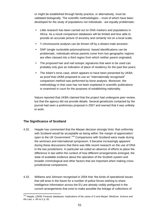or might be established through family practice, or alternatively, must be validated biologically. The scientific methodologies – most of which have been developed for the study of populations not individuals - are equally problematic:

- Little research has been carried out on DNA markers and populations in Africa. As a result comparison databases will be limited and less able to provide an accurate picture of ancestry and certainly not on a local scale;
- Y-chromosome analysis can be thrown off by a distant male ancestor;
- SNP (single nucleotide polymorphisms) -based identifications can be problematic, individuals whose parents come from two geographic regions are often classed into a third region from which neither parent originated;
- The proposed hair and nail isotopic signatures that were to be used can probably only give an indication of place of residency for the past few years;
- The Adam's torso case, which appears to have been presented by UKBA as proof that UKBA proposed to use an "internationally recognised" comparison method was performed by bone analysis. Moreover, the methodology in that case has not been explained in scientific publications or examined in court for the purposes of establishing nationality.

Nature reported that UKBA claimed that the project had undergone peer review, but that the agency did not provide details. Several geneticists contacted by the journal had seen a preliminary proposal in 2007 and warned that it was unlikely to work.

## **The Significance of Scotland**

- 4.32. Hepple has commented that the *Marper* decision strongly hints 'that uniformity with Scotland would be acceptable as being within 'the margin of appreciation' open to the UK Government'.<sup>144</sup> Comparisons with Scotland were made during the seminars and international symposium. It became increasingly apparent during these discussions that there was little recent research on the use of DNA in the two jurisdictions. In particular we noted an absence of efforts to place the difference in law within the context of how different arrangements emerged, the state of available evidence about the operation of the Scottish system and broader criminological and other factors that are important when making crossjurisdictional comparisons.
- 4.33. Williams and Johnson recognised in 2004 that 'the kinds of operational issues that will arise in the future for a number of police forces wishing to share intelligence information across the EU are already visibly prefigured in the current arrangements that exist to make possible the linkage of collections of

<sup>1</sup> 144 Hepple, (2009) 'Forensic databases: implications of the cases of S and *Marper*' *Medicine, Science and the Law*, v. 49 no.2 p. 82.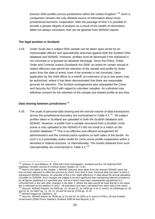forensic DNA profiles across jurisdictions within the United Kingdom'.145 Such a comparison remains the only detailed source of information about crossjurisdictional biometric cooperation. With the passage of time it is possible to provide a greater degree of analysis as a result of the wealth of information, albeit not always consistent, that can be gleaned from NDNAD reports.

#### **The legal position in Scotland**

4.34. Under Scots law a subject DNA sample can be taken upon arrest for an imprisonable offence and speculatively searched against both the Scottish DNA database and NDNAD. However, profiles must be destroyed if the individual is not convicted or is granted an absolute discharge. Since the Police, Public Order and Criminal Justice (Scotland) Act 2006, an arrest for certain sexual or violent offences may permit the retention of the sample and profile for three years from the date of arrest, even if the arrestee is not convicted. Upon application by the chief officer to a sheriff, an extension of up to two years may be authorized, where it has been demonstrated that there are reasonable grounds for retention. The Scottish arrangements also anticipated the Crime and Security Act 2010 with regard to volunteer samples. An individual may withdraw consent for the retention of the sample and related profile at any time.

#### **Data sharing between jurisdictions**<sup>146</sup>

4.35. The scale of personal data sharing and the annual volume of data transactions across the jurisdictional boundary are summarised in Table  $4.1^{147}$  All subject profiles taken in Scotland are uploaded to both the Scottish database and NDNAD. However, a profile from a sample recovered from a Scottish crime scene is only uploaded to the NDNAD if it did not result in a match on the Scottish database.<sup>148</sup> This is an effective and efficient arrangement for administrators and the criminal justice systems on both sides of the border. As such it is a potentially useful model for crime scene profile cooperation within a devolved or federal structure, or internationally. The results obtained from such interoperability are summarised in Table  $4.2^{149}$ 

<sup>1</sup> <sup>145</sup> Johnson, P. and Williams, R. 'DNA and Crime Investigation: Scotland and the 'UK National DNA Database' *Scottish Journal of Criminal Justice Studies* 10: 71-84.<br><sup>146</sup> Note to the tables in this chapter: 1.NDNAD Data has been taken from the relevant NDNAD report but

has not been adjusted to reflect the practice by which, from time to time, historical data has been revised in subsequent NDNAD Reports. An example of this is the 'slight difference' in data about the annual uploading of profiles at 31/03/09. Such changes are judged to be less significant than maintaining internal consistency for all figures published in a specified year, not all of which have been subsequently republished in a corrected form in line with other changes in the data. 2. Where the data cannot be read directly in the report this is indicated by the addition of '(est.)'. All estimates have been calculated from other data in the report.<br><sup>147</sup> Sources: NDNAD Reports, for 03/04 pp. 10, 18 and 22, for 04/05 pp. 6,10-11 and16, for 05/06mpp.24, 29

and 31-32, for 06/07 pp. 12, 19, 21, 24 and 26 and for 07/09 pp. 10-15.

 $148$  NDNAD Report for 2003/04 p. 22.<br> $149$  Sources: NDNAD Report for 05/06 pp.12-13 and 35, for 06/07 p.31 and for 07/09 p. 28 and Scottish Government (2009) Prison Statistics Scotland 2008-09 and Beyond, p.16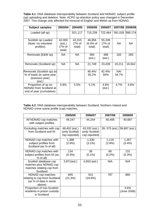**Table 4.1**: DNA database interoperability between Scotland and NDNAD: subject profile (sp) uploading and deletion. Note: ACPO sp retention policy was changed in December 2007. This change only affected the removal of English and Welsh sp from NDNAD.

| <b>Subject samples</b>                                                             | 2003/04                              | 2004/05                    | 2005/06                        | 2006/07                    | 2007/08      | 2008/09 |
|------------------------------------------------------------------------------------|--------------------------------------|----------------------------|--------------------------------|----------------------------|--------------|---------|
| Loaded (all sp)                                                                    |                                      | 521,117                    | 715,239                        | 722,464                    | 591,028      | 580,174 |
| Scottish sp Loaded<br>(Note: no volunteer<br>profiles)                             | 42,000<br>(est.)<br>(7% of<br>total) | 43,315<br>(7% of<br>total) | 46,856<br>$(6.4%$ of<br>total) | 55,339<br>(7% of<br>total) | <b>NA</b>    | NA      |
| Removals (E&W sp)                                                                  | <b>NA</b>                            | <b>NA</b>                  | 384<br>(est.)                  | 488<br>(est.)              | 162          | 283     |
| Removals (Scotland sp)                                                             | <b>NA</b>                            | <b>NA</b>                  | 21,748                         | 23,439                     | 19,211       | 16,562  |
| Removals (Scottish sp) as<br>% of loads (in same year<br>/previous year)<br>(est.) |                                      |                            | 46.4%/<br>50.2%                | 42.4%/<br>50%              | NA/<br>34.7% |         |
| Proportion of sp on<br><b>NDNAD from Scotland at</b><br>end of year (cumulative)   | 5.8%                                 | 5.5%                       | 5.1%                           | 4.8%<br>(est.)             | 4.7%         | 4.6%    |

**Table 4.2**: DNA database interoperability between Scotland, Northern Ireland and NDNAD crime scene profile (csp) matches.

|                                                                                          | 2005/06                                          | 2006/07                                          | 2007/08                      | 2008/09             |
|------------------------------------------------------------------------------------------|--------------------------------------------------|--------------------------------------------------|------------------------------|---------------------|
| All NDNAD csp matches<br>with subject profiles                                           | 49,247                                           | 44,244                                           | 40,406                       | 40,687              |
| Excluding matches with csp<br>from Scotland and NI                                       | 48,402 (est.)<br>(only Scottish<br>csp reported) | 43,332 (est.)<br>(only Scottish<br>csp reported) | 39, 575 (est.) 39,697 (est.) |                     |
| NDNAD csp matches with<br>subject profiles from<br>Scotland (as % of all)                | 1,388<br>(2.9%)                                  | 1,330<br>$(3.1\%)$                               | 1,119<br>$(2.8\%)$           | 1,357<br>$(3.4\%)$  |
| NDNAD csp matches with<br>subject profiles from NI (as<br>% of all)                      | 134<br>$(0.3\%)$                                 | 36<br>$(0.1\%)$                                  | 66<br>$(0.2\%)$              | 131<br>$(0.3\%)$    |
| Scottish database csp<br>matches plus NDNAD csp<br>matches relating csp from<br>Scotland | 3,971(est.)                                      | 4,653 (est.)                                     | N/A                          | N/A                 |
| NDNAD csp matches<br>relating to csp from Scotland<br>(as % of data in serial<br>above)  | 845<br>(21.3%)                                   | 912<br>(19.6%)                                   | 787                          | 880                 |
| Proportion of non-Scottish<br>residents in prison custody<br>in Scotland                 |                                                  |                                                  |                              | 3.6%<br>(June 2008) |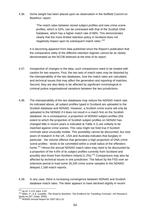4.36. Some weight has been placed upon an observation in the Nuffield Council on Bioethics' report:

> 'The match rates between stored subject profiles and new crime scene profiles, which is 52%, can be contrasted with that of the Scottish DNA Database, which has a higher match rate of 68%. This demonstrates clearly that the more limited retention policy in Scotland does not negatively impact upon its subsequent match rates.<sup>150</sup>

It is becoming apparent from data published since the Report's publication that the comparative utility of the different retention regimes cannot be as clearly demonstrated as the NCOB believed at the time of its report.

- 4.37. Irrespective of changes in the data, such comparisons need to be treated with caution for two reasons. First, the two sets of match rates may be distorted by the interoperability of the two databases, how the match rates are calculated, and technical issues that may affect the generation and reporting of matches. Second, they are also likely to be affected by significant criminological or criminal justice organisational variations between the two jurisdictions.
- 4.38. The interoperability of the two databases may reduce the NDNAD match rate. As indicated above, all subject profiles typed in Scotland are uploaded to the Scottish database and NDNAD. However, a Scottish crime scene will only be uploaded to the NDNAD if it does not result in a match first on the Scottish database. As a consequence, a proportion of NDNAD subject profiles (the extent to which the proportion of Scottish subject profiles on NDNAD has changed little in recent years is indicated at Table 4.1) are unlikely to be matched against crime scenes. This view might not hold true if Scottish criminals were unusually mobile. This possibility cannot be discounted, but sixty years of research in the UK, USA and Australia indicates that burglary in particular - the volume offence that generates a high proportion of DNA crime scene profiles - tends to be committed within a small radius of the offenders home.<sup>151</sup> Hence the annual NDNAD match rates may need to be discounted by a proportion of the 4.6% of its subject profiles currently from Scotland and possibly also those from Northern Ireland (1.2%).<sup>152</sup> Comparisons may also be affected by technical issues in one jurisdiction. The failure by the FSS over an extensive period to load some 26,200 crime scene samples to the NDNAD delayed 1,168 match reports.
- 4.39. In any case, there is increasing convergence between NDNAD and Scottish database match rates. The latter appears to have declined slightly in recent

<sup>150</sup> op.cit. n.113, para. 4.52.

<sup>150</sup> *op.cit*. n.113, para. 4.52. 151 Wiles. P., & A. Costello, '*The Road to Nowhere: The Evidence for Travelling Criminals'*, HO Research Study no.207, (Sept. 2000).

<sup>&</sup>lt;sup>152</sup> NDNAD Annual Report for 2007-09 p.15.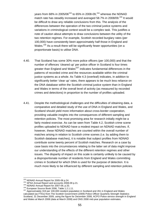years from 68% in 2005/06<sup>153</sup> to 65% in 2008-09,<sup>154</sup> whereas the NDNAD match rate has steadily increased and averaged 58.7% in 2008/09.<sup>155</sup> It would be difficult to draw any reliable conclusions from this. The analysis of the differences between the operation of the two criminal justice systems and variations in criminological context would be a complex task. This justifies a note of caution about attempts to draw conclusions between the utility of the two retention regimes. For example, Scottish recorded burglary rates (per 100,000) have consistently been approximately half those in England and Wales.<sup>156</sup> As a result there will be significantly fewer opportunities (on a proportionate basis) to utilise DNA.

- 4.40. That Scotland has some 30% more police officers (per 100,000) and that the number of offences 'cleared up' per police officer in Scotland is four times greater than England and Wales<sup>157</sup> indicates fundamental differences in the patterns of recorded crime and the resources available within the criminal justice systems as a whole. As Table 4.3 (overleaf) indicates, in addition to significantly better 'clear up' rates, there appears to be much less reliance on the DNA database within the Scottish criminal justice system than in England and Wales in terms of the overall level of activity (as measured by recorded crimes and detections) in proportion to the number of profiles uploaded.
- 4.41. Despite the methodological challenges and the difficulties of obtaining data, a comparative and detailed study of the use of DNA in England and Wales, and Scotland should yield more information about cross-border cooperation, providing valuable insights into the consequences of different sampling and retention policies. The most promising area for research initially might be a fairly modest exercise. As can be seen from Table 4.2, Scottish crime scene profiles uploaded to NDNAD have a modest impact on NDNAD matches. If, however, these NDNAD matches are counted within the overall number of matches arising in relation to Scottish crime scenes (i.e. by adding them to Scottish database matches), it is notable that subject profiles from NDNAD contribute some twenty percent of Scottish matches. Research on a case by case basis into the circumstances relating to the latter set of data might improve our understanding of the effects of the different retention regimes and other issues. The disparity of impact on this scale is certainly unlikely to be caused by a disproportionate number of residents from England and Wales committing crimes in Scotland for which DNA is used for the purpose of detection. It is much more likely to be influenced by different sampling and retention policies.

<sup>&</sup>lt;sup>153</sup> NDNAD Annual Report for 2005-06 p.24.

<sup>&</sup>lt;sup>154</sup> SPSA Annual Report and accounts 2008-09 p.21.<br><sup>155</sup> NDNAD Annual Report for 2007-09, p.33.<br><sup>156</sup> European Source Book 2006, Table 1.2.1.11.<br><sup>157</sup> Approximately 319 per 100,000 resident population in Scotland and 261 calculated (as FTEs) from The Scottish Government (2009) Police Officer Quarterly Strength Statistics Scotland, 31 December 2009, using the figure for December 2008, ACPO Police service strength in England and Wales at March 2008 (data at March 2008) and ONS 2008 mid-year population estimates.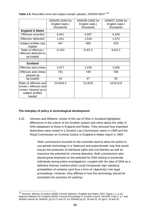**Table 4.3:** Recorded crime and subject sample uploads, 2004/05-06/07.158

|                                                                                                       | 2004/05 (2004 for | 2005/06 (2005 for | 2006/07 (2006 for |  |
|-------------------------------------------------------------------------------------------------------|-------------------|-------------------|-------------------|--|
|                                                                                                       | English stats.)   | English stats.)   | English stats.)   |  |
|                                                                                                       | thousands         | thousands         | thousands         |  |
| <b>England &amp; Wales</b>                                                                            |                   |                   |                   |  |
| Offences recorded                                                                                     | 5,641             | 5,557             | 5,428             |  |
| Offences 'detected'                                                                                   | 1,441             | 1,516             | 1,374             |  |
| Subject profiles (sp)<br>loaded                                                                       | 447               | 668               | 629               |  |
| Ratio of offences /<br>offences detected to<br>sp loaded                                              | 11.8/3            | 8.3/2.3           | 8.6/2.2           |  |
|                                                                                                       |                   |                   |                   |  |
| <b>Scotland</b>                                                                                       |                   |                   |                   |  |
| Offences and crimes                                                                                   | 1,077             | 1,018             | 1,026             |  |
| Offences and crimes<br>cleared up                                                                     | 791               | 749               | 765               |  |
| Sp loaded                                                                                             | 43                | 47                | 55                |  |
| Ratio of offences and<br>crimes / offences and<br>crimes 'cleared up to<br>subject profiles<br>loaded | 24.9/18.3         | 21.8/16           | 18.5/13.8         |  |

## **The interplay of policy & technological development**

4.42. Johnson and Williams' review of the use of DNA in Scotland highlighted differences in the culture of the Scottish system and views about the utility of DNA databases to those in England and Wales. They stressed how important distinctions were rooted in a Scottish Law Commission report in 1989 and the Royal Commission on Criminal Justice in England & Wales report in 1993:

> 'Both commissions focused on the essential need to allow the police to use genetic technology in a 'balanced and proportionate' way that would ensure the protection of individual rights and civil liberties as well as maximize the potential for criminal detection. Both commissions also placed great emphasis on the potential for DNA testing to exonerate individuals during police investigations, coupled with the idea of DNA as a definitive forensic method which could incorporate high statistical probabilities of certainty (and thus a form of 'objectivity') into legal proceedings. However, they differed in how this technology should be translated into practices for policing.'

<sup>1</sup> 158 Sources: Ministry of Justice (2008) *Criminal Statistics: England and Wales 2007*, Figure 1.1, p.10, National Statistics for Scotland (2009) *Criminal Proceedings in Scottish Courts, 2007/08*, Chart 2, p.7 and NDNAD reports for 2004/05, pp.10-11 and 22, for 2005/06 pp.25, 29 and 32, for pp12, 19 and 26.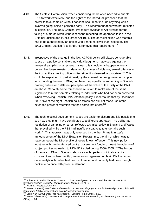- 4.43. The Scottish Commission, when considering the balance needed to enable DNA to work effectively, and the rights of the individual, proposed that the power to take samples without consent 'should not include anything which involves going inside a person's body'. This recommendation was not reflected in legislation. The 1995 Criminal Procedure (Scotland) Act allowed for the taking of a mouth swab without consent, reflecting the approach taken in the Criminal Justice and Public Order Act 1994. The only distinction was that this had to be authorised by an officer with a rank no lower than inspector. The 2003 Criminal Justice (Scotland) Act removed this requirement.<sup>159</sup>
- 4.44. Irrespective of the change in the law, ACPOS policy still places considerable stress on a police constable's individual judgment. It advises against the universal sampling of arrestees. Instead this should only happen where a person has been arrested or detained for crimes of violence, sexual offences or theft or, at the arresting officer's discretion, it is deemed 'appropriate'.<sup>160</sup> This could be explained, in part at least, by the minimal central government support for expanding the use of DNA, but there may equally be something in Scottish policing culture or a different perception of the value of the utility of the DNA database. Certainly some forces were reluctant to make use of the same legislation to retain samples relating to individuals who had not been convicted. When reviewing Scottish DNA retention policy, Fraser found that by December 2007, five of the eight Scottish police forces had still not made use of the extended power of retention that had come into effect.<sup>161</sup>
- 4.45. The technological development issues are easier to discern and it is possible to see how they might have contributed to a different approach. The deliberate restriction of sampling on arrest reflected a similar policy in England and Wales that prevailed while the FSS had insufficient capacity to undertake such work.<sup>162</sup> This approach was only reversed by the then Prime Minister's announcement of the DNA Expansion Programme, the aim of which was to have on record the DNA profile of 'every known offender'. This new policy, together with the ring-fenced central government funding, meant the volume of subject profiles uploaded to NDNAD trebled during 2000–2005.<sup>163</sup> The history of the use of DNA in Scotland shows a similar pattern of initial capacity constraint and subsequently greater encouragement to obtain DNA on arrest once analytical facilities had been automated and capacity had been brought back into balance with potential demand.

<sup>&</sup>lt;sup>159</sup> Johnson, P. and Williams, R. 'DNA and Crime Investigation: Scotland and the 'UK National DNA Database'*Scottish Journal of Criminal Justice Studies* 10: 71-84<br><sup>160</sup> NDNAD Report 2004/05 p.8.<br><sup>161</sup> Fraser, J. (2008) *Acquisition and Retention of DNA and Fingerprint Data in Scotland* p.14 as published in

September 2008 at www.scotland.gov.uk/Consultations/Current .<br>
<sup>162</sup> Blakey, D. (2000) '*Under the Microscope*', (London: Home Office), p.23.<br>
<sup>163</sup> Home Office (2006) DNA Expansion programme 2000-2005: Reporting Achieveme

Office), p.3-4.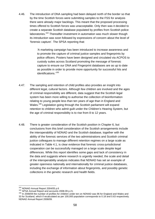4.46. The introduction of DNA sampling had been delayed north of the border so that by the time Scottish forces were submitting samples to the FSS for analysis there were already major backlogs. This meant that the proposed processing times offered to Scottish forces was unacceptable. Only then was it decided to create a separate Scottish database populated by profiles from Scottish police laboratories.<sup>164</sup> Thereafter investment in automation was much slower though its introduction was soon followed by expressions of concern about the level of 'forensic capture'. The SPSA reporting that:

> 'A marketing campaign has been introduced to increase awareness and to promote the capture of criminal justice samples and fingerprints by police officers. Posters have been designed and circulated via ACPOS to custody suites across Scotland promoting the message of forensic capture to ensure our DNA and Fingerprint databases are as up to date as possible in order to provide more opportunity for successful hits and identifications.<sup>165</sup>

- 4.47. The sampling and retention of child profiles also provides an insight into different legal, cultural factors. Although few children are involved and the ages of criminal responsibility are different, data suggest that the Scottish legal system has been more willing to authorise the collection of bioinformation relating to young people less than ten years of age than in England and Wales.<sup>166</sup> Legislation going through the Scottish parliament will expand retention to children who admit guilt under the Children's Hearing System, but the age of criminal responsibility is to rise from 8 to 12 years.
- 4.48. There is greater consideration of the Scottish position in Chapter 6, but conclusions from this brief consideration of the Scottish arrangements include the interoperability of NDNAD and the Scottish database, together with the ability of the forensic services of the two administrations and Scottish criminal justice colleagues to manage different retention regimes on a large scale as indicated in Table 4.1, is clear evidence that forensic cross-jurisdictional cooperation can be successfully managed on a large scale despite legal differences. While this report identifies some gaps and lack of consistency in the data and suggests where research is urgently needed, the scale and detail of the interoperability analysis indicates that NDNAD has set an example of greater openness nationally and internationally for criminal justice databases, including the exchange of information about fingerprints, and possibly genetic collections in the genetic research and health fields.

<sup>&</sup>lt;sup>164</sup> NDNAD Annual Report 2004/05 p.6

<sup>165</sup> SPSA Annual Report and accounts 2008-09 p.21.<br><sup>166</sup> SPSA Annual Report and accounts 2008-09 p.21.<br><sup>166</sup> In 2008/09 the number of profiles for children under ten on NDNAD was 96 for England and Wales and 33 for Scotland, which if recalculated as per 100,000 population corresponds to 0.18 and 0.63 respectively. NDNAD Annual Report 2008/09.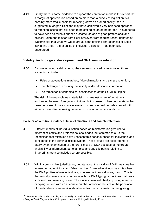4.49. Finally there is some evidence to support the contention made in this report that a margin of appreciation based on no more than a survey of legislation is a possibly more fragile basis for reaching views on proportionality than is suggested in *Marper*. Scotland may have achieved a very balanced approach to retention issues that still need to be settled south of the border. This appears to have been as much a chance outcome, as one of good professional and political judgment. It is far from clear however, from reading recent debates at Westminster that what we would argue is the defining characteristic of Scots law in this area – the exercise of individual discretion - has been fully understood.

# **Validity, technological development and DNA sample retention**

- 4.50. Discussion about validity during the seminars caused us to focus on three issues in particular:
	- False or adventitious matches, false eliminations and sample retention;
	- The challenge of ensuring the validity of dactyloscopic information;
	- The foreseeable technological obsolescence of the SGM+ multiplex.

The risk of these problems materialising is greatest when information is exchanged between foreign jurisdictions, but is present when poor material has been recovered from a crime scene and when using old records created with either a lower discriminating power or to poorer technical standards.

## **False or adventitious matches, false eliminations and sample retention**

- 4.51. Different modes of individualisation based on bioinformation give rise to different scientific and professional challenges, but common to all is the recognition that mistakes have unacceptable consequences for individuals and confidence in the criminal justice system. These issues are explored more easily by an examination of the forensic use of DNA because of the greater availability of information, but examples and specific points relating to fingerprints are also included where possible.
- 4.52. Within common law jurisdictions, debate about the validity of DNA matches has focused on adventitious and false matches.<sup>167</sup> An adventitious match is when the DNA profiles of two individuals, who are not identical twins, match. This is theoretically quite a rare occurrence within a DNA typing or multiplex that has a sufficient discriminating power. The risk is minimised chiefly by using a marker or typing system with an adequate number of loci for the size of the population of the database or network of databases from which a match is being sought.

<sup>1</sup> 167 See especially Lynch, M. Cole, S.A., McNally, R. and Jordan, K. (2008) *Truth Machine: The Contentious History of DNA Fingerprinting*, Chicago and London: Chicago University Press.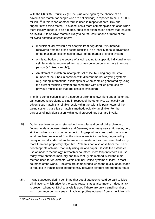With the UK SGM+ multiplex (10 loci plus Amelogenin) the chance of an adventitious match (for people who are not siblings) is reported to be 1 in 1,000 million.<sup>168</sup> In this report another term is used in respect of both DNA and fingerprints: a false match. This describes a more commonplace situation when there initially appears to be a match, but closer examination shows that result to be invalid. A false DNA match is likely to be the result of one or more of the following potential sources of error:

- Insufficient loci available for analysis from degraded DNA material recovered from the crime scene resulting in an inability to take advantage of the maximum discriminating power of the marker or typing system;
- A misattribution of the source of a loci reading to a specific individual when cellular material recovered from a crime scene belongs to more than one person (a 'mixed sample');
- An attempt to match an incomplete set of loci by using only the small number of loci it has in common with different marker or typing systems (e.g. during international exchanges or when samples generated by using the current multiplex system are compared with profiles produced by previous multiplexes that are less discriminating).

The third complication is both a source of error in its own right and a factor that can compound problems arising in respect of the other two. Genetically an adventitious match is a reliable result within the scientific parameters of the typing system, but a false match is methodologically unreliable. For the purposes of individualisation within legal proceedings both are invalid.

- 4.53. During seminars experts referred to the regular and beneficial exchange of fingerprint data between Austria and Germany over many years. However, very similar problems can occur in respect of fingerprint matches, particularly when what has been recovered from the crime scene is incomplete, degraded by decay or fire, distorted when the trace was made, or has been searched for by more than one proprietary algorithm. Problems can also arise from the use of poor tenprints obtained manually using ink and paper. Despite the extensive use of modern technology in wealthier countries, most tenprint records in use today were obtained manually and this century old method is still the main method used for enrolments, within criminal justice systems at least, in most countries of the world. Problems are compounded when the quality of an image is reduced in transmission internationally between different fingerprint bureaux.
- 4.54. It was suggested during seminars that equal attention should be paid to false eliminations, which arise for the same reasons as a false match. Indeed a risk is present whenever DNA analysis is used if there are only a small number of loci in common during a search involving profiles obtained from a multiplex with

 $\overline{1}$ <sup>168</sup> NDNAD Annual Report 2003-04, p 33.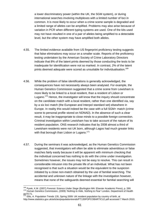a lower discriminatory power (within the UK, the SGM system), or during international searches involving multiplexes with a limited number of loci in common. It is most likely to occur when a crime scene sample is degraded and a limited range of alleles can be amplified. Problems may also arise because of variation in PCR when different typing systems are used. One of the kits used may not have resulted in one of a pair of alleles being amplified to a detectable level, but the other system may have amplified both alleles.

- 4.55. The limited evidence available from US fingerprint proficiency testing suggests that false eliminations may occur on a smaller scale. Reports of the proficiency testing undertaken by the American Society of Crime Laboratory Directors indicate that 8% of the latent prints deemed by those conducting the tests to be inadequate for identification were not so marked. In contrast, 2% of the latent prints deemed adequate were scored as unsuitable for individualisation.<sup>169</sup>
- 4.56. While the problem of false identifications is generally acknowledged, the consequences have not necessarily always been analysed. For example, the Human Genetics Commission suggested that a crime scene from Lewisham is more likely to be linked to a local resident, than a resident of Lisbon or Lugano.<sup>170</sup> Hence, the investigator will know that the inquiry should concentrate on the candidate match with a local resident, rather than one identified via, say by a six loci match (the European and Interpol standard set) elsewhere in Europe. In reality this would indeed be the case with a full SGM+ match (crime scene to personal profile stored on NDNAD). In the absence of such a clear result, it may be inappropriate to close minds to a possible foreign connection. Criminal investigation within Lewisham has to take account of the nature of its resident population. ONS research indicates that by 2008 almost a third of Lewisham residents were not UK born, although Lagos had much greater links with that borough than Lisbon or Lugano.<sup>171</sup>
- 4.57. During the seminars it was acknowledged, as the Human Genetics Commission suggested, that investigators will often be able to eliminate adventitious or false matches fairly easily because it will be apparent with minimum checking that the individual concerned has nothing to do with the crime under investigation. Sometimes however, the issues may not be easy to resolve. This can result in considerable intrusion into the private life of an individual. What has not been recognised is that such a situation would be the equivalent to the suspicion initiated by a close non-match obtained by the use of familial searching. The accidental and unknown nature of the linkage with the investigation however, means that none of the safeguards deemed essential for familial searching will

<sup>&</sup>lt;sup>169</sup> Pyrek, K.M. (2007) *Forensic Science Under Siege* (Burlington MA: Elsevier Academic Press), p. 269.<br><sup>170</sup> Human Genetics Commission, (2009) *'Nothing to Hide, Nothing to Fear'* London, Department of Health pp70-71.

<sup>171</sup> Ellis, A. Population Trends 135, Spring 2009: UK resident population by country of birth, at http://www.statistics.gov.uk/articles/populationtrends/PT135POPCOBARTICLE.pdf accessed 7 March 2010.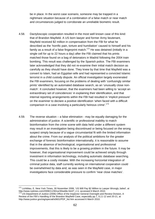be in place. In the worst case scenario, someone may be trapped in a nightmare situation because of a combination of a false match or near match and circumstances judged to corroborate an unreliable biometric result.

- 4.58. Dactyloscopic cooperation resulted in the most well known case of this kind: that of Brandon Mayfield. A US born lawyer and former Army lieutenant, Mayfield received \$2 million in compensation from the FBI for what he described as the 'horrific pain, torture and humiliation' caused to himself and his family as a result of a false fingerprint match.<sup>172</sup> He was detained (initially in a single cell for up to 22 hours a day) after the FBI claimed that his prints matched those found on a bag of detonators in Madrid following the 2004 train bombing. This result was challenged by the Spanish police. The FBI examiners later acknowledged that they did not re-examine their initial match decision as carefully as they should have done. They knew by that time that Mayfield was a convert to Islam, had an Egyptian wife and had represented a convicted Islamic terrorist in a child custody dispute. An official investigation largely exonerated the FBI examiners, focusing on the problems of dealing with 'confusingly similar prints' identified by an automated database search, as an 'unusually close nonmatch'. It concluded however, that the examiners had been willing to 'accept an extraordinary set of coincidences' in explaining their identification, and that internal reporting arrangements within the FBI had resulted in 'implicit pressure' on the examiner to declare a positive identification 'when faced with a difficult comparison in a case involving a particularly heinous crime'.<sup>173</sup>
- 4.59. The reverse situation a false elimination may be equally damaging for the administration of justice. A scientific or professional inability to match bioinformation from the crime scene with data held under a different system may result in an investigation being discontinued or being focused on the wrong suspect simply because of a vague circumstantial fit with the limited information about the crime. From our analysis of the political ambitions for the greater exchange of forensic bioinformation internationally, it is reasonable to assume that in the absence of technological, organisational and professional improvements, that this is likely to be a growing problem in the future. It may be however, that organisational improvement could be achieved simply through investment in information technology, including automatic database searching. This could be a costly mistake. With the increasing horizontal integration of criminal justice data, staff currently working on international cooperation could be overwhelmed by data and, as was seen in the Mayfield case, in major investigations face considerable pressure to confirm 'near close matches'.

<sup>&</sup>lt;sup>172</sup> Lichtblau, E. New York Times, 30 November 2006, 'US Will Pay \$2 Million to Lawyer Wrongly Jailed', at http://www.nytimes.com/2006/11/30/us/30settle.html?\_r=1, accessed 6 March 2010.

<sup>&</sup>lt;sup>173'</sup> US Department of Justice (2006) Office of the Inspector General Oversight and Review Division, A Review of the FBI's Handling of the Brandon Mayfield Case, especially pp.7, 9,11-12 and 20-21, at http://www.justice.gov/oig/special/s0601/PDF\_list.htm accessed 6 March 2010.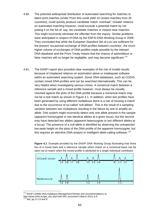- 4.60. The potential widespread distribution of automated searching for matches to latent print matches (under Prüm this could yield 10 closest matches from 26 countries), could quickly produce candidate match 'overload'. Greater reliance on automated matching however, could exclude a potential match by not putting it on the list of, say, ten candidate matches or closest near matches. This might incorrectly eliminate the offender from the inquiry. Similar problems were anticipated in respect of DNA by the ENFSI DNA Working Group in 2009. They concluded that while the European Standard Set of Loci are sufficient for the present 'occasional exchange of DNA-profiles between countries', the much higher volume of exchanges of DNA-profiles made possible by the Interpol DNA-database and the Prüm Treaty means that the chance of adventitious or false matches will no longer be negligible, and may become significant.<sup>174</sup>
- 4.61. The ENSFI report also provided clear examples of the risk of invalid results because of misplaced reliance on automation alone or inadequate software within an automated searching system. Some DNA-databases, such as CODIS, contain mixed DNA-profiles and can be searched internationally. This can be very helpful when investigating serious crimes. A numerical match between a reference sample and a mixed profile however, must always be visually checked against the plots of the DNA-profile because a numerical match may not be a real match as shown in Figure 4.1. In addition, when two profiles have been generated by using different multiplexes there is a risk of missing a match due to the occurrence of so-called 'null-alleles'. This is the result of a sampling variation between two multiplexes resulting in the failure by one to amplify an allele. One system might incorrectly detect only one allele present in the sample (apparent homozygote or two identical alleles at a given locus), but the second may have detected two alleles (apparent heterozygote or two different alleles at a locus). The presence of a null-allele is identified by observing the unexpected low peak height on the plots of the DNA profile of the apparent homozygote, but this requires an attentive DNA-analyst or intelligent allele-calling software.<sup>175</sup>

**Figure 4.1**: Example provided by the ENSFI DNA Working Group illustrating how three loci of a mixed stain and a reference sample which match on a numerical basis can be seen not to match when the mixed profile is attributed to a single individual contributor



<sup>&</sup>lt;sup>174</sup> ENSFI (2009) DNA-Database Management Review and recommendations at http://www.enfsi.eu/get\_doc.php?uid=345, accessed 6 March 2010, p.8.<br><sup>175</sup> *ibid.* pp.12-13 and 8.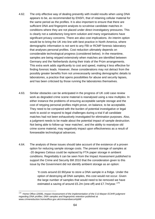- 4.62. The only effective way of dealing presently with invalid results when using DNA appears to be, as recommended by ENSFI, that of retaining cellular material for the same period as the profiles. It is also important to ensure that there are sufficient DNA and fingerprint analysts to scrutinise candidate matches in conditions where they are not placed under direct investigatory pressures. This is clearly not a satisfactory long-term solution and many organisations have significant privacy concerns. There are also cost implications. An interim option would be to bring the UK into line with best practice in North America, where demographic information is not sent to any FBI or RCMP forensic laboratory that analyses personal profiles. Cost reduction ultimately depends on considerable technological progress (considered below). In the meantime, samples are being retyped extensively when matches are identified between Germany and the Netherlands during their trials of the Prüm arrangements. This extra work adds significantly to cost and speed, making it less effective for finding forensic leads. However, these considerations may not detract from the possibly greater benefits from not unnecessarily sending demographic details to laboratories, a practice that opens possibilities for abuse and security lapses, and has been criticised by those running the laboratories themselves.
- 4.63. Similar obstacles can be anticipated in the progress of UK cold case review work as degraded crime scene material is reanalysed using a new multiplex. In either instance the problems of ensuring acceptable sample storage and the cost of retyping personal profiles might prove, on balance, to be acceptable. They need to be compared with the burden of potential investigative or legal work to avoid or respond to legal challenges during a trial if all candidate matches had not been exhaustively investigated for elimination purposes. Also, a judgment needs to be made about the potential impact of sample destruction. Not being able to follow-up 'near matches', and the ability to reanalyse old crime scene material, may negatively impact upon effectiveness as a result of foreseeable technological advances.
- 4.64. The analysis of these issues should take account of the existence of a proven option for reducing sample storage costs. The present storage of samples at -20 degrees Celsius could be replaced by FTA paper storage in ambient conditions. Regrettably it can be seen from the Impact Assessment published to support the Crime and Security Bill 2010 that the consideration given to this issue by the Government did not identify ambient storage as an option:

'It costs around £0.90/year to store a DNA sample in a fridge. Under the option of destroying all DNA samples, this cost would not occur. Given the large number of samples that would need to be removed we have estimated a saving of around £5.2m (one-off) and £7.7m/year.<sup>176</sup>

<sup>1</sup> 176 Home Office (2009), *Impact Assessment of the implementation of the S & Marper ECtHR judgment regarding DNA profiles, DNA samples and fingerprints retention* published at www.crimereduction.homeoffice.gov.uk/crimeandsecuritybill/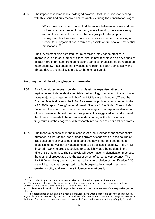4.65. The impact assessment acknowledged however, that the options for dealing with this issue had only received limited analysis during the consultation stage:

> 'While most respondents failed to differentiate between samples and the profiles which are derived from them, where they did, there was strong support from the public and civil liberties groups for the proposal to destroy samples. However, some caution was expressed by policing and prosecutorial organisations in terms of possible operational and evidential implications'.<sup>177</sup>

The Government also admitted that re-sampling 'may not be practical or appropriate in a large number of cases' should new techniques be developed to extract more information from crime scene samples or assistance be requested internationally. It accepted that investigations might fail both domestically and abroad due to the inability to produce the original sample.

#### **Ensuring the validity of dactyloscopic information**

- 4.66. As a forensic technique grounded in professional expertise rather than replicable and independently verifiable methodology, dactyloscopic examination faces major challenges in the light of the McKie case in Scotland,<sup>178</sup> and the Brandon Mayfield case in the USA. As a result of problems documented in the NRC 2009 report '*Strengthening Forensic Science in the United States: A Path Forward* ', there may be a new round of challenges to fingerprint evidence and other experienced based forensic disciplines. It is suggested in that document that there now needs to be a clearer understanding of the basis for valid fingerprint matches, together with research into causes of error and error rates.
- 4.67. The massive expansion in the exchange of such information for border control purposes, as well as the less dramatic growth of cooperation in the course of traditional criminal investigations, means that new fingerprint standards for establishing the validity of matches need to be applicable globally. The ENFSI fingerprint working group is seeking to establish what is being done in the different EU countries. Their analysis will cover national identification methods, the testing of procedures and the assessment of personal competency. The ENFSI fingerprint group and the International Association of Identification (IAI) have links, but it was suggested that both organisations need to achieve greater visibility and wield more influence internationally.

 $177$  supra.

<sup>178</sup> The Scottish Fingerprint Inquiry was established with the following terms of reference:

To inquire into the steps that were taken to identify and verify the fingerprints associated with, and leading up to, the case of *HM Advocate v. McKie* in 1999, and

<sup>♦</sup> To determine, in relation to the fingerprint designated Y7, the consequences of the steps taken, or not taken, and

To report findings of fact and make recommendations as to what measures might now be introduced, beyond those that have already been introduced since 1999, to ensure that any shortcomings are avoided in the future. For current developments see: http://www.thefingerprintinquiryscotland.org.uk/inquiry/21.html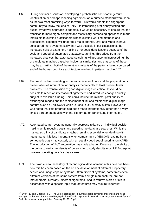- 4.68. During seminar discussion, developing a probabilistic basis for fingerprint identification or perhaps reaching agreement on a numeric standard were seen as the two most promising ways forward. This would enable the fingerprint community to follow the lead of ENSFI in introducing proficiency testing and audits. Whatever approach is adopted, it would be necessary to ensure that the transition to more highly complex and statistically demanding approach is made intelligible to existing practitioners whose existing working methods and professional expertise will undergo a major change. Dror and Mnookin have considered more systematically than was possible in our discussions, the increased risks of examiners making erroneous identifications because of the scale and speed of automated database searching. This arises from the increased chances that automated searching will produce an increased number of candidate matches based on incidental similarities and that some of these may be an 'artifact both of the relative similarity of the patterns being compared and of the human cognitive architecture involved in pattern matching'.<sup>179</sup>
- 4.69. Technical problems relating to the transmission of data and the preparation or presentation of information for analysis theoretically at least present fewer problems. The transmission of good digital images is critical. It should be possible to reach an international agreement and introduce changes quickly subject to available funding. This could include the minimal pixel quality of exchanged images and the replacement of ink and rollers with digital image capture such as LIVESCAN which is used in UK custody suites. However, it was noted that little progress had been made internationally other than a very limited agreement dealing with the file format for transmitting information.
- 4.70. Automated search systems generally decrease reliance on individual decisionmaking while reducing costs and speeding up database searches. While the manual scrutiny of candidate matches remains essential when dealing with latent marks, it is less important when comparing a LIVESCAN reading from someone brought into custody with an equally good set of tenprints on NAFIS. The introduction of 24/7 automation has made a huge difference in the ability of the police to verify the identity of persons in custody despite most UK fingerprint bureaux operating only five days a week.
- 4.71. The downside to the history of technological development in this field has been how this has been based on the ad hoc development of different proprietary search and image capture systems. Often different systems, sometimes even different versions of the same system from a single manufacturer, are not interoperable. Similarly, different algorithms used to retrieve stored prints in accordance with a specific input map of features may require fingerprint

<sup>1</sup> <sup>179</sup> Dror, I.E. and Mnookin, J.L., 'The use of technology in human expert domains: challenges and risks arising from the use of automated fingerprint identification systems in forensic science', *Law, Probability and Risk,* Advance Access, published January 22, 2010, p.21.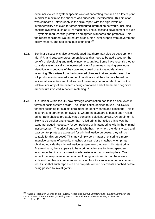examiners to learn system specific ways of annotating features on a latent print in order to maximise the chances of a successful identification. This situation was compared unfavourably in the NRC report with the high levels of interoperability achieved for other distributed information networks, including banking systems, such as ATM machines. The successful development of such IT systems requires 'finely crafted and agreed standards and protocols'. This, the report concluded, would require strong, high level support from government policy makers, and additional public funding.180

- 4.72. Seminar discussions also acknowledged that there may also be development aid, IPR, and strategic procurement issues that need to be addressed for the benefit of developing and middle income countries. Some have recently tried to consider systematically the increased risks of examiners making erroneous identifications because of the scale and speed of automated database searching. This arises from the increased chances that automated searching will produce an increased volume of candidate matches that are based on incidental similarities and that some of these may be an 'artefact both of the relative similarity of the patterns being compared and of the human cognitive architecture involved in pattern matching'.<sup>181</sup>
- 4.73. It is unclear within the UK how strategic coordination has taken place, even in terms of basic system design. The Home Office decided to use LIVESCAN tenprint scanning for subject enrolment for identity cards and passports. This is in contrast to enrolment on IDENT1, where the standard is based upon rolled prints. Both choices probably made sense in isolation. LIVESCAN enrolment is likely to be quicker and cheaper than rolled prints, but rolled prints was the standard judged necessary for comparisons with latent prints within the criminal justice system. The critical question is whether, if or when, the identity card and passport tenprints are accessed for criminal justice purposes, they will be suitable for this purpose? This may simply be a matter of ensuring a more intensive scrutiny of potential matches or near close matches when prints obtained outside the criminal justice system are compared with latent prints. At a minimum, there appears to be a prime facie case for interdependent assurance that in such a situation adequate safeguards are in place. One aspect that may have to be capable of being monitored is that there are a sufficient number of competent experts in place to scrutinise automatic search results, so that such reports can be properly verified or caveats attached before being passed to investigators.

<sup>180</sup> National Research Council of the National Academies (2009) *Strengthening Forensic Science in the United States: A Path Forward*, Washington DC: The National Academies Press, pp.269-278. <sup>181</sup> *op.cit*. n.179, p.21.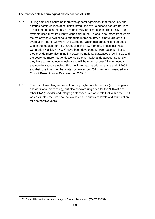## **The foreseeable technological obsolescence of SGM+**

- 4.74. During seminar discussion there was general agreement that the variety and differing configurations of multiplex introduced over a decade ago are barriers to efficient and cost-effective use nationally or exchange internationally. The systems used most frequently, especially in the UK and in countries from where the majority of known serious offenders in this country originate, are set out overleaf in Figure 4.2. Within the European Union this problem is to be dealt with in the medium term by introducing five new markers. These loci (Next Generation Multiplex - NGM) have been developed for two reasons. Firstly, they provide more discriminating power as national databases grow in size and are searched more frequently alongside other national databases. Secondly, they have a low molecular weight and will be more successful when used to analyse degraded samples. This multiplex was introduced at the end of 2009 and their use in all member states by November 2011 was recommended in a Council Resolution on 30 November 2009.<sup>182</sup>
- 4.75. The cost of switching will reflect not only higher analysis costs (extra reagents and additional processing), but also software upgrades for the NDNAD and other DNA (provider and Interpol) databases. We were told that within the EU it was estimated the five new loci would ensure sufficient levels of discrimination for another five years.

 $\overline{1}$ <sup>182</sup> EU Council Resolution on the exchange of DNA analysis results (2009/C 296/01).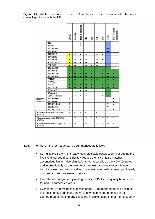**Figure 4.2:** Analysis of loci used in DNA multiplex in the countries with the most criminological links with the UK.

|                                     |               | <b>CODIS</b> | <b>Identifiler</b> | Type 15 (Sinofiler) | ě, | Pp2 | 虛  | È      | SGM+ | <b>ENSFI/Interpol</b><br>standard set |
|-------------------------------------|---------------|--------------|--------------------|---------------------|----|-----|----|--------|------|---------------------------------------|
|                                     | D6            |              |                    | ٠                   |    |     |    |        |      |                                       |
|                                     | D19           |              |                    | ٠                   |    |     |    |        |      |                                       |
|                                     | D2S1338       |              |                    |                     |    |     |    |        | ٠    |                                       |
|                                     | D19S433       |              |                    |                     |    |     |    |        | ۰    |                                       |
|                                     | <b>D5S818</b> | ۰            | ٠                  | ٠                   | ٠  |     | ٠  | ۰      |      |                                       |
|                                     | D7S820        | ۰            | ٠                  | ٠                   | ٠  |     | ٠  | ٠      |      |                                       |
|                                     | D13S317       | ٠            | ٠                  | ٠                   | ٠  |     | ٠  | ٠      |      |                                       |
|                                     | <b>CSF1PO</b> | ۰            | ٠                  |                     | ۰  |     | ٠  |        |      |                                       |
|                                     | <b>TPOX</b>   | ٠            | ٠                  |                     | ٠  | ٠   | ٠  |        |      |                                       |
|                                     | D16S539       | ۰            | ۰                  | ۰                   | ٠  |     | ۰  |        | ٠    |                                       |
|                                     | D18S51        | ۰            | ۰                  | ۰                   | ٠  | ٠   |    | ۰      | ٠    | ٠                                     |
|                                     | D8S1179       | ۰            | ٠                  | ٠                   | ۰  | ٠   |    | ۰      | ٠    | ٠                                     |
|                                     | D3S1358       | ۰            | ٠                  | ۰                   | ٠  | ۰   |    | ۰      | ٠    | ٠                                     |
|                                     | <b>THO1</b>   | ۰            | ۰                  |                     | ٠  | ۰   | ٠  |        | ٠    | ٠                                     |
|                                     | <b>VWA</b>    | ٠            | ٠                  | ۰                   | ٠  | ٠   | ٠  | ۰      | ٠    | ۰                                     |
|                                     | <b>FGA</b>    | ۰            | ٠                  | ۰                   | ۰  | ٠   |    |        |      | ۰                                     |
|                                     | D21S11        | ۰            | ٠                  |                     | ٠  | ۰   |    |        |      | ۰                                     |
|                                     | Penta D       |              |                    | ٠                   | ٠  |     |    |        |      |                                       |
|                                     | Penta E       |              |                    |                     | ٠  |     |    |        |      |                                       |
|                                     | Amelogenin    |              | ۰                  | ۰                   |    |     |    | ۰      | -    |                                       |
| dditional<br>NSFI<br>andard set     | D1S1656       | 2            |                    |                     |    |     |    |        | 2    | ٠                                     |
|                                     | D2S441        | 2            |                    |                     |    |     |    |        | 2    |                                       |
|                                     | D10S1248      | ?            |                    |                     |    |     |    |        | 2    |                                       |
|                                     | D12S391       | 2            |                    |                     |    |     |    |        | 2    | $\bullet$                             |
|                                     | D22S1045      | 2            |                    |                     |    |     |    |        | 7    |                                       |
| Correlation with SGM+<br>(?)/11)    |               | s.           | 9                  | s.                  | 9  | 7   | 3  | $\tau$ |      | 7.                                    |
| Correlation with CODIS<br>(?)/13)   |               |              | 13                 | 11                  | 13 | s.  | s. | ۰      | s.   | 7                                     |
| Correlation with Type 15<br>(?)/15) |               | 11           | $12 \overline{ }$  |                     | 13 | 7   | 7  | 7      | 10   | s.                                    |
|                                     |               |              |                    |                     |    |     |    |        |      |                                       |

4.76. For the UK the loci issue can be summarised as follows:

- Its multiplex, SGM+, is already technologically obsolescent, but adding the five NGM loci could considerably reduce the risk of false matches, adventitious hits or false eliminations (domestically as the NDNAD grows and internationally as the volume of data exchange increases). It would also increase the potential value of reinvestigating older crimes, particularly murders and serious sexual offences.
- Even the next upgrade, by adding the five NGM loci, may only be of value for about another five years.
- Even if the UK remains in step with other EU member states the origin of the most serious criminals known to have committed offences in this country means that in many cases the mulitplex used in their home country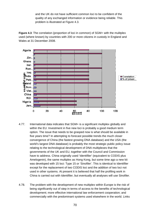and the UK do not have sufficient common loci to be confident of the quality of any exchanged information or evidence being reliable. This problem is illustrated at Figure 4.3.

**Figure 4.3**: The correlation (proportion of loci in common) of SGM+ with the mulitplex used (where known) by countries with 200 or more citizens in custody in England and Wales at 31 December 2008.



- 4.77. International data indicates that SGM+ is a significant multiplex globally and within the EU. Investment in five new loci is probably a good medium term option. The issue that needs to be grasped now is what should be available in five years time? In attempting to forecast possible trends the much closer convergence of China (the fastest growing DNA database) and the USA (the world's largest DNA database) is probably the most strategic public policy issue relating to the technological development of DNA multiplexes that the governments of the UK and EU, together with the Council and Commission have to address. China originally used 'Identifiler' (equivalent to CODIS plus Amelogenin), the same multiplex as Hong Kong, but some time ago a new kit was developed with 15 loci: Type 15 or 'Sinofiler'. This is identical to Identifiler except for the replacement of two CODIS loci and the addition of two loci not used in other systems. At present it is believed that half the profiling work in China is carried out with Identifiler, but eventually all analyses will use Sinofiler.
- 4.78. The problem with the development of new multiplex within Europe is the risk of being significantly out of step in terms of access to the benefits of technological development; more effective international law enforcement cooperation; and commercially with the predominant systems used elsewhere in the world. Links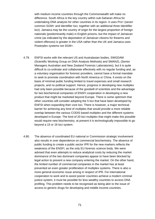with medium income countries through the Commonwealth will make no difference. South Africa is the key country within sub-Saharan Africa for undertaking DNA analysis for other countries in its region. It uses Pro+ (seven common SGM+ and Identifiler loci, together with an additional three Identifiler loci). Jamaica may be the country of origin for the largest proportion of foreign nationals (predominantly male) in English prisons, but the impact of Jamaican crime (as indicated by the deportation of Jamaican citizens for firearms and violent offences) is greater in the USA rather than the UK and Jamaica uses Powerplex systems not SGM+.

- 4.79. ENFSI works with the relevant US and Australasian bodies, SWGDAM (Scientific Working Group on DNA Analysis Methods) and SMANZL (Senior Managers Australian and New Zealand Forensic Laboratories), but it is quite difficult to co-ordinate and collaborate effectively with no regular funding and, as a voluntary organisation for forensic providers, cannot have a formal mandate to seek to promote coordination with North America or China. It exists on the basis of minimal public funding limited to travel expenses and small research projects, and no political support. Hence, progress in developing new multiplex had only been possible because of the goodwill of scientists and the advantage for two biochemical companies of ENSFI cooperation in developing a new product that might be marketed beyond Europe. There is some optimism that other countries will consider adopting the 5 loci that have been developed by ENFSI when expanding their core loci. There is however, a major technical barrier for achieving any kind of multiplex that would provide a more reliable overlap between the various CODIS based multiplex and the different systems developed in Europe. The kind of 20 loci multiplex that might make this possible would require new biochemistry, at present it is technologically impossible to go beyond a 15 or 16 loci system.
- 4.80. The absence of coordinated EU national or Commission strategic involvement also results in over dependence on commercial biochemistry. The absence of public funding to create a public sector IPR for the new markers reflects the weakness of the ENSFI, as the only EU forensic science body. We were advised that even attempts to reduce analytical costs by reducing the market dominance of the two dominant companies appear to have been blocked by legal action to prevent a new company entering the market. On the other hand, the limited number of commercial companies in the market has at least prevented an even greater proliferation of multiplex systems. There is also a more general economic issue arising in respect of IPR. For international cooperation to work and to assist poorer countries achieve a modern criminal justice system, it must be possible for less wealthy countries to access DNA profiling. This problem needs to be recognised as being akin to the issue of access to generic drugs for developing and middle income countries.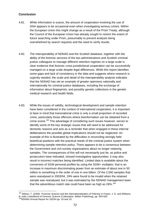# **Conclusion**

- 4.81. While information is scarce, the amount of cooperation involving the use of DNA appears to be occasional even when investigating serious crimes. Within the European Union this might change as a result of the Prüm Treaty, although the Council of the European Union has already sought to restrict the extent of future searching under Prüm, presumably to prevent analysts being overwhelmed by search requests and the need to verify results.
- 4.82. The interoperability of NDNAD and the Scottish database, together with the ability of the forensic services of the two administrations and Scottish criminal justice colleagues to manage different retention regimes on a large scale is clear evidence that forensic cross-jurisdictional cooperation can be successfully managed on a large scale despite legal differences. While this report identifies some gaps and lack of consistency in the data and suggests where research is urgently needed, the scale and detail of the interoperability analysis indicates that the NDNAD has set an example of greater openness nationally and internationally for criminal justice databases, including the exchange of information about fingerprints, and possibly genetic collections in the genetic medical research and health fields.
- 4.83. While the issues of validity, technological development and sample retention have been considered in the context of international cooperation, it is important to bear in mind that transnational crime is only a small proportion of recorded crime, particularly those offences where bioinformation can be obtained from a crime scene.<sup>183</sup> The advantage of considering such issues however, serves to identify some of the key strategic issues that will need to be addressed for domestic reasons and acts as a reminder that when engaged in these internal deliberations the possible global implications should not be neglected. An example of this is illustrated by the difficulties in reconciling strongly held bioethical positions with the practical needs of the criminal justice system when determining sample retention policy. There appears to be a consensus between the Government and civil society organisations about no longer retaining samples. The consequences of this will not necessarily just be, as police and prosecutors have indicated, missed investigative opportunities; it may also result in incorrect matches being identified. Limited data is available about the conversion of SGM personal profiles by using the SGM+ multiplex: that is an increase in maximum discriminating power from an estimate of about one in 50 million to something in the order of one in one billion. Of the 2,000 samples that were reanalysed in 2003/04, 19% were found to be invalid when the retained sample was reanalysed, but it was estimated by the NDNAD management team that the adventitious match rate could have been as high as 26%.<sup>184</sup>

<sup>&</sup>lt;sup>183</sup> Wilson, T. (2009), 'Forensic Science and the Internationalisation of Policing' in Fraser, J. G. and Williams, R. (eds.) *Handbook of Forensic Science* (Cullompton: Willan Publishing), pp. 493-500.<br><sup>184</sup>NDNAD Annual Report for 2003/4 pp. 16 and 19.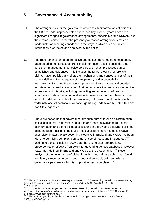- 5.1. The arrangements for the governance of forensic bioinformation collections in the UK are under unprecedented critical scrutiny. Recent years have seen significant changes in governance arrangements, especially of the NDNAD, but there remain concerns that the present governance arrangements may be inadequate for securing confidence in the ways in which such sensitive information is collected and deployed by the police.
- 5.2. The requirements for 'good' (effective and ethical) governance remain poorly understood in the context of forensic bioinformation, yet it is essential that consistent management, cohesive policies and robust processes can be established and evidenced. This includes the future 'steering' of forensic bioinformation policies as well as the mechanisms and consequences of their current delivery. The adequacy of transparency and accountability mechanisms, including the relationship between these matters and counterterrorism policy need examination. Further consideration needs also to be given to questions of integrity, including the setting and monitoring of quality standards and data protection and security measures. Further, there is a need for explicit deliberation about the positioning of forensic bioinformation within wider networks of personal information gathering undertaken by both State and non-State agencies.
- 5.3. There are concerns that governance arrangements of forensic bioinformation collections in the UK may be inadequate and lessons available from other bioinformation and biometric data collections in the UK and elsewhere are not being heeded. This is not because medical biobank governance is always exemplary; in fact the law governing biobanks in England and Wales has been found to be "highly complex, confusing, uncoordinated, and inadequate",<sup>185</sup> leading to the conclusion in 2007 that "there is no clear, appropriate, proportionate or effective framework for governing genetic databases, however reasonably defined, in England and Wales at the present time."<sup>186</sup> Recent analysis of the governance of biobanks within medical research,<sup>187</sup> has found regulatory structures to be "... outmoded and seriously deficient" with a governance patchwork which is "duplicative yet incomplete."188

<sup>&</sup>lt;sup>185</sup> Gibbons, S. J. Kaye, A. Smart, C. Heeney & M. Parker. (2007) 'Governing Genetic Databases: Facing Research Regulation and Practice', *Journal of Law and Society* 34 (2) pp163-189. p.171.<br><sup>186</sup> *ibid*. p.188.<br><sup>187</sup> E.g. ELSAGEN at www.elsgen.net; Ethox Centre 'Governing Genetic Databases' project at

http://www.ethox.org.uk/research/research-archive/governing-genetic-databases; ESRC Genomics Forum at : http://www.genomicsforum.ac.uk/

<sup>188</sup> Gibbons, S. 'Regulating Biobanks: A Twelve-Point Typological Tool', *Medical Law Review*, 17, (2009) pp313-346. p.314.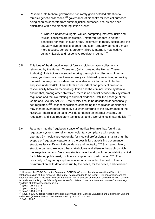5.4. Research into biobank governance has rarely given detailed attention to forensic genetic collections,189 governance of biobanks for medical purposes being seen as separate from criminal justice purposes. Yet, as has been articulated within the biobank regulation arena:

> "...where fundamental rights, values, competing interests, risks and (public) concerns are implicated, unfettered freedom is neither beneficial nor wise. In such areas, legitimacy, fairness, justice, and the statutory 'five principals of good regulation' arguably demand a much more focused, coherent, properly tailored, internally nuanced, yet suitably flexible and responsive regulatory regime."<sup>190</sup>

- 5.5. This idea of the distinctiveness of forensic bioinformation collections is reinforced by the Human Tissue Act, (which created the Human Tissue Authority). This Act was intended to bring oversight to collections of human tissue, yet does not cover tissue or analysis obtained by examining or testing material that may be considered to be evidence or information to further enquiries under PACE. This reflects an important and practical division of responsibility between medical regulation and the criminal justice system to ensure that, among other objectives, there is no conflict between this system of regulation and the law relating to criminal evidence. Until the passage of the Crime and Security Act 2010, the NDNAD could be described as "essentially self-regulated."<sup>191</sup> Recent conclusions concerning the regulation of biobanks may then be even more forcefully put when referring to the governance of the NDNAD: "[there is] a de facto over-dependence on informal systems, selfregulation, and 'soft' regulatory techniques; and a worrying legitimacy deficit."<sup>192</sup>
- 5.6. Research into the 'regulatory space' of medical biobanks has found that regulatory systems are reliant upon voluntary compliance with systems operated *by* medical professionals, *for* medical professionals, thus raising "the sceptre of 'regulatory capture' and the possibility that existing governance structures lack sufficient independence and neutrality."<sup>193</sup> Such a regulatory structure can also exclude other stakeholders and alienate the public, which has negative impacts: "as many studies have found, public accountability is vital for bolstering public trust, confidence, support and participation."194 The possibility of 'regulatory capture' is a serious risk within the field of forensic bioinformation, with databases run by the police, for the police, and overseen

 $\overline{a}$ <sup>189</sup> However, the ESRC Genomics Forum and GENEBANC project both have considered 'forensic' databases as part of their research. The former has responded to the recent HGC consultation, and the latter has published a report on forensic databanks. For an account of the latter, see GENEBANC: *Genetic Bio and Data Banking: Confidentiality and Protection of data. Towards a European Harmonisation Policy.* Bio and Bata Banking. Communitating a<br>Available at: http://www.genebanc.eu/ .<br><sup>190</sup> op.cit. n.188. p.346.<br><sup>191</sup> op.cit. n.185. p.178.

<sup>192</sup> *op.cit.* n.165. p.176.<br><sup>192</sup> *op.cit.* n.188. p.314.<br><sup>193</sup> Kaye, J. & S. Gibbons, 'Mapping the Regulatory Space for Genetic Databases and Biobanks in England and Wales' (2008) 9, Medical Law International, pp111-130. p.126-7.

<sup>194</sup> *ibid*. p.126-7.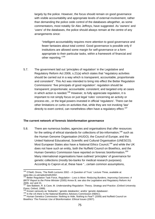largely by the police. However, the focus should remain on good governance with visible accountability and appropriate levels of external involvement, rather than demanding the police cede control of the databases altogether, as some commentators, most notably Sir Alec Jeffreys, have suggested. As 'owners' and 'users' of the databases, the police should always remain at the centre of any arrangements since:

"intelligent accountability requires more attention to good governance and fewer fantasies about total control. Good governance is possible only if institutions are allowed some margin for self-governance or a form appropriate to their particular tasks, within a framework of financial and other reporting."<sup>195</sup>

5.7. The government laid out 'principles of regulation' in the Legislative and Regulatory Reform Act 2006, s.21(a) which states that "regulatory activities should be carried out in a way which is transparent, accountable, proportionate and consistent". This Act was intended to bring into effect the Better Regulation Commissions' 'five principals of good regulation': regulation should be transparent; proportionate; accountable; consistent; and targeted only at cases in which action is needed.<sup>196</sup> However, to fully appreciate regulation, it is important to not simply focus on just legal 'rules' concerning an activity or process etc., or the legal powers invested in official 'regulators'. There can be other limitations or curbs on activities that, while they are not invoking 'law' directly to exert control, can nonetheless often have a regulatory effect.<sup>197</sup>

#### **The current network of forensic bioinformation governance**

5.8. There are numerous bodies, agencies and organisations that offer resources for the setting of ethical standards for collections of bio-information.<sup>198</sup> such as the Human Genome Organisation (HUGO); the Council of Europe; and the United National Educational, Scientific and Cultural Organisation (UNESCO). Most European States also have a National Ethics Council.<sup>199</sup> and while the UK does not have such an entity, both the Nuffield Council on Bioethics, and the Human Genetics Commission have reported on forensic bioinformation.<sup>200</sup> Many international organisations have outlined 'principles' of governance for genetic collections (mostly bio-banks for medical research purposes). According to Capron *et.al*, these have "...certain common assumptions,

 $\overline{a}$ 

<sup>&</sup>lt;sup>195</sup> O'Neill, Onora, 'The Reith Lectures 2002 - A Question of Trust.' Lecture Three, available at: www.bbc.co.uk/radio4/reith2002 .

<sup>196</sup> Better Regulation Task Force, *Regulation – Less is More: Reducing Burdens, Improving Outcomes: A BRTF Report to the Prime Minister* (2005) Annex B, see also the Legislative and Regulatory Reform Act 2006, ss2 and 21.

<sup>197</sup> See Baldwin, R. & Cave, M. *Understanding Regulation: Theory, Strategy and Practice*. (Oxford University Press; Oxford, 1999).<br><sup>198</sup> Known variously as 'biobanks'; 'genetic databanks'; and/or 'genetic databases'.

<sup>&</sup>lt;sup>199</sup> In the US there is the National Bioethics Advisory Commission (NBAC).<br><sup>200</sup> Human Genetics Commission *'Nothing to Hide, Nothing to Fear?'* (2009) and Nuffield Council on Bioethics '*The Forensic Use of Bioinformation: Ethical Issues* (2007).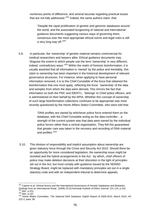numerous points of difference, and several lacunae regarding practical issues that are not fully addressed."<sup>201</sup> Indeed, the same authors claim that:

"Despite the rapid proliferation of genetic and genomic databases around the world, and the associated burgeoning of national and international guidance documents suggesting various ways of governing them, consensus over the most appropriate ethical norms and legal rules is still a very long way off."202

5.9. In particular, the 'ownership' of genetic material remains controversial for medical researchers and lawyers alike. Ethical guidance documents may "disguise the extent to which people use the term 'ownership' in very different, indeed, contradictory ways."<sup>203</sup> Within the realm of forensic bioinformation, it is usually asserted that all information is 'owned' by the police and inevitably, this claim to ownership has been important in the historical development of relevant governance structures. For instance, when applying to have personal information removed, it is to the Chief Constable of the force that obtained the bioinformation that one must apply, reflecting the force 'ownership' of the data and samples from which the data were derived. This mirrors the fact that information on both the PNC and IDENT1, 'belongs' to Chief police officers, and is administered on their behalf by the NPIA. Whether this concept of ownership of such large bioinformation collections continues to be appropriate was most recently questioned by the Home Affairs Select Committee, who were told that:

> "DNA profiles are owned by whichever police force entered them on the database, with the Chief Constable acting as the data controller... a strength of the current system was that data were owned by the individual police forces rather than a central organisation. They felt this guaranteed that greater care was taken in the recovery and recording of DNA material and profiles."<sup>204</sup>

5.10. This division of responsibility and implicit assumption about ownership are given statutory force through the Crime and Security Act 2010. Should there be an opportunity for more considered legislation, the ownership issue might be revisited and the hybrid arrangements in the Act - by which, chief officers of police may make deletion decisions at their discretion in the light of principles set out in the Act, but must comply with guidance issued by the NDNAD Strategy Board, might be replaced with mandatory principles set out in a single statutory code and with an independent tribunal to determine appeals.

<sup>201</sup> Capron *et al*, 'Ethical Norms and the International Governance of Genetic Databases and Biobanks: Findings from an International Study.' (2009) 19 (2) Kennedy Institute of Ethics Journal, 101-124, p.102.<br><sup>202</sup> ibid., p.101.<br><sup>203</sup> ibid., p.107.<br><sup>204</sup> Home Affairs Committee, '*The National DNA Database'* Eighth Report of

<sup>222-1.</sup> para. 39.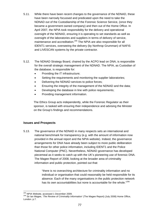- 5.11. While there have been recent changes to the governance of the NDNAD, these have been narrowly focussed and predicated upon the need to take the NDNAD out of the Custodianship of the Forensic Science Service, (once they became a government owned company) and then out of the Home Office. In April 2007, the NPIA took responsibility for the delivery and operational oversight of the NDNAD, ensuring it is operating to set standards as well as oversight of the laboratories and suppliers in terms of delivery of service, maintenance and accreditation.<sup>205</sup> The NPIA are also responsible for all IDENT1 services, overseeing the delivery (by Northrop Grumman) of NAFIS and LIVESCAN systems by the private contractor.
- 5.12. The NDNAD Strategy Board, chaired by the ACPO lead on DNA, is responsible for the overall strategic management of the NDNAD. The NPIA, as Custodian of the database, is responsible for:
	- Providing the IT infrastructure;
	- Setting the requirements and monitoring the supplier laboratories;
	- Delivering the NDNAD services to police forces;
	- Ensuring the integrity of the management of the NDNAD and the data;
	- Developing the database in line with police requirements;
	- Providing management information.

The Ethics Group acts independently, while the Forensic Regulator as their sponsor, is tasked with ensuring their independence and advising the Minister on the Group's findings and recommendations.

# **Issues and Prospects**

5.13. The governance of the NDNAD in many respects sets an international and national benchmark for transparency (e.g. with the amount of information now provided in the annual report and the NPIA website). Indeed, the governance arrangements for DNA have already been subject to more public deliberation than those for other police information, including IDENT1 and the Police National Computer (PNC). Nevertheless, NDNAD governance has developed piecemeal as it seeks to catch up with the UK's pioneering use of forensic DNA. The Magee Report of 2008, looking at the broader area of criminality information and public protection, pointed out that:

> "there is no overarching architecture for criminality information and no individual or organisation that could reasonably be held responsible for its absence. Each of the many organisations in the public protection network has its own accountabilities but none is accountable for the whole."<sup>206</sup>

<sup>&</sup>lt;sup>205</sup> NPIA Website, accessed 1 December 2009.

<sup>&</sup>lt;sup>206</sup> Sir Ian Magee, '*The Review of Criminality Information*' (The Magee Report) (July 2008) Home Office, London. p.7.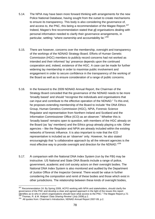- 5.14. The NPIA may have been more forward thinking with arrangements for the new Police National Database, having sought from the outset to create mechanisms to ensure its transparency. This body is also considering the governance of, and access to, the PNC, this being a recommendation of the Magee Report.<sup>207</sup> Indeed, Magee's first recommendation stated that all organisations dealing with personal information needed to clarify their governance arrangements, in particular, settling: "where ownership and accountability lie."208
- 5.15. There are however, concerns over the membership, oversight and transparency of the workings of the NDNAD Strategy Board. Efforts of Human Genetic Commission (HGC) members to publicly record concerns had not worked as intended and their informed 'lay' presence depends upon the continued cooperation and, indeed, existence of the HGC. A case can be made for further widening lay membership in order to maximise public involvement and engagement in order to secure confidence in the transparency of the working of the Board as well as to ensure consideration of a range of public concerns.
- 5.16. In the foreword to the 2009 NDNAD Annual Report, the Chairman of the Strategy Board conceded that the governance of the NDNAD needs to be more 'broadly based' and should "recognise the individuals and organisations that can input and contribute to the effective operation of the NDNAD." To this end, he proposes extending membership of the Board to include "the DNA Ethics Group, Human Genetics Commission (HGC), NPIA, Forensic Science Regulator and representation from Northern Ireland and Scotland and the Information Commissioner Office (ICO) as an observer." Whether this is 'broadly based' remains open to question, with members of the HGC already on the Board (as 'lay' members) and the Ethics group already playing a role. Other agencies – like the Regulator and NPIA are already included within the existing networks of forensic influence. It is also important to note that the ICO representative is included as an 'observer' only. However, he also stated encouragingly that "a collaborative approach by all the relevant agencies is the most effective way to provide oversight and direction for the NDNAD."209
- 5.17. A comparison with the National DNA Index System (run by the FBI) may be instructive. US National and State DNA Boards include a range of police, government, academic and civil society actors on their oversight bodies. The National DNA Index System is also monitored and audited by the Department of Justice Office of the Inspector General. There would be value in further considering the composition and remit of these bodies and those which exist in other jurisdictions. The relationship between these kinds of oversight bodies,

<sup>&</sup>lt;sup>207</sup> Recommendation 24: By Spring 2009, ACPO working with NPIA and stakeholders, should clarify the governance of the PNC and develop a clear and agreed approach in the light of the issues this report<br>identifies as to who in which organisations should have what access to the PNC." The Magee Report p.72.

 $^{208}$  Thomas, R. & M. Walport 'Data Sharing Review' (July 2008).p.2.<br> $^{209}$  All quotes from: Chairman's Introduction, NDNAD Annual Report 2007-09, p.2.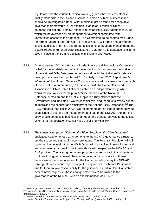regulators, and the various technical working groups that seek to establish quality standards in the US and elsewhere is also a subject of interest and should be investigated further. What models might be found for acceptable governance frameworks in, for example, Canadian, French or Dutch DNA database legislation? Finally, Ireland is to establish a DNA database in 2010, which will be overseen by an independent oversight committee, with unrestricted access to the database. The Committee, to be chaired by a judge (or former judge) of the High Court or Circuit Court, will report annually to the Justice Minister. There are severe penalties in place (5 years imprisonment and a Euro 50,000 fine) for unlawful disclosure of data from this database, similar to laws in place in the EU and applicable in England and Wales. $210$ 

- 5.18. As long ago as 2001, the House of Lords Science and Technology Committee called for the establishment of an independent body: "to oversee the workings of the National DNA Database, to put beyond doubt that individual's data are being properly used and protected."211 Similarly, in their 2002 Report '*Inside Information'*, the Human Genetics Commission voiced concerns about oversight of the NDNAD, recommending: "at the very least, the Home Office and Association of Chief Police Officers establish an independent body, which would include lay membership, to oversee the work of the National DNA Database custodian and the profile suppliers." They claimed that the Government had indicated it would consider this, and "conduct a review aimed at improving the security and efficiency of the National DNA Database".<sup>212</sup> The HGC repeated their call in 2009: "we recommend that an independent body be established to oversee the management and use of the NDNAD, and that this body should conduct its business in an open and transparent way to the fullest extent that the operational sensitivities of policing will allow."<sup>213</sup>
- 5.19. The consultation paper, '*Keeping the Right People on the DNA Database'*, envisaged supplementary arrangements to the NDNAD governance structure, but the scope and timing of these were vague. The Forensic Regulator will still have no direct oversight of the NDNAD, but will be involved in establishing and enforcing relevant scientific quality standards with respect to the NDNAD and DNA profiling. The latest government proposals in response to the consultation continue to suggest minimal changes to governance structures, with few details, except for a requirement for the Home Secretary to lay the NDNAD Strategy Board's annual report, subject to any redactions, before Parliament, and for them to take responsibility for the guidance issued to Chief Constables over removal requests. These changes also look to be limited to the governance of the NDNAD, with no explicit mention of IDENT1.

<sup>&</sup>lt;sup>210</sup> 'Gardai get new powers to collect DNA from bodies', The Irish Independent, 21 December 2009.

<sup>&</sup>lt;sup>211</sup> House of Lords Science and Technology Select Committee, Fourth Report '*Human Genetic Databases'* March 2001). Para.1.27.<br>
<sup>212</sup> Human Genetics Commission, *'Inside Information'* (May 2002, London). p.23.

<sup>212</sup> Human Genetics Commission, *'Inside Information'* (May 2002, London). p.23. 213 Human Genetics Commission, '*Nothing to Hide, Nothing to Fear*,' (November 2009, London) p.7.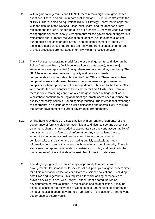- 5.20. With regard to fingerprints and IDENT1, there remain significant governance questions. There is no annual report published for IDENT1, in contrast with the NDNAD. There is also no equivalent 'IDENT1 Strategy Board' that is apparent. With the demise of the National Fingerprint Board, and the absence of any replacement, the NPIA (under the guise of Forensics21) now provides oversight of fingerprint issues nationally. Arrangements for the governance of fingerprints reflect their dual purpose: the validation of identity (e.g. to expose alias use during police enquiries or after arrest); and the establishment of identity of those individuals whose fingerprints are recovered from scenes of crime. Both of these processes are managed internally within the police service.
- 5.21. The NPIA set the operating model for the use of fingerprints, and also run the Police Database Board, (which covers all police databases), where major stakeholders are represented (though there are no external lay members). The NPIA have undertaken reviews of quality and policy and made recommendations in reports submitted to Chief Officers. There has also been comparative work undertaken between forces to ensure improvement and compliance where appropriate. These reports are submitted to the Home Office who monitor the cost benefits of their subsidy for LIVESCAN units. However there is some remaining confusion over the governance of fingerprint work. Whilst there continue to be regional meetings, practitioners need guidance on quality and policy issues surrounding fingerprinting. The international exchange of fingerprints is an issue of particular significance and seems likely to require the further development of current governance arrangements.
- 5.22. Whilst there is evidence of dissatisfaction with current arrangements for the governance of forensic bioinformation, it is also difficult to see any consensus on what mechanisms are needed to assure transparency and accountability of the uses and users of forensic bioinformation. Any mechanisms have to account for commercial considerations and interests in commercial confidentiality at the same time as making publicly available as much information consistent with concerns with security and confidentiality. There is also a need for appropriate levels of consistency in policy and practice in the management of different kinds of forensic bioinformation databases.
- 5.23. The *Marper* judgment presents a major opportunity to review current arrangements. Parliament could seek to set out 'principles of governance' either for all bioinformation collections or all forensic science collections – including both DNA and fingerprints. This requires a forward-looking perspective to provide flexibility to deal with - as yet - either unanticipated futures or developments not yet validated, in the science and its application. It may be helpful to consider the relevance of Gibbons et al (2007) eight 'desiderata' for an ideal medical biobank governance framework. In this account, a framework governance structure would: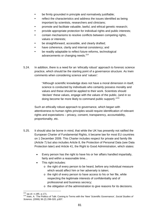- be firmly grounded in principle and normatively justifiable;
- reflect the characteristics and address the issues identified as being important by scientists, researchers and clinicians;
- promote and facilitate valuable, lawful, and ethical genetic research;
- provide appropriate protection for individual rights and public interests;
- contain mechanisms to resolve conflicts between competing rights, values or interests;
- be straightforward, accessible, and clearly drafted;
- have coherence, clarity and internal consistency; and
- be readily adaptable to reflect future reforms, technological advancements or changing needs.<sup>214</sup>
- 5.24. In addition, there is a need for an 'ethically robust' approach to forensic science practice, which should be the starting point of a governance structure. As Irwin comments when considering science and 'values':

"Although scientific knowledge does not have a moral dimension in itself, science is conducted by individuals who certainly possess morality and values and these should be applied to their work. Scientists should 'declare' these values, engage with the values of the public, (and in so doing become far more likely to command public support)."<sup>215</sup>

Such an ethically robust approach to governance, which began with attentiveness to human rights principles would require identification of relevant rights and expectations – privacy, consent, transparency, accountability, proportionality, etc.

- 5.25. It should also be borne in mind, that while the UK has presently not ratified the European Charter of Fundamental Rights, it became law for most EU countries on 1 December 2009. This Charter includes respect for private and family life (Article 7) but also includes Article 8, the Protection of Personal Data (see Data Protection later) and Article 41, the Right to Good Administration, which states:
	- Every person has the right to have his or her affairs handled impartially, fairly and within a reasonable time...
	- This right includes:
		- o the right of every person to be heard, before any individual measure which would affect him or her adversely is taken;
		- o the right of every person to have access to his or her file, while respecting the legitimate interests of confidentiality and of professional and business secrecy;
		- o the obligation of the administration to give reasons for its decisions.

<sup>1</sup> 

<sup>&</sup>lt;sup>214</sup> *op.cit*. n.185. p.171.<br><sup>215</sup> Irwin, A. 'The Politics of Talk: Coming to Terms with the 'New' Scientific Governance', *Social Studies of Science,* (2006) 36 (2) 299-320, p307.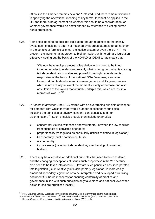Of course this Charter remains new and 'untested', and there remain difficulties in specifying the operational meaning of key terms. It cannot be applied in the UK and there is no agreement on whether this should be a consideration, or whether governance would be better shaped by reference to existing human rights protections.

5.26. 'Principles' need to be built into legislation (though readiness to rhetorically evoke such principles is often not matched by rigorous attempts to define them in the context of forensic science, the justice system or even the ECtHR). At present, the incremental approach to bioinformation, with no primary legislation effectively setting out the basis of the NDNAD or IDENT1, has meant that:

> "We now have multiple pieces of legislation which need to be fitted together in order to understand exactly what is going on… what is missing is independent, accountable and powerful oversight; a fundamental reappraisal of the basis of the National DNA Database; a suitable framework for its development, it's management and it's governance – which is not actually in law at the moment – clarity of purpose and also articulation of the values that actually underpin this, which are lost in a morass of laws...".<sup>216</sup>

- 5.27. In '*Inside Information'*, the HGC started with an overarching principle of 'respect for persons' from which they derived a number of secondary principles, including the principles of privacy; consent; confidentiality and nondiscrimination.<sup>217</sup> Such 'principles' could then include (*inter alia*):
	- consent (for victims, witnesses and volunteers), or when the law requires from suspects or convicted offenders;
	- proportionality (recognised as particularly difficult to define in legislation);
	- transparency (public confidence/ trust);
	- accountability;
	- inclusiveness (including independent lay membership of governing bodies).
- 5.28. There may be alternative or additional principles that need to be considered, and the changing conceptions of issues such as 'privacy' in the 21<sup>st</sup> century also need to be taken into account. How are such principles best incorporated into legislation (i.e. in relatively inflexible primary legislation, in more easily amended secondary legislation or to be interpreted and developed as a 'living document')? Should measures for ensuring conformity of practice and governance in line with such principles only take place at a national level when police forces are organised locally?

<sup>1</sup> <sup>216</sup> Prof. Graeme Laurie, Evidence to the House of Lords Select Committee on the Constitution,

*<sup>&#</sup>x27;Surveillance: Citizens and the State'*, 2nd Report of Session 2008-09, (TSO, London). para. 209. 217 Human Genetics Commission, *'Inside Information'* (May 2002), p.14.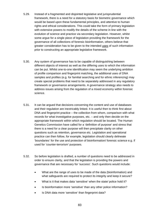- 5.29. Instead of a fragmented and disjointed legislative and jurisprudential framework, there is a need for a statutory basis for biometric governance which would be based upon these fundamental principles, and attentive to human rights and ethical considerations. This could take the form of primary legislation with extensive powers to modify the details of the scheme in line with the evolution of science and practice via secondary legislation. However, whilst some argue for a single piece of legislation providing the framework for the governance of all collections of forensic bioinformation, others believe that greater consideration has to be given to the intended uses of such information prior to constructing an appropriate legislative framework.
- 5.30. Any system of governance has to be capable of distinguishing between different objects of interest as well as the differing uses to which the information can be put. Whilst one-to-one identification may seem the underlying ambition of profile comparison and fingerprint matching, the additional uses of DNA samples and profiles (e.g. for familial searching and for ethnic inferencing) may create special problems that need to be separately addressed in any regulatory framework or governance arrangements. A governance strategy also needs to address issues arising from the regulation of a mixed economy within forensic science.
- 5.31. It can be argued that decisions concerning the content and use of databases and their regulation are inextricably linked. It is useful then to think first about DNA and fingerprint practice – the collection from whom, comparison with what records for what investigative purposes, etc. – and only then decide on the appropriate framework within which regulation should be located. The Human Genetics Commission have called for a 'definition of purpose' and stress that there is a need for a clear purpose will then precipitate clarity on other questions such as retention, governance etc. Legislation and operational practice can then follow, for example, legislation should clearly delineate 'boundaries' for the use and protection of bioinformation/ forensic science e.g. if used for 'counter-terrorism' purposes.
- 5.32. So before legislation is drafted, a number of questions need to be addressed in order to ensure clarity, and that the legislation is providing the powers and governance that are necessary for 'success'. Such questions would include:
	- What are the range of uses to be made of the data (bioinformation) and what safeguards are required to protect its integrity and keep it secure?
	- What is it that makes data 'sensitive' when the state/ police hold it?
	- Is bioinformation more 'sensitive' than any other police information?
	- Is DNA data more 'sensitive' than fingerprint data?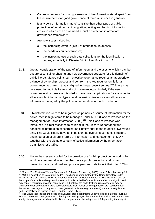- Can requirements for good governance of bioinformation stand apart from the requirements for good governance of forensic science in general?
- Is any police information 'more' sensitive than other types of public protection information (i.e. immigration; vetting and barring information etc.) – in which case do we need a 'public protection information' governance framework?
- Are new issues raised by:
	- o the increasing effort to 'join-up' information databases;
	- o the needs of counter-terrorism;
	- o the increasing use of such data collections for the identification of bodies, especially in Disaster Victim Identification work?
- 5.33. Greater consideration of the type of information, and the uses to which it can be put are essential for shaping any new governance structure for this domain of public life. As Magee points out: "effective governance requires an appropriate balance of ownership, process and control… the key requirement is for a governance mechanism that is aligned to the purpose it serves."<sup>218</sup> There may be a need for multiple frameworks of governance, particularly if the new governance structures are intended to have broad application – for example, to all forensic bioinformation types, to all forensic science, or even all personal information managed by the police, or information for public protection.
- 5.34. If bioinformation were to be regarded as primarily a source of information for the police, then it might come to be managed under MOPI (Code of Practice on the Management of Police Information, 2005).<sup>219</sup> This Code of Practice was introduced in direct response to criticism in the Bichard Report about the handling of information concerning Ian Huntley prior to the murder of two young girls. This would clearly have an impact on the overall governance structure, and integration of different forms of information and management of MOPI, together with the ultimate scrutiny of police information by the Information Commissioner's Office.
- 5.35. Magee has recently called for the creation of a 'public protection network' which would encompass all agencies that have a public protection and crime prevention remit, and hold and process personal data to fulfil that role.<sup>220</sup> This

 $\overline{a}$ 

<sup>&</sup>lt;sup>218</sup> Magee '*The Review of Criminality Information*' (Magee Report, July 2008) Home Office, London. p.23<br><sup>219</sup> MOPI is described as 'a statutory code'. It has been is promulgated by the Home Secretary under <sup>219</sup> MOPI is described as 'a statutory code'. It has been is promulgated by the Home Secretary under<br>the Police Acts of 1996 and 1997 (as amended by the Police Reform Act 2002). This legislation sets out the scope of the code and requires that any such code be laid before Parliament after promulgation and may contain requirements about consultation, but not that the code itself requires consent or may be annulled by Parliament as if it were secondary legislation. 'Chief Officers [of police] are required under the Act to "have regard" to any such codes' (Forensic Science Regulator (2008) Manual of Regulation - Part One: Policy and Principles, p19 (London, Home Office).<br><sup>220</sup> This would then include the police and all associated departments under the police umbrella (such as

SOCA/ counter terrorism groups etc.); 'barring and vetting' agencies such as the Criminal Records Bureau; immigration agencies including the UK Borders Agency, and the Independent Safeguarding Authority etc..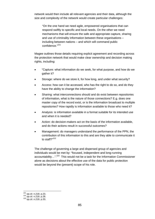network would then include all relevant agencies and their data, although the size and complexity of the network would create particular challenges:

"On the one hand we need agile, empowered organisations that can respond swiftly to specific and local needs. On the other we need mechanisms that will ensure the safe and appropriate capture, sharing and use of criminality information between these organisations – including between nations – and which will command public confidence."221

Magee outlines those details requiring explicit agreement and recording across the protection network that would make clear ownership and decision making rights, including:

- "Capture: what information do we seek, for what purpose, and how do we gather it?
- Storage: where do we store it, for how long, and under what security?
- Access: how can it be accessed, who has the right to do so, and do they have the ability to change the information?
- Sharing: what interconnections should and do exist between repositories of information, what is the nature of those connections? E.g. does one master copy of the record exist, or is the information broadcast to multiple repositories? How rapidly is information available to those who need it?
- Analysis: is information available in a format suitable for its intended use and when it is needed?
- Action: do decision-makers act on the basis of the information available, and do their actions result in successful outcomes?
- Management: do managers understand the performance of the PPN, the contribution of this information to this and are they able to communicate it to staff?"222

The challenge of governing a large and dispersed group of agencies and individuals would be met by: "focused, independent and long-running accountability...".<sup>223</sup> This would not be a task for the Information Commissioner alone as decisions about the effective use of the data for public protection would be beyond the (present) scope of his role.

<sup>221</sup> *op.cit*. n.218. p.23. <sup>222</sup> *op.cit*. n.218. p.28. <sup>223</sup> *op.cit*. n.218. p.33.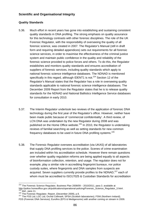# **Scientific and Organisational Integrity**

# **Quality Standards**

- 5.36. Much effort in recent years has gone into establishing and sustaining consistent quality standards in DNA profiling. The strong emphasis on quality assurance for this technology contrasts with other forensic disciplines. The role of the UK Forensic Regulator, with the responsibility of overseeing the quality of all forensic science, was created in 2007. The Regulator's Manual (still in draft form and requiring detailed appendices) sets out requirements for all forensic science services, in order to maximise the effectiveness of the criminal justice system and maintain public confidence in the quality and reliability of the forensic science provided to police forces and others. To do this, the Regulator establishes and monitors quality standards and ensures accreditation of suppliers of forensic services, including quality standards which apply to national forensic science intelligence databases. The NDNAD is mentioned specifically in this regard, although IDENT1 is not. $224$  Section 12 of the Regulator's Manual states that the Regulator has a role in overseeing quality standards applicable to national forensic science intelligence databases. The December 2009 Report from the Regulator states that he is to release quality standards for the NDNAD and National Ballistics Intelligence Service databases for consultation in early 2010.
- 5.37. The Interim Regulator undertook two reviews of the application of forensic DNA technology during the first year of the Regulator's office. However, neither have been made public because of 'commercial confidentiality'. A third review, of LCN DNA was undertaken by the new Regulator during 2008 and was published on the Home Office website.<sup>225</sup> In 2010, the Regulator is undertaking reviews of familial searching as well as setting standards for new common frequency databases to be used in future DNA profiling systems.<sup>226</sup>
- 5.38. The Forensic Regulator oversees accreditation (via UKAS) of all laboratories that supply DNA profiling services to the police. Scenes of crime examination are included within his accreditation schedule. However there remain questions over whether quality regulation reforms are being applied equally to all aspects of bioinformation collection, retention, and usage. The regulator does not for example, play a similar role in accrediting fingerprint bureaux, nor police custody suites, where fingerprints and DNA samples from suspects are acquired. Seven suppliers currently provide profiles to the NDNAD.<sup>227</sup> each of whom must be accredited to ISO17025 & Custodian Standards for accreditation

FDS (Forensic DNA Services); Eurofins (EFS & Medigenomix) with another coming on stream in 2009.

<sup>1</sup>  $224$  The Forensic Science Regulator, Business Plan 2008/09 – 2010/2011, para 3. available at http://police.homeoffice.gov.uk/publications/operational-policing/Forensic\_Science\_Regulator\_3.html .<br>
<sup>225</sup> ibid., para 11.<br>
<sup>226</sup> The Forensic Regulator, Report, (December 2009), p.9.<br>
<sup>227</sup> The FSS Ltd: LGC Ltd: Orchid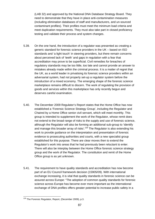(LAB 32) and approved by the National DNA Database Strategy Board. They need to demonstrate that they have in place anti-contamination measures (including elimination databases of staff and manufacturers, and un-sourced contaminant profiles). Their profiles must meet the minimum load criteria and meet duplication requirements. They must also take part in closed proficiency testing and validate their process and system changes.

- 5.39. On the one hand, the introduction of a regulator was presented as creating a generic standard for forensic science providers in the UK – based on ISO standards and 'a light touch' in steering providers, but there remain concerns about perceived lack of 'teeth' and gaps in regulation with a fear that accreditation may prove to be superficial. Civil remedies for breaches of regulatory standards may be too little, too late and cannot provide an answer to mistakes already made within the criminal process. It is a matter of regret that the UK, as a world leader in privatising its forensic science providers within an adversarial system, had not properly set-up a regulator system before the introduction of a mixed economy. The emerging shape of the forensic science marketplace remains difficult to discern. The work of regulating the provision of goods and services within this marketplace has only recently begun and deserves careful examination.
- 5.40. The December 2009 Regulator's Report states that the Home Office has now established a 'Forensic Science Strategy Group', including the Regulator and Chaired by a Home Office senior civil servant, which will meet monthly. This group is intended to supplement the work of the Regulator, whose remit does not extend to the broad range of risks to the supply and use of forensic science, although the Regulator will also be forming an additional sub-group to 'identify and manage this broader array of risks'.<sup>228</sup> The Regulator is also extending his work to provide guidance on the interpretation and presentation of forensic evidence to prosecuting authorities and courts, with a new specialist group established for this purpose. There are clear moves then to extend the Regulator's work into areas that he had previously been reluctant to enter. There will also be interplay between the Home Office forensic science strategy group and the work of the Regulator. The constitution and remit of the Home Office group is as yet unknown.
- 5.41. The requirement to have quality standards and accreditation has now become part of an EU Council framework decision (15905/09). With international exchange increasing, it is vital that quality standards in forensic science can be assured across Europe: "The adoption of common quality standards for forensic science across Europe has become ever more important as the international exchange of DNA profiles offers greater potential to increase public safety in a

 $\overline{a}$ <sup>228</sup> The Forensic Regulator, Report, (December 2009), p.3.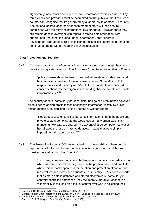significantly more mobile society."<sup>229</sup> Now, 'laboratory activities' carried out by forensic science providers must be accredited so that public authorities in each country can recognise results generated by a laboratory in another EU country. The national accreditation body of each member state will then ensure compliance with the relevant international ISO standard. However, there may still remain gaps in oversight with regard to forensic bioinformation, with fingerprint bureaux not included under 'laboratories', only fingerprint development laboratories. This distinction permits police fingerprint bureaux to continue operating without requiring ISO accreditation.

## **Data Protection and Security**

5.42. Concerns over the use of personal information are not new, though they may be attracting greater attention. The European Commission found that in Europe:

> "public unease about the use of personal information is widespread and has remained consistent for almost twenty years. Some 64% of EU respondents – and as many as 77% of UK respondents – expressed concerns about whether organisations holding their personal data handle it appropriately."<sup>230</sup>

The security of data, particularly personal data, has gained prominence however, since a series of high profile losses of sensitive information, mostly by public sector agencies, as highlighted in the Thomas & Walport report:

 "Repeated losses of sensitive personal information in both the public and private sectors demonstrate the weakness of many organisations in managing how data are shared. The advent of large computer databases has allowed the loss of massive datasets in ways that were simply impossible with paper records."231

5.43. The Trustguide Report (2006) found a feeling of 'vulnerability', where people reported a lack of 'control' over the data collected about them, and this was most acutely felt around their 'identity':

> "Technology creates many new challenges and causes us to redefine that which we may have taken for granted in the physical world and one field where this is most apparent is the creation and protection of one of our most valued and most used attributes – our identity. ... Attendees reported that as more data is gathered and stored electronically, particularly in centrally controlled databases, they feel more vulnerable. Most of this vulnerability is focused on a lack of control over who is collecting their

<sup>&</sup>lt;sup>229</sup> Foreword, CC Neyroud, NDNAD Annual Report 2007-09, p.4.

<sup>&</sup>lt;sup>230</sup> Eurobarometer: Data Protection in the European Union – Citizens Perceptions (February 2008). – available at http://ec.europa.eu/public\_opinion/archives/flash\_arch\_en.htm . 231 Thomas, R. & M. Walport '*Data Sharing Review'* (July 2008).p.i .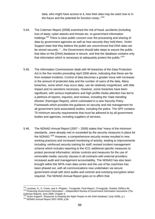data, who might have access to it, how their data may be used now or in the future and the potential for function creep.."<sup>232</sup>

- 5.44. The Coleman Report (2008) examined the risk of fraud, accidents (including loss of data); cyber-attacks and threats etc. to government information holdings.<sup>233</sup> There is clear public concern over the processing and sharing of data by government agencies as well as how securely they hold them. Victim Support state that they believe the public are unconvinced that DNA data can be stored securely: "…the Government should take steps to assure the public that data on the [DNA] database is secure, and that the database contains only that information which is necessary to adequately protect the public."<sup>234</sup>
- 5.45. The Information Commissioner dealt with 94 breaches of the Data Protection Act in the five months preceding April 2008 alone, indicating that these are far from isolated incidents. Control of data becomes a greater issue with increases in the amount of protected data and the number of users of the data. Many breaches, some which may occur daily, can be relatively insignificant, with little impact and no sanctions necessary. However, some breaches have been significant, with serious implications and high profile media attention has led to a plethora of reports, inquiries, and reviews, including the '*Data Handling Review*' (Hannigan Report), which culminated in a new Security Policy Framework which provides the guidance on security and risk management for all government (and associated) bodies, including the police. The SPF contains 70 minimum security requirements that must be adhered to by all government bodies and agencies, including suppliers of services.
- 5.46. The NDNAD Annual Report (2007 2009) states that "many of the minimum standards...were already met or exceeded by the security measures in place for the NDNAD.<sup>"235</sup> However, a comprehensive security review resulted in new working practices and increased monitoring of activity, leading to improvements including: reinforced security training for staff; revised incident management scheme which includes reporting to the ICO; additional specific measures to protect personal information; stricter controls and measures for the use of removable media; security clauses in all contracts with external providers; increased audit and management accountability. The NDNAD has also been brought within the NPIA main data centre and the use of fax machines has been phased out, with all communications now undertaken via secure government email with strict audits and controls and overlying encryption when required. The NDNAD Annual Report goes on to affirm that:

<sup>&</sup>lt;sup>232</sup> Lacohee, H., S. Crane, and A. Phippen, *'Trustguide: Final Report'*, (Trustguide, October 2006).p 84.<br><sup>233</sup> *Protecting Government Information* – Independent Review of Government Information Assurance (The Coleman Report), June 2008, Chapter 3.

<sup>&</sup>lt;sup>234</sup> Victim Support, '*Response to Keeping the Right People on the DNA Database'* (July 2009), p.1 <sup>235</sup> NDNAD Annual Report 2007-2009, p.36.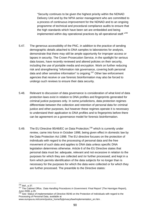"Security continues to be given the highest priority within the NDNAD Delivery Unit and by the NPIA senior management who are committed to a process of continuous improvement for the NDNAD and to an ongoing programme of technical and procedural compliance audits to ensure that the high standards which have been set are embedded and being implemented within day operational practices by all operational staff."<sup>236</sup>

- 5.47. The generous accessibility of the PNC, in addition to the practice of sending demographic details attached to DNA samples to laboratories for analysis, demonstrate that there may still be ample opportunity for improper access or lapses in security. The Crown Prosecution Service, in the spotlight for serious data losses, have recently reviewed and altered policies on their security, including the use of portable media and encryption. Work on further reducing risk and strengthening "information risk governance, covering both personal data and other sensitive information" is ongoing.<sup>237</sup> Other law enforcement agencies that receive or use forensic bioinformation may also be forced to undergo such reviews to ensure their data security.
- 5.48. Relevant to discussion of data governance is consideration of what kind of data protection laws exist in relation to DNA profiles and fingerprints generated for criminal justice purposes only. In some jurisdictions, data protection regimes differentiate between the collection and retention of personal data for criminal justice and other purposes, but however these regimes operate it is necessary to understand their application to DNA profiles and to fingerprints before there can be agreement on a governance model for forensic bioinformation.
- 5.49. The EU Directive 95/46/EC on Data Protection,<sup>238</sup> which is currently under review, came into force in October 1998, being given effect in domestic law by the Data Protection Act 1998. The EU directive focuses on the protection of individuals with regard to the processing of personal data and the free movement of such data and applies to DNA data unless specific DNA legislation determines otherwise. Article 6 of the EU Directive states that personal data must be: adequate, relevant and not excessive in relation to the purposes for which they are collected and /or further processed; and kept in a form which permits identification of the data subjects for no longer than is necessary for the purposes for which the data were collected or for which they are further processed. The preamble to the Directive states:

 $236$  ibid., p.37.

<sup>236</sup> *ibid*., p.37. 237 The Cabinet Office, '*Data Handling Procedures in Government: Final Report'* (The Hannigan Report), June 2008, p.29.

<sup>&</sup>lt;sup>238</sup> See: Status of implementation of Directive 95/46 on the Protection of Individuals with regard to the Processing of Personal Data, available at

www.europa.eu.int/comm/justice\_home/fsj/privacy/law/implementation\_en.htm .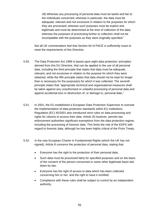28) Whereas any processing of personal data must be lawful and fair to the individuals concerned; whereas in particular, the data must be adequate, relevant and not excessive in relation to the purposes for which they are processed; whereas such purposes must be explicit and legitimate and must be determined at the time of collection of the data; whereas the purposes of processing further to collection shall not be incompatible with the purposes as they were originally specified."

Not all UK commentators feel that Section 64 of PACE is sufficiently exact to meet the requirements of this Directive.

- 5.50. The Data Protection Act 1998 is based upon eight data protection 'principles' derived from this EU Directive, that can be applied to the use of all personal data, including the third principle that states that data must be adequate, relevant, and not excessive in relation to the purpose for which they were obtained, while the fifth principle states that data should not be kept for longer than is necessary for the purpose(s) for which it was collected. The seventh principle states that "appropriate technical and organisational measures shall be taken against any unauthorised or unlawful processing of personal data and against accidental loss or destruction of, or damage to, personal data."
- 5.51. In 2001, the EU established a European Data Protection Supervisor to oversee the implementation of data-protection standards within EU institutions. Regulation (EC) 45/2001 also introduced strict rules on data processing and rights for citizens to access their data. Article 20 however, permits law enforcement authorities significant exemptions from the data protection regime, including the processing of forensic data. This limits the role of the EDPS with regard to forensic data, although he has been highly critical of the Prüm Treaty.
- 5.52. In the new European Charter in Fundamental Rights (which the UK has not signed), Article 8 concerns the protection of personal data, stating that:
	- Everyone has the right to the protection of their personal data;
	- Such data must be processed fairly for specified purposes and on the basis of the consent of the person concerned or some other legitimate basis laid down by law;
	- Everyone has the right of access to data which has been collected concerning him or her, and the right to have it rectified;
	- Compliance with these rules shall be subject to control by an independent authority.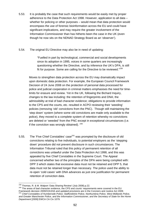5.53. It is probably the case that such requirements would be easily met by proper adherence to the Data Protection Act 1998. However, application to all data – whether for policing or other purposes – would mean that data protection would encompass the use of forensic bioinformation across the EU and could have significant implications, and may require the greater involvement of the Information Commissioner than has hitherto been the case in the UK (even though he now sits on the NDNAD Strategy Board as an 'observer').

#### 5.54. The original EU Directive may also be in need of updating:

"Fuelled in part by technological, commercial and social developments since its adoption in 1995, voices in some quarters are increasingly questioning whether the Directive, and by inference the UK's DPA, is still fit for purpose. Some are calling for the Directive to be reviewed."<sup>239</sup>

Moves to strengthen data protection across the EU may dramatically impact upon domestic data protection. For example, the European Council Framework Decision of 24 June 2008 on the protection of personal data processed for police and judicial cooperation in criminal matters emphasises the need for timelimits for erasure and review. Yet in the UK, following the Bichard Inquiry, changes to the law including: the retention of fingerprints and DNA; the admissibility at trial of bad character evidence; obligations to provide information to the CPS and the courts, etc. resulted in ACPO reviewing their 'weeding' policies (removing 'old' convictions from the PNC). Though still maintaining the 'step down' system (where some old convictions are made only available to the police), they moved to a complete system of retention whereby no convictions are deleted or 'weeded' from the PNC except in exceptional circumstances (i.e. if the conviction was wrongly obtained).  $240$ 

5.55. The 'Five Chief Constables' case<sup>241</sup> was prompted by the disclosure of old convictions relating to five individuals, to potential employers as the 'stepping down' procedure did not prevent disclosure in such circumstances. The Information Tribunal ruled that this policy of permanent retention of all convictions was unlawful under the Data Protection Act 1998, and this was appealed by five Chief Constables in the Supreme Court. The Appeal concerned whether two of the principles of the DPA were being complied with: DPP 3 which states that excessive data must not be retained and DPP 5, that data must not be retained longer than necessary. The police used the ability to re-open 'cold cases' with DNA advances as just one justification for permanent retention of conviction data.

240 The areas of bad character evidence, the CPS and courts' requirements were covered in the EU

<sup>&</sup>lt;sup>239</sup> Thomas, R. & M. Walport 'Data Sharing Review' (July 2008).p.22.

Framework decision 2009/315/JHA and updated provisions are in the Coroners and Justice Act 2009. <sup>241</sup> *Chief Constables of Humberside Police; Staffordshire Police, Northumbria Police, West Midlands Police, and Greater Manchester Police, and the Information Commissioner, and the Secretary of State for the Home Department* [2009] EWCA CA Civ 1079.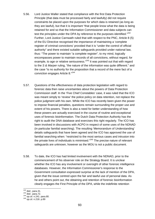- 5.56. Lord Justice Waller stated that compliance with the first Data Protection Principle (that data must be processed fairly and lawfully) did not require constraints be placed upon the purposes for which data is retained (as long as they are lawful), but that it is important "that people know what the data is being retained for and so that the Information Commissioner and data subjects can test the principles under the DPA by reference to the purposes identified."<sup>242</sup> Further, Lord Justice Carnwath ruled that with respect to the PNC, Article 8 (5) of the EU Directive recognised the importance of maintaining a 'complete register of criminal convictions' provided that it is "under the control of official authority" and there existed suitable safeguards provided under national law, thus: "The power to maintain "a complete register", to my mind, logically encompasses power to maintain records of all convictions, without regard, for example, to age or relative seriousness."<sup>243</sup> It was pointed out that with regard to the *S & Marper* ruling, "the nature of the information was quite different." and the case "is no authority for the proposition that a record of the mere fact of a conviction engages Article 8."<sup>244</sup>
- 5.57. Questions of the effectiveness of data protection legislation with regard to forensic data then raise uncertainties about the powers of Data Protection Commission staff. In the 'Five Chief Constables' case, it was ruled that the ICO was meant simply to 'review' the police policy on data retention, not replace the police judgment with his own. While the ICO has recently been given the power to impose financial penalties, questions remain surrounding the proper use and extent of his powers. There is also a need for better understanding of how these powers are actually exercised in the course of routine and exceptional uses of forensic bioinformation. The Dutch Data Protection Authority has the right to audit the DNA database and exercises this right regularly. The ICO has been involved in discussions with ACPO in respect of some uses of the NDNAD (in particular familial searching). The resulting 'Memorandum of Understanding' details safeguards that have been agreed and the ICO has approved the use of familial searching when: "restricted to the most serious cases and intrusion into the private lives of individuals is minimised. $245$  The precise nature of relevant safeguards are unknown, however as the MOU is not a public document.
- 5.58. To date, the ICO has had limited involvement with the NDNAD, prior to the commencement of his observer role on the Strategy Board. It is unclear whether the ICO has any involvement or oversight of other forensic intelligence databases. However, the Information Commissioner's response to the Government consultation expressed surprise at the lack of mention of the DPA, given that the issue centred upon the fair and lawful use of personal data. As he and others point out, the obtaining and retention of forensic bioinformation clearly engages the First Principle of the DPA, while the indefinite retention

 $\frac{^{242}}{^{243}}$  *ibid.*, para.31.<br> $\frac{^{243}}{^{243}}$  *ibid.*. para.72.

<sup>242</sup> *ibid*., para.31. <sup>243</sup> *ibid.*. para.72. <sup>244</sup> *op.cit*. n.241. para.80. <sup>245</sup> *op.cit*. n.218. p.89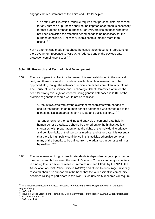engages the requirements of the Third and Fifth Principles:

"The fifth Data Protection Principle requires that personal data processed for any purpose or purposes shall not be kept for longer than is necessary for that purpose or those purposes. For DNA profiles on those who have not been convicted the retention period needs to be necessary for the purpose of policing. 'Necessary' in this context, means more than useful."246

Yet no attempt was made throughout the consultation document representing the Government response to *Marper*, to "address any of the obvious data protection compliance issues."247

## **Scientific Research and Technological Development**

5.59. The use of genetic collections for research is well established in the medical field, and there is a wealth of material available on how research is to be approved etc., though the network of ethical committees are often labyrinthine. The House of Lords Science and Technology Select Committee affirmed the need for strong oversight of research using genetic databases in 2001, or the promise of genetic research would not be realised:

> "...robust systems with strong oversight mechanisms were needed to ensure that research on human genetic databases was carried out to the highest ethical standards, in both private and public sectors...."<sup>248</sup>

> "arrangements for the handling and analysis of personal data held in human genetic databases should be carried out to the highest ethical standards, with proper attention to the rights of the individual to privacy and confidentiality of their personal medical and other data. It is essential that there is high public confidence in this activity, otherwise some or many of the benefits to be gained from the advances in genetics will not be realised."249

5.60. The maintenance of high scientific standards is dependent largely upon proper forensic research. However, the role of Research Councils and major charities in funding forensic science research remains unclear. Efforts by the NPIA, the Association of Chief Police Officers (ACPO) and others to encourage university research should be supported in the hope that the wider scientific community becomes willing to participate in this work. Such university research will require

<sup>246</sup> Information Commissioners Office, *Response to 'Keeping the Right People on the DNA Database'*, August 2009, p.7.

<sup>247</sup> *ibid*., p.4. 248 House of Lords Science and Technology Select Committee, Fourth Report '*Human Genetic Databases'* (March 2001). Para.7.34.

<sup>249</sup> *ibid.,* para.7.46.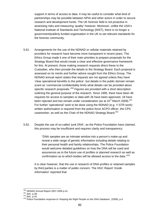support in terms of access to data. It may be useful to consider what kind of partnerships may be possible between NPIA and other actors in order to secure research and development funds. The UK forensic field is not proactive in assessing risks and measuring 'quality' however. Moreover, unlike the USA's National Institute of Standards and Technology (NIST), there is no longer a government/publicly funded organisation in the UK to set relevant standards for the forensic community.

- 5.61. Arrangements for the use of the NDNAD or cellular materials retained by providers for research have become more transparent in recent years. The Ethics Group made it one of their main priorities to prepare proposals for the Strategy Board that would create a clear and effective governance framework for this. At present, those making research requests direct these to the Custodian, who then provide the details to the Strategy Board. Each proposal is assessed on its merits and further advice sought from the Ethics Group. The NDNAD annual report states that requests are not agreed unless they have 'clear operational benefits to the police', but details in the public domain remain scant as 'commercial confidentiality limits what details can be provided about specific research proposals.<sup>250</sup> Figures are provided with a short description outlining the general purpose of the research. Since 1995, there have been 46 requests for access to samples or data with 26 have been approved, 18 have been rejected and two remain under consideration (as at  $31<sup>st</sup>$  March 2009).<sup>251</sup> For further 'operational' work to be done using the NDNAD (e.g. Y-STR work) written authorisation is required from the police force ACPO officer, the CPS caseworker, as well as the Chair of the NDNAD Strategy Board.<sup>252</sup>
- 5.62. Despite the use of so-called 'junk DNA', as the Police Foundation have claimed, this process may be insufficient and requires clarity and transparency:

"DNA samples are an intimate window into a person's make-up and reveal a wide range of genetic information including details relating to their personal health and family relationships. The Police Foundation would welcome detailed guidelines on how the DNA will be used and assurances as to the future use of profiles or planned research as well as confirmation as to which bodies will be allowed access to the data."<sup>253</sup>

It is clear however, that the use in research of DNA profiles or retained samples by third parties is a matter of public concern. The HGC Report '*Inside Information*' reported that:

<sup>&</sup>lt;sup>250</sup> NDNAD Annual Report 2007-2009 p.41.

<sup>251</sup> NDNAD Annual Report 2007-2009 p.41.<br><sup>251</sup> *ibid.*, p.38.<br><sup>252</sup> *ibid.*, p.42.<br><sup>253</sup> Police Foundation response to '*Keeping the Right People on the DNA Database'*, (2009), p.4.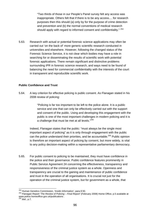"Two thirds of those in our People's Panel survey felt any access was inappropriate. Others felt that if there is to be any access.... for research purposes then this should (a) only by for the purpose of crime detection and prevention and (b) the normal conventions of medical research should apply with regard to informed consent and confidentiality." 254

5.63. Research with actual or potential forensic science applications may often be carried out 'on the back of' more generic scientific research conducted in universities and elsewhere. However, following the changed status of the Forensic Science Service, it is not clear which bodies may have a role in searching for or disseminating the results of scientific work with potential forensic applications. There remain significant and distinctive problems surrounding IPR in forensic science research, and ways need to be found of balancing the need for commercial confidentiality with the interests of the court in transparent and reproducible scientific work.

# **Public Confidence and Trust**

5.64. A key criterion for effective policing is public consent. As Flanagan stated in his 2008 review of policing:

> "Policing is far too important to be left to the police alone. It is a public service and one that can only be effectively carried out with the support and consent of the public. Using and developing this engagement with the public is one of the most important challenges in modern policing and it is a challenge that must be met at all levels."<sup>255</sup>

Indeed, Flanagan states that the public: "must always be the single most important aspect of policing" as it is only through engagement with the public can the police understand their priorities, and be accountable.<sup>256</sup> Public opinion is therefore an important aspect of policing by consent, but more widely, is vital to any policy decision-making within a representative parliamentary democracy.

5.65. For public consent to policing to be maintained, they must have confidence in the police and their governance. Public confidence features prominently in Public Service Agreement 24 concerning the effectiveness, transparency and responsiveness of the criminal justice system as a whole. Openness and transparency are crucial to the gaining and maintenance of public confidence and trust in the operation of all organisations. It is crucial not just for the operation of the criminal justice system, but for government as a whole, that

<sup>&</sup>lt;sup>254</sup> Human Genetics Commission, 'Inside Information', para.9.50.

<sup>254</sup> Human Genetics Commission, '*Inside Information'*, para.9.50. 255 Flanagan Report '*The Review of Policing – Final Report'* (February 2008) Home Office, p.5 available at www.police.homeoffice.gov.uk/publications .

<sup>256</sup> *ibid*., p.7.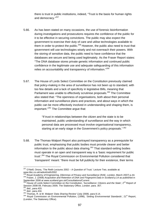there is trust in public institutions, indeed, "Trust is the basis for human rights and democracy."<sup>257</sup>

- 5.66. As has been stated on many occasions, the use of forensic bioinformation during investigations and prosecutions requires the confidence of the public for it to be effective in securing convictions. The public may also expect the government to exercise their duty of care and utilise technologies available to them in order to protect the public.<sup>258</sup> However, the public also need to trust that government will use technologies wisely and not overreach their powers. With the storing of sensitive data, the public need to have confidence that the databases are secure and being used legitimately. As the Fraser Report states: "The DNA database stores private genetic information and continued public confidence in the legitimate use and adequate safeguarding of this information relies on accountability and transparency of information."<sup>259</sup>
- 5.67. The House of Lords Select Committee on the Constitution previously claimed that policy-making in the area of surveillance has not been up to standard, with too few details and a lack of specificity in legislative Bills, meaning that Parliament was unable to effectively scrutinise proposals.<sup>260</sup> The Committee also stated that: "The openness of organisations, both about their personal information and surveillance plans and practices, and about ways in which the public can be more effectively involved in understanding and shaping them, is important."261 The Committee argue that:

"If trust in relationships between the citizen and the state is to be maintained, public understanding of surveillance and the way in which personal data are processed must involve organisational transparency, starting at an early stage in the Government's policy proposals."<sup>262</sup>

5.68. The Thomas-Walport Report also portrayed transparency as a prerequisite for public trust, emphasising that public bodies must provide clearer and better information to the public about data sharing. $263$  That standard-setting bodies must operate in an open and transparent way is a 'basic requirement for public trust'.264 The Royal Commission on Environmental Pollution considered that 'transparent' meant: "there must be full publicity for their existence, their terms

<sup>1</sup>  $257$  O'Neill, Onora, 'The Reith Lectures 2002 – A Question of Trust.' Lecture Two, available at: www.bbc.co.uk/radio4/reith2002<br><sup>258</sup> Royal Academy of Engineering, *Dilemmas of Privacy and Surveillance* (RAE, London, March 2007) p.44.

<sup>&</sup>lt;sup>259</sup> Fraser, J. (2008) Acquisition and Retention of DNA and Fingerprint Data in Scotland p.14 as published in September 2008 at www.scotland.gov.uk/Consultations/Current .<br><sup>260</sup> House of Lords Select Committee on the Constitution, 'Surveillance: Citizens and the State', 2<sup>nd</sup> Report of

Session 2008-09, February 2009, The Stationary Office, London. para. 357.<br>
2683 *ibid.*, para.433.<br>
<sup>261</sup> *ibid.*, para.433.<br>
<sup>262</sup> *ibid.*, para.434.<br>
<sup>263</sup> Thomas, R. & M. Walport 'Data Sharing Review' (July 2008). para

<sup>(</sup>London, The Stationery Office).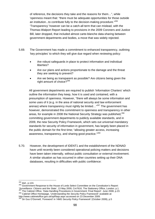of reference, the decisions they take and the reasons for them…", while 'openness meant that: "there must be adequate opportunities for those outside an institution...to contribute fully to the decision-making procedure."<sup>265</sup> 'Transparency' however can be a catch-all term that can mislead, with the Thomas-Walport Report leading to provisions in the 2009 Coroners and Justice Bill, later dropped, that included almost carte-blanche data-sharing between government departments and bodies, a move that was widely rejected.

- 5.69. The Government has made a commitment to enhanced transparency, outlining 'key principles' to which they will give due regard when reviewing policy:
	- Are robust safeguards in place to protect information and individual liberties?
	- Are our plans and actions proportionate to the damage and the threat they are seeking to prevent?
	- Are we being as transparent as possible? Are citizens being given the right amount of choice?<sup>266</sup>

All government departments are required to publish 'Information Charters' which outline the information they keep, how it is used and contained, with a presumption of openness. However, "there will always be some information and some uses of it (e.g. in the area of national security and law enforcement arenas) where transparency must rightly be limited..."<sup>267</sup> The government has however, demonstrated this commitment to openness and transparency in other areas, for example in 2008 the National Security Strategy was published,<sup>268</sup> committing government departments to publicly available standards, and in 2009, the new Security Policy Framework, which sets out universal mandatory standards for security of information in government, has largely been placed in the public domain for the first time; "allowing greater access, increasing awareness, transparency, and sharing good practice."<sup>269</sup>

5.70. However, the development of IDENT1 and the establishment of the NDNAD have until recently been considered operational policing matters and decisions have been taken internally, without public consultation or external involvement. A similar situation as has occurred in other countries setting up their DNA databases, resulting in difficulties with public confidence:

<sup>&</sup>lt;sup>265</sup> ibid., p.124.

<sup>266</sup> Government Response to the House of Lords Select Committee on the Constitution's Report: Surveillance: Citizens and the State', 13 May 2009, Cm7616, The Stationery Office, London. p.1.<br><sup>267</sup> The Cabinet Office, 'Data Handling Procedures in Government: Final Report'. June 2008, p.23.<br><sup>268</sup> Cabinet Office Homepa

<sup>&</sup>lt;sup>269</sup> Sir Gus O'Donnell, 'Foreword' in '*HMG Security Policy Framework'* (October 2009), p.5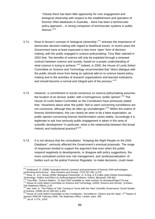"Clearly there has been little opportunity for civic engagement and biological citizenship with respect to the establishment and operation of forensic DNA databases in Australia... there has been a technocratic policy approach....A strong companion of technocratic systems in public distrust."270

- 5.71. Rose & Novas's concept of 'biological citizenship', $271$  stresses the importance of democratic decision-making with regard to bioethical issues. In recent years the Government have at least espoused a new more 'open' form of decision making, with the public engaged in science policymaking. Tony Blair claimed in 2002 that: "the benefits of science will only be exploited through a renewed contract between science and society, based on a proper understanding of what science is trying to achieve."<sup>272</sup> Indeed, in 2000, the House of Lords Select Committee on Science and Technology recommended that "direct dialogue with the public should move from being an optional add-on to science based policymaking and to the activities of research organisations and learned institutions, and should become a normal and integral part of the process."<sup>273</sup>
- 5.72. However, a commitment to social consensus on science policymaking assumes the location of an elusive 'public' with a homogenous 'public opinion'.<sup>274</sup> The House of Lords Select Committee on the Constitution have previously stated that: "Assertions about what 'the public' feel or want concerning surveillance are not conclusive, although they do often go unchallenged."<sup>275</sup> Within the realms of forensic bioinformation, this can clearly be seen to be a false expectation, as public opinion concerning forensic bioinformation varies widely. Accordingly it is legitimate to ask how seriously public engagement is taken in this area of scientific development "in particular, what is the relationship between this broad rhetoric and institutional practice?"<sup>276</sup>
- 5.73. It is not obvious that the consultation: "*Keeping the Right People on the DNA Database*", seriously affected the Government's eventual proposals. The range of responses tended to support the argument that even when the public respond negatively to developments, or disagree with policy suggestions, the more centralised control over risk management, and 'professionalisation' of bodies such as the police/ Forensic Regulator, to make decisions, could mean

<sup>1</sup>  $270$  Hindmarsh, R. (2008) 'Australian biocivic concerns and governance of forensic DNA technologies: confronting technocracy'. *New Genetics and Society,* 27(3) 267-284, p.278.<br><sup>271</sup> Rose, N. & C. Novas (2005) 'Biological Citizenship', in: A.Ong, & S.Collier (eds) *Global Assemblages:* 

Technology, Politics and Ethics as Anthropological Problems. Oxford, Blackwell, 439-463.<br><sup>272</sup> Tony Blair, 'Science Matters', 10 April 2002 available at: www.number-10.uk/output/Page1715.asp.<br><sup>273</sup> House of Lords Select Co The Stationery Office), p.43.

<sup>274</sup> see: Irwin, A. 'The Politics of Talk: Coming to Terms with the 'New' Scientific Governance' *Social Studies of Science*, (2006) 36 (2) 299-320, p.303.<br><sup>275</sup> House of Lords Select Committee on the Constitution, '*Surveillance: Citizens and the State'*, 2<sup>nd</sup> Report of

Session 2008-09, February 2009, The Stationary Office, London. para. 399. <sup>276</sup>*op.cit.* n.274., p310.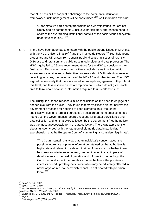that: "the possibilities for public challenge to the dominant institutional framework of risk management will be constrained."277 As Hindmarsh explains;

"... for effective participatory transitions or civic trajectories that are not simply add-on components... inclusive participatory approaches need to address the overarching institutional context of the socio-technical system under investigation..."<sup>278</sup>

- 5.74. There have been attempts to engage with the public around issues of DNA etc., with the HGC Citizen's inquiry<sup>279</sup> and the Trustquide Report.<sup>280</sup> Both held focus groups around UK drawn from general public, discussing issues of forensic DNA use and retention, and public trust in technology and data protection. The HGC inquiry led to 29 core recommendations for the HGC to consider in their final report. Recommendations from citizens included a nationwide public awareness campaign and substantive proposals about DNA retention, rules on collecting samples, the governance of the NDNAD and other issues. The HGC argued persuasively that there is a need for in-depth engagement with public at this level, and less reliance on instant 'opinion polls' which do not give people time to think about or absorb information required to understand issues.
- 5.75. The Trustguide Report reached similar conclusions on the need to engage at a deeper level with the public. They found that many citizens did not believe the government's reasons for needing to keep biometric data (though not specifically relating to forensic purposes). Focus group members also tended not to trust the Government's reported reasons for greater surveillance and data collection and felt that DNA collection by the government (not the police) was the most unacceptable form of data collection. There was apprehension about 'function creep' with the retention of biometric data in particular,<sup>281</sup> apprehension that the European Court of Human Rights considers 'legitimate':

"The Court maintains its view that an individual's concern about the possible future use of private information retained by the authorities is legitimate and relevant to a determination of the issue of whether there has been an interference. Indeed, bearing in mind the rapid pace of developments in the field of genetics and information technology, the Court cannot discount the possibility that in the future the private-life interests bound up with genetic information may be adversely affected in novel ways or in a manner which cannot be anticipated with precision today.<sup>282</sup>

 $\frac{277}{278}$  op.cit. n.274., p307.<br> $\frac{278}{278}$  op.cit. n.270., p.280.

<sup>277</sup> *op.cit*. n.274., p307. <sup>278</sup> *op.cit*. n.270., p.280. 279 Human Genetics Commission, '*A Citizens' Inquiry into the Forensic Use of DNA and the National DNA* 

*Database: Citizens Report'.* July 2008.<br><sup>280</sup> Lacohee, H., S. Crane, and A. Phippen, '*Trustguide: Final Report'*, (Trustguide, October 2006).<br><sup>281</sup> *supra.* 282 *S & Marper v UK*, [2008] para.71.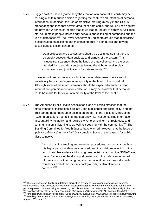5.76. Bigger political issues (particularly the creation of a national ID card) may be causing a shift in public opinion regarding the capture and retention of personal information. In addition, the use of predictive profiling (mostly in the US), is propagating the idea that certain amount of data could, and will be used against the provider. A series of records that could lead to refusal of rights/ surveillance etc. could make people increasingly nervous about linking of databases and the use of databases.<sup>283</sup> The Royal Academy of Engineers argues that 'reciprocity' is essential to establishing and maintaining trust in both public and private sector data collection schemes:

> "Data collection and use systems should be designed so that there is reciprocity between data subjects and owners of the system. This includes transparency about the kinds of data collected and the uses intended for it; and data subjects having the right to receive clear explanations and justifications for data requests."<sup>284</sup>

However, with regard to forensic bioinformation databases, there cannot realistically be such a degree of reciprocity at the level of the individual. Although some of these requirements should be expected – such as clear information upon bioinformation collection. It may be however that demands could be made for this level of reciprocity at the level of the 'public'.

5.77. The American Public Health Association Code of Ethics stresses that the effectiveness of institutions is reliant upon public trust and reciprocity, and that trust can be dependent upon actions on the part of the institution, including: "...communication; truth telling; transparency; (i.e. not concealing information); accountability; reliability; and reciprocity. One critical form of reciprocity and communication is listening to as well as speaking with the community."<sup>285</sup> The Standing Committee for Youth Justice have warned however, that the issue of 'public confidence' in the NDNAD is complex. Some of the reasons for public distrust involve:

> "lack of trust in sampling and retention procedures, concerns about how this highly personal data may be used, and the public recognition of the lack of tangible evidence informing how decisions around the NDNAD are made. Evidence of the disproportionate use of the database to record information about certain groups in the population, such as individuals from black and ethnic minority backgrounds, is also of serious concern."286

<sup>1</sup> <sup>283</sup> There are concerns that linking datasets diminishes privacy as information on individuals becomes centralised and more accessible. A debate in medical research is whether more protections need to be in place to prevent biobanks being accessed by the police – akin to the certificates of confidentiality in the USA.<br><sup>284</sup> Royal Academy of Engineering, '*Dilemmas of Privacy and Surveillance'* (RAE, London, March 2007) p.9.<br><sup></sup> August 2009, para.12.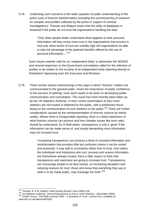5.78. Underlying such concerns is the wider question of public understanding of the police uses of forensic bioinformation (including the commissioning of research on samples and profiles collected by the police in support of criminal investigations). Thomas and Walport stress that the utility of databases is lessened if the public do not trust the organisations handling the data:

> "Only when people better understand what happens to their personal information will they invest more trust in the organisations that process it. And only when levels of trust are suitably high will organisations be able to take full advantage of the potential benefits offered by the use of personal information...."<sup>287</sup>

Such issues underlie calls for an 'independent body' to administer the NDNAD, and several responses to the Government consultation called for the retention of profiles to be subject to the scrutiny of an independent body reporting directly to Parliament, bypassing even the Executive and Ministers.

5.79. There remain serious shortcomings in the ways in which 'forensic' matters are communicated to the general public. Given the importance of public confidence to the success of policing, more work needs to be done on developing public communication and consultation. This issue has most recently been taken up by the UK Statistics Authority, in their current examination of why crime statistics are not trusted or believed by the public, with a preliminary focus being on the communication of such statistics to the public.<sup>288</sup> There are further complications caused by the misrepresentation of forensic science by media outlets. Where there is irresponsible reporting, there is a false impression of what forensic science can achieve and how complex issues like error rates should be understood. As O'Neill states, transparency is only a 'good' if the information can be made sense of, and simply demanding more information may not increase trust:

> "increasing transparency can produce a flood of unsorted information and misinformation that provides little but confusion unless it can be sorted and assessed. It may add to uncertainty rather than to trust. And unless the individuals and institutions who sort, process and assess information are themselves already trusted, there is little reason to think that transparency and openness are going to increase trust. Transparency can encourage people to be less honest, so increasing deception and reducing reasons for trust: those who know that everything they say or write is to be made public, may massage the truth."<sup>289</sup>

<sup>&</sup>lt;sup>287</sup> Thomas, R. & M. Walport 'Data Sharing Review' (July 2008).p.56.

<sup>288</sup> UK Statistics Authority, 'Overcoming barriers to trust in crime statistics', (December 2009).<br><sup>289</sup> O'Neill, Onora, 'The Reith Lectures 2002 – A Question of Trust.' Lecture Four, available at:

www.bbc.co.uk/radio4/reith2002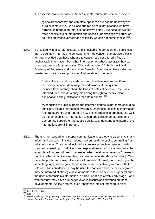It is essential that information is from a reliable source that can be checked:

"global transparency and complete openness are not the best ways to build or restore trust. We place and refuse trust not because we have torrents of information (more is not always better), but because we can trace specific bits of information and specific undertakings to particular sources on whose veracity and reliability we can run some checks."<sup>290</sup>

5.80. If provided with accurate, reliable, and 'checkable' information, the public can then be suitably 'informed' to consent: "informed consent can provide a basis for trust provided that those who are to consent are not offered a flood of uncheckable information, but rather information on whose accuracy they can check and assess for themselves. This is demanding."<sup>291</sup> Both the Royal Academy of Engineers and the Human Genetics Commission have called for greater transparency and provision of information to the public:

> "data collection and use systems should be designed so that there is reciprocity between data subjects and owners of the system. This includes transparency about the kinds of data collected and the uses intended for it; and data subjects having the right to receive clear explanations and justifications for data requests."<sup>292</sup>

"A condition of public support and informed debate is that there should be sufficient, reliable information available. Openness (access to information) and transparency with regard to how the information is produced, as well as the amenability of information to non-specialist understanding and appropriate support for the public's ability to understand and interpret the information, are all important."<sup>293</sup>

5.81. There is then a need for a proper communications strategy to dispel myths, and inform and educate ministers; judges; lawyers; and the public, emanating from reliable sources. This should include key processes/ technologies etc. with clear and agreed upon definitions and explanations so as to ensure clarity. For example, all parties will need to agree on what 'deletion' or 'retention' means in practice, what is 'familial searching' etc. (to be understandable by public). Only once the public and stakeholders are all properly informed, and speaking in the same language, will progress be possible toward effective governance that retains public confidence. It may be useful to consider how civil society groups may be informed of strategic developments in forensic science in general and the uses of forensic bioinformation in particular at a relatively early stage – and whether they may have a stronger voice in discussions surrounding these developments. As Irwin states, such 'openness': "is not intended to block

<sup>&</sup>lt;sup>290</sup> ibid., Lecture Two.

<sup>&</sup>lt;sup>292</sup> *Ibld.*, Lecture 1 wo.<br><sup>292</sup> *ibid.*<br><sup>292</sup> Royal Academy of Engineering, '*Dilemmas of Privacy and Surveillance'* (RAE, London, March 2007) p.9.<br><sup>292</sup> Royal Academy of Engineering, '*Nothing to Hide, Nothing to Fear?*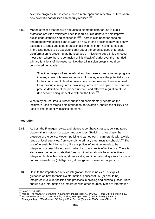scientific progress, but instead create a more open and reflective culture where new scientific possibilities can be fully realised."<sup>294</sup>

5.82. Magee stresses that positive attitudes to biometric data for use in public protection are vital: "Ministers need to lead a public debate to help improve public understanding and confidence."<sup>295</sup> There is also need for ongoing engagement with statisticians to work on how forensic science may be clearly explained to juries and legal professionals with minimum risk of confusion. There also needs to be absolute clarity about the potential uses of forensic bioinformation to prevent unauthorised use or 'mission creep'. This can occur most often where there is confusion or initial lack of clarity over the intended primary functions of the resource. Not that all 'mission creep' should be considered negatively:

> 'Function creep is often beneficial and has been a means to real progress in many areas of human endeavour. However, where the potential exists for function creep to lead to unwelcome consequences, there is a need for appropriate safeguards. Two safeguards can be applied: the clear and precise definition of the proper function; and effective regulation of use (the second being ineffective without the first).'296

What may be required is further public and parliamentary debate on the legitimate uses of forensic bioinformation, for example, should the NDNAD be used to find or identify 'missing' persons?

### **Integration**

- 5.83. As both the Flanagan review and Magee report have stressed, policing takes place within a network of actors and agencies: "Policing is not simply the preserve of the police. Modern policing is carried out in partnership with a wide range of local agencies, from councils to primary care trusts to schools".<sup>297</sup> The use of forensic bioinformation, like any police information, needs to be integrated successfully into such networks, to ensure its effective use. There is also a need to demonstrate that forensic bioinformation is being effectively integrated both within policing domestically; and international systems for crime control; surveillance (intelligence gathering); and movement of persons.
- 5.84. Despite the importance of such integration, there is no clear, or explicit guidance on how forensic bioinformation is successfully, (or should be) integrated into wider policies and practices in policing and criminal justice. How should such information be integrated with other sources/ types of information

<sup>&</sup>lt;sup>294</sup> op.cit. n.274, p308.

<sup>295</sup> Op.cit. 11.274, p500.<br>296 Magee '*The Review of Criminality Information*' (Magee Report, July 2008) Home Office, London,p.88.<br><sup>296</sup> Human Genetics Commission '*Nothing to Hide, Nothing to Fear'* (London, 2009), para 5.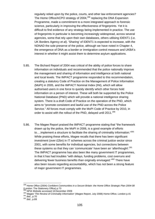regularly relied upon by the police, courts, and other law enforcement agencies? The Home Office/ACPO strategy of  $2004$ ,  $298$  replacing the DNA Expansion Programme, made a commitment to a more integrated approach to forensic science, particularly in improving the effectiveness of fingerprints. Yet it is difficult to find evidence of any strategy being implemented in practice. The use of fingerprints in particular is becoming increasingly widespread, across several agencies, some that rely upon their own databases, others utilising IDENT1 (i.e. UK Borders Agency *et al*). 'Sharing' of IDENT1 is expected to increase, with the NDNAD the sole preserve of the police, although we have noted in Chapter 4, the emergence of DNA as a border or immigration control measure and UKBA's interest in whether it might assist them to determine asylum applications.

- 5.85. The Bichard Report of 2004 was critical of the ability of police forces to share information on individuals and recommended that the police nationally improve the management and sharing of information and intelligence at both national and local levels. The IMPACT programme responded to this recommendation, creating a statutory Code of Practice on the Management of Police Information (MoPI) in 2005, and the IMPACT Nominal Index (INI), which will allow authorised users in one force to quickly identify which other forces hold information on a person of interest. These will both be supported by the Police National Database (PND) which will provide a national intelligence sharing system. There is a draft Code of Practice on the operation of the PND, which aims to "promote consistent and lawful use of the PND across the Police Service." All forces must comply with the MoPI Code of Practice by 2010, in order to assist with the rollout of the PND, delayed until 2011.<sup>299</sup>
- 5.86. The Magee Report praised the IMPACT programme stating that "the framework drawn up by the police, the MoPI in 2006, is a good example of efforts to....implement a structure to facilitate the sharing of criminality information."300 While praising these efforts, Magee recalls that there has been significant investment (over £2bn) in IT schemes across the criminal justice sector since 2001, with some benefits for individual agencies, but connections between these systems so that they can 'communicate' have been an 'afterthought'.<sup>301</sup> The IMPACT programme has also been like many government IT programmes, in that it has had troubles "with delays, funding problems, cost overruns and delivering fewer business benefits than originally envisaged."<sup>302</sup> There have also been issues regarding accountability, which has not been a strong feature of major government IT programmes.

1

<sup>298</sup> Home Office (2004) *Confident Communities in a Secure Britain: the Home Office Strategic Plan 2004-08* (London: The Stationery Office) p.73<br><sup>299</sup> NPIA Website accessed 16 December 2009

<sup>&</sup>lt;sup>300</sup> NPIA website accessed 16 December 2009<br><sup>300</sup> Magee '*The Review of Criminality Information*' (Magee Report, July 2008) Home Office, London p.41<br><sup>301</sup> *ibid.*, p.69<br>*ibid.*, p.69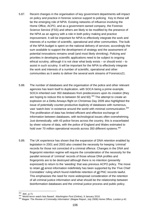- 5.87. Recent changes in the organisation of key government departments will impact on policy and practice in forensic science support to policing. Key to these will be the emerging role of NPIA. Existing networks of influence involving the Home Office, ACPO, and as a government owned company, the Forensic Science Service (FSS) and others are likely to be modified by the presence of the NPIA as an agency with a role in both policy making and practice improvement. It will be important for NPIA to effectively integrate the work and interests of a number of scientific, operational and other communities. The bulk of the NPIA budget is spent on the national delivery of services; accordingly the sum available to support the development of strategy and the assessment of potential innovations remains small (and most likely shrinking). Policing and priorities in developing scientific applications need to be subject to ongoing ethical scrutiny, although it is not clear what body exists – or should exist – to assist in such scrutiny. It will be important for the NPIA to effectively integrate the work and interests of a number of scientific, operational and other communities as it seeks to deliver the several work streams of Forensics21.
- 5.88. The number of databases and the organisation of the police and other relevant agencies has leant itself to duplication, with SOCA being a prime example. SOCA inherited over 350 databases from predecessors upon its creation (they are hoping to reduce this to between 50 and 60).<sup>303</sup> The attempt to create an explosion on a Delta Airways flight on Christmas Day 2009 also highlighted the issue of potentially counter-productive duplicity of databases with numerous, vast 'watch-lists' in existence around the world with minimal communication.<sup>304</sup> The proliferation of data has limited efficient and effective exchange of information between databases, with technological issues often overwhelming. Just domestically, with 43 police forces across the country, this is exacerbated by sheer volume of data, with the police of England and Wales estimated to hold over 70 million operational records across 350 different systems.<sup>305</sup>
- 5.89. The UK experience has shown that the expansion of DNA retention enabled by legislation in 2001 and 2003 also created the necessity for keeping 'criminal' records for those not convicted of a criminal offence. Changes in the DNA and fingerprint retention regime will require the consideration of the necessity for the parallel removal of 'criminal' records of those whose DNA profiles and fingerprints are to be destroyed although there is no intention (presently expressed) to return to the 'weeding' that was previous ACPO policy. The move to retain all arrest information indefinitely has been supported by the 'Five Chief Constables' ruling which found indefinite retention of all PNC records lawful. This emphasises the need for more widespread consideration of the retention of all criminal justice information and what should be the relationship between bioinformation databases and the criminal justice process and public policy.

 $303$  ibid., p.71

<sup>303</sup>*ibid*., p.71 304 'World terror watch lists flawed', *Washington Post* (Online), 9 January 2010. 305 Magee '*The Review of Criminality Information*' (Magee Report, July 2008) Home Office, London p.42.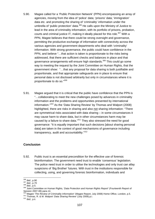- 5.90. Magee called for a 'Public Protection Network' (PPN) encompassing an array of agencies, moving from the idea of 'police' data; 'prisons' data; 'immigration' data etc. and promoting the sharing of 'criminality' information under the umbrella of 'public protection' data.<sup>306</sup> He calls upon the Ministry of Justice to lead in the area of criminality information, with its portfolio of prisons, probation, courts and criminal justice IT, making it ideally placed for this role.<sup>307</sup> With a PPN, Magee believes that there could be strong oversight and governance, permitting the productive exchange of information with connectivity across the various agencies and government departments who deal with 'criminality' information. With strong governance, the public could have confidence in the PPN, and believe "…that action is taken is proportionate to the risks being addressed, that there are sufficient checks and balances in place and that governance arrangements will ensure high standards.<sup>308</sup> This could go some way to meeting the request by the Joint Committee on Human Rights, that the government show: "…that any proposal for data sharing is both justifiable and proportionate, and that appropriate safeguards are in place to ensure that personal data is not disclosed arbitrarily but only in circumstances where it is proportionate to do so."309
- 5.91. Magee argued that it is critical that the public have confidence that the PPN is "…collaborating to meet the new challenges posed by advances in criminality information and the problems and opportunities presented by international information."310 As the 'Data Sharing Review' by Thomas and Walport (2008) highlighted, there are risks in sharing and also not sharing information: "There are symmetrical risks associated with data sharing – in some circumstances it may cause harm to share data, but in other circumstances harm may be caused by a failure to share data."<sup>311</sup> They also stressed the need for good governance: "It is equally important that such decisions [about sharing personal data] are taken in the context of good mechanisms of governance including transparency, audit and accountability."312

### **Conclusion**

5.92. Public trust is an essential precondition for the effective use of forensic bioinformation. The government need trust to enable 'consensus' legislation. The police need trust in order to utilise the technologies and only trust can allay suspicions of 'Big Brother' futures. With trust in the institutions responsible for collecting, using, and governing forensic bioinformation, individuals and

<sup>&</sup>lt;sup>306</sup> ibid., p.90

<sup>306</sup> *ibid*., p.90 <sup>307</sup> *ibid*., p.70 <sup>308</sup> *ibid*., p.5. 309 Joint Committee on Human Rights, '*Data Protection and Human Rights Report'* (Fourteenth Report of Session 2007-08) para.14.

<sup>&</sup>lt;sup>310</sup> Magee '*The Review of Criminality Information*' (Magee Report, July 2008) Home Office, London, p.5.<br><sup>311</sup> Thomas, R. & M. Walport '*Data Sharing Review'* (July 2008).p.i.<br><sup>312</sup> *ibid.,* p.ii.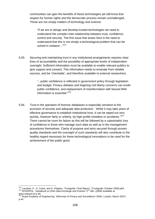communities can gain the benefits of these technologies yet still know that respect for human rights and the democratic process remain unchallenged. These are not simply matters of technology and science:

"If we are to design and develop trusted technologies we need to understand the complex inter-relationship between trust, confidence, control and security. The first issue that arises here is the need to understand that this is not simply a technological problem that can be solved in isolation..."<sup>313</sup>

5.93. Securing and maintaining trust in any institutional arrangements requires clear lines of accountability and the possibility of appropriate levels of independent oversight. Sufficient information must be available to enable relevant publics to give support and consent. This information needs to emanate from reliable sources, and be 'checkable', and therefore available to external researchers.

> "...public confidence is reflected in government policy through legislation and budget. Privacy debates and lingering civil liberty concerns can erode public confidence, and replacement of misinformation with factual DNA information is essential."314

5.94. Trust in the operation of forensic databases is especially sensitive to the provision of security and adequate data protection: 'While it may take years of effective governance to establish institutional trust, it can be wiped out very quickly, however fairly or unfairly, by high profile mistakes or accidents."<sup>315</sup> There cannot be room for failure as this will be followed by a catastrophic loss of confidence in those who manage such data as well as in the management procedures themselves. Clarity of purpose and aims secured through proven quality standards and the oversight of such standards will also contribute to the healthy regard necessary for these technological innovations to be used for the achievement of the public good.

<sup>1</sup> <sup>313</sup> Lacohee, H., S. Crane, and A. Phippen, *'Trustguide: Final Report'*, (Trustguide, October 2006).p84.<br><sup>314</sup> INTERPOL. *'Handbook on DNA Data Exchange and Practice'* 2<sup>nd</sup> edn. (2009) available at www.interpol.int p.49.

<sup>315</sup> Royal Academy of Engineering, '*Dilemmas of Privacy and Surveillance'* (RAE, London, March 2007) p.44.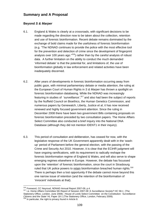# **Summary and A Proposal**

### **Beyond** *S & Marper*

- 6.1. England & Wales is clearly at a crossroads, with significant decisions to be made regarding the direction now to be taken about the collection, retention and use of forensic bioinformation. Recent debate remains dominated by the exchange of bold claims made for the usefulness of forensic bioinformation (e.g. "The NDNAD continues to provide the police with the most effective tool for the prevention and detection of crime since the development of fingerprint analysis over 100 years ago. $^{316}$ ) rather than by the careful analysis of robust data. A further limitation on the ability to conduct the much demanded 'informed debate' is that the potential for, and limitations of, the use of bioinformation globally in law enforcement and related activities have been inadequately discerned.
- 6.2. After years of developments in forensic bioinformation occurring away from public gaze, with minimal parliamentary debate or media attention, the ruling at the European Court of Human Rights in *S & Marper* has thrown a spotlight on forensic bioinformation databasing. While the NDNAD was increasingly featuring in studies of 'surveillance', $317$  and also had been the subject of reports by the Nuffield Council on Bioethics, the Human Genetics Commission, and numerous papers by Genewatch, Liberty, Justice *et al*, it has now received renewed and highly focused government attention. Since the ruling in December 2008 there have been two government Bills containing proposals on forensic bioinformation preceded by two consultation papers. The Home Affairs Select Committee also conducted a brief inquiry into the National DNA Database (although they did not mention IDENT1 in their inquiry).
- 6.3. This period of consultation and deliberation, has ceased for now, with the legislative response of the UK Government apparently dealt with in the 'washup' period of Parliament before the general election, with the passing of the Crime and Security Act 2010. However, it is clear that the ECtHR judgment will have ongoing ramifications, with its requirement to radically reshape the forensic bioinformation regime of England & Wales, and will also serve to shape emerging regimes elsewhere in Europe. However, the debate has focussed upon the 'retention' of forensic bioinformation, since the court in Strasbourg ruled that UK police powers to retain bioinformation breached human rights. 318 There is perhaps then a lost opportunity if the debate cannot move beyond this one narrow issue of retention (and the retention of the bioinformation of 'innocent' individuals at that).

<sup>316</sup> Foreword, CC Neyroud, NDNAD Annual Report 2007-09, p.4.

<sup>316</sup> Foreword, CC Neyroud, NDNAD Annual Report 2007-09, p.4. 317 i.e. Home Affairs Committee 5th Report of Session 2007-08 '*A Surveillance Society*? HC 58-1 (The Stationery Office, London, June 2008) ; House of Lords Select Committee on the Constitution: '*Surveillance: Citizens and the State'* HL Paper 18-1 (The Stationery Office, London, February 2009). 318 In particular, the right to privacy found in Article 8.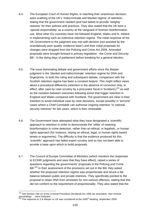- 6.4. The European Court of Human Rights, in reaching their unanimous decision, were scathing of the UK's 'indiscriminate and blanket regime' of retention, stating that the government needed (and had failed) to provide 'weighty reasons' for their policies and practices. They also stated that the UK bore a 'special responsibility' as a country at the vanguard of forensic bioinformation use. Most other EU countries have not followed England, Wales and N. Ireland in implementing such an extensive retention regime. The initial response of the UK Government to the judgment was met with derision (not assisted by the scandalously poor quality 'evidence base') and their initial proposals for changes were dropped from the Policing and Crime Act 2009. Amended proposals were brought forward in primary legislation - the Crime and Security Bill - in the dying days of parliament before breaking for a general election.
- 6.5. The issue dominating debate and government efforts since the *Marper* judgment is the 'blanket and indiscriminate' retention regime for DNA and fingerprints. In both the ruling and subsequent debate, comparison with the Scottish retention regime has been a constant feature. This might reflect views about a procedural difference (retention in the absence of conviction only, in effect, after case by case scrutiny by a procurator fiscal in Scotland,) $319$  as well as the variation between outcomes following arrest that trigger retention in England and Wales compared with Scotland. The government are clear in their intention to avoid individual case by case decisions, except possibly in 'terrorist' cases where a Chief Constable can authorise ongoing retention 'in national security interests' for two years, which is then renewable.
- 6.6. The Government have attempted what they have designated a 'scientific' approach to retention in order to demonstrate the 'utility' of retaining bioinformation in crime detection, rather than an ethical, or legalistic, or human rights approach (for instance, relying on ethical, legal, or human rights based tenets or arguments). The difficulty is that the evidence produced for this 'scientific' approach has failed expert scrutiny and so has not been able to provide a base upon which to build proposals.
- 6.7. The Council of Europe Committee of Ministers (which monitors the responses to ECtHR judgments and sees that they have effect), raised a series of questions regarding the governments' proposals in the Policing and Crime Bill.<sup>320</sup> In their assessment of the provisions set out in the Bill, they asked whether the proposed retention regime was proportionate and struck a fair balance between public and private interests. They specifically pointed to the proposal to retain DNA from arrestees for non-serious offences, stating that this did not conform to the requirement of proportionality. They also stated that the

<sup>1</sup> <sup>319</sup> See Section 18A (1) of the Criminal Procedure (Scotland) Act 1995 (as amended): 'that criminal proceedings ….were instituted…..'.

<sup>&</sup>lt;sup>320</sup> The response to *S & Marper vs UK* was considered at the 1065<sup>th</sup> Meeting, September 2009.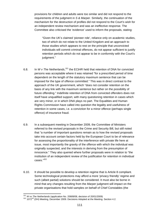provisions for children and adults were too similar and did not respond to the requirements of the judgment in *S & Marper*. Similarly, the continuation of the mechanism for the destruction of profiles did not respond to the Court's wish for an independent review mechanism and was an ineffective response. The Committee also criticised the 'evidence' used to inform the proposals, stating:

"Given the UK's claimed 'pioneer role', reliance only on academic studies, two of which do not relate to the United Kingdom and an approach to those studies which appears to rest on the principle that unconvicted individuals will commit criminal offences, do not appear sufficient to justify retention periods which do not appear to be in conformity with the Court's judgment."

- 6.8. In *W v The Netherlands*, 321 the ECtHR held that retention of DNA for convicted persons was acceptable where it was retained "for a prescribed period of time dependent on the length of the statutory maximum sentence that can be imposed for the type of offence committed." This was in direct contrast to the approach of the UK government, which "does not consider retention on the basis of any link with the maximum sentence but rather on the possibility of future offending." Indefinite retention of DNA from convicted offenders does not itself have unqualified support, with many questioning retention in cases which are very minor, or in which DNA plays no part. The Equalities and Human Rights Commission have called into question the legality and usefulness of retention in some cases, i.e. a conviction for a minor offence (perhaps single offence) of insurance fraud.
- 6.9. In a subsequent meeting in December 2009, the Committee of Ministers referred to the revised proposals in the Crime and Security Bill, but still noted that "a number of important questions remain as to how the revised proposals take into account certain factors held by the European Court to be of relevance for assessing the proportionality of the interference with private life here at issue, most importantly the gravity of the offence with which the individual was originally suspected, and the interests in deriving from the presumption of innocence." They also queried where further proposals were in relation to "the institution of an independent review of the justification for retention in individual cases."322
- 6.10. It should be possible to develop a retention regime that is Article 8 compliant. Some technological protections may afford a more 'privacy friendly' regime and such (albeit partial) solutions should be considered. It must also be borne in mind that any changes resulting from the *Marper* judgment will impact on the private organisations that hold samples on behalf of Chief Constables (the

 $321$  W vs The Netherlands (application No. 20689/08, decision of 20/01/2009)

<sup>&</sup>lt;sup>322</sup> 1072<sup>nd</sup> (DH) Meeting, December 2009. Decisions Adopted at the Meeting. Section 4.2.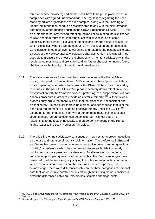forensic service providers) and methods will have to be put in place to ensure compliance with agreed understandings. The regulations regarding the uses made by private organisations of such samples, along with their holding of identifying information need to be reconsidered (along with the bioinformation data held by other agencies such as the Crown Prosecution Service (CPS). It is also important that any revised retention regime keeps in mind the significance of DNA and fingerprint records for the successful investigation of crime, especially those crimes – like violent offences and serious sexual assaults - in which biological evidence can be central to an investigation and prosecution. Consideration should be given to collecting and retaining the best possible data on uses of the NDNAD after any legislative changes. Only in this way will it be possible to measure the effect of the changes and monitor satisfaction with the resulting regimes in case there is demand for further changes, or indeed future challenges to the legality of forensic bioinformation use.

- 6.11. The issue of requests for removal has been the focus of the Home Affairs inquiry, prompted by Damian Green MP's arguments that a 'postcode' lottery exists depending upon which force 'owns' the DNA and their rates of acceding to requests. The NDNAD Ethics Group has repeatedly drawn attention to their dissatisfaction with the 'removal' process, preferring: "an independent, statutory appeals procedure in order to provide an effective remedy".<sup>323</sup> Without such a process, they argue that there is a risk that the process is; "inconsistent and discriminatory…In particular there is no element of independence that is at the heart of a requirement to provide an effective remedy under the ECHR".<sup>324</sup> Liberty go further in questioning: "why a person must make out 'exceptional circumstances' before deletion can be considered. This test bears no relationship to the tests of necessity and proportionality found in the Human Rights Act or to the Data Protection Principles…."325
- 6.12. There is still then no satisfactory consensus on how best to approach questions on the use and retention of forensic bioinformation. The preference in England and Wales has been to begin by focussing on police powers and on questions of 'utility', a preference which has generated piecemeal legislation largely uninformed by more general considerations. An alternative is to begin by considering principled questions of human rights. The European judges have reminded us of the necessity of justifying the police retention of bioinformation which in many circumstances can be seen as a breach of privacy, but acknowledged there were differences between the three categories of personal data that would require careful scrutiny although their ruling did not consider in detail the differences between DNA profiles, samples and fingerprints.

1

<sup>&</sup>lt;sup>323</sup> NDNAD Ethics Group *Response to "Keeping the Right People on the DNA Database*" August 2009, p.7.<br><sup>324</sup> *ibid.* p.8.<br><sup>325</sup> Liberty, *Response to "Keeping the Right People on the DNA Database*" August 2009, p.29.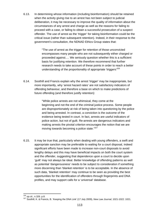6.13. In determining whose information (including bioinformation) should be retained when the activity giving rise to an arrest has not been subject to judicial deliberation, it may be necessary to improve the quality of information about the circumstances of any arrest and charge as well as the reasons for failing to proceed with a case, or failing to obtain a successful prosecution of a suspect offender. The use of arrest as the 'trigger' for taking bioinformation could be the critical issue (rather than subsequent retention). Indeed, in their response to the government's consultation, the NDNAD Ethics Group states that:

> "The use of arrest as the trigger for retention of those unconvicted encompasses many people who are not subsequently either charged or proceeded against…. We seriously question whether this is a sufficient basis for justifying retention. We therefore recommend that further research needs to take account of these points in order to reach a better understanding of the proportionality of appropriate 'triggers'<sup>326</sup>

6.14. Soothill and Francis explain why the arrest 'trigger' may be inappropriate, but more importantly, why 'arrest hazard rates' are not satisfactory indicators of offending behaviour, and therefore a base on which to make predictions of future offending (and therefore justify retention):

> "While police arrests are not whimsical, they come at the beginning and not the end of the criminal justice process. Some people are disproportionately at risk of being taken into questioning by the police and being arrested. In contrast, a conviction is the outcome of the evidence being tested in court. In fact, arrests are useful indicators of police action, but not of guilt. Re-arrests are dangerous indicators and making arrests the pivotal criterion encourages the notion that we are moving towards becoming a police state."<sup>327</sup>

6.15. It may be true that, particularly when dealing with young offenders, a swift and appropriate sanction may be preferable to waiting for a court disposal, indeed significant efforts have been made to increase non-court disposals to avoid lengthy delays and this may have beneficial impacts on both the court system and the offender, suggesting that dependence upon a court to decide upon 'guilt' may not always be ideal. Better knowledge of offending patterns as well as potential 'dangerousness' needs to be subject to consideration if something more discerning than 'blanket retention' is to be acceptable. In the absence of such data, 'blanket retention' may continue to be seen as providing the best opportunities for the identification of offenders through fingerprints and DNA profiles, and may support calls for a 'universal' database.

1

<sup>&</sup>lt;sup>326</sup> *op.cit.*, n.326. p.8.<br><sup>327</sup> Soothill, K. & Francis, B. 'Keeping the DNA Link' (17 July 2009), *New Law Journal*, 1021-1022: 1021.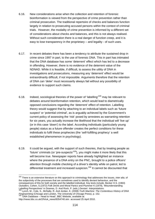- 6.16. New considerations arise when the collection and retention of forensic bioinformation is viewed from the perspective of crime prevention rather than criminal prosecution. The traditional repertoire of checks and balances function largely in relation to prosecuting accused persons within the context of criminal trials. However, the modality of crime prevention is informed by a different set of considerations about checks and balances, and this is not always realised. Without such consideration there is a real danger of function creep, and it is easy to lose transparency in the proprietary – and legality - of such uses.
- 6.17. In recent debates there has been a tendency to attribute the sustained drop in crime since 1997 in part, to the use of forensic DNA. This in part has intimated that the DNA database has some 'deterrent' effect which has led to a decrease in offending. However, there is no evidence of the deterrent value of the NDNAD. While it is feasible, if difficult, to assess the utility of DNA in investigations and prosecutions, measuring any 'deterrent' effect would be extraordinarily difficult, if not impossible. Arguments therefore that the retention of DNA can 'deter' must necessarily always fail without any possibility of evidence to support such claims.
- 6.18. Indeed, sociological theories of the power of 'labelling'328 may be relevant to debates around bioinformation retention, which would lead to diametrically opposed conclusions regarding the 'deterrent' effect of retention. Labelling theory would suggest that by attaching to an individual labels such as 'future suspect' or 'potential criminal', as is arguably achieved by the Government's current policy of assessing the 'risk' posed by arrestees as warranting retention for six years, you actually increase the likelihood that the individual will 'live up' (or in this case 'down') to the label. According individuals (particularly young people) status as a future offender creates the perfect conditions for these individuals to fulfil these prophecies (the 'self-fulfilling prophecy' a well established phenomenon in psychology).
- 6.19. It could be argued, with the support of such theories, that by treating people as 'future' criminals (or 'pre-suspects'329), you might make it more likely that this will become true. Newspaper reports have already highlighted an instance where the presence of a DNA entry on the PNC, brought to a police officers' attention through mobile checking of a driver's identity while on patrol, led to differential treatment and increased suspicion.<sup>330</sup> It cannot be discounted that

<sup>1</sup> 328 There is an extensive literature on this approach to criminology that addresses the issues*, inter alia*, of the subjectivity of the processes that are sometimes used to identify deviant behaviour, and the consequences of this for both society and the labelled individual. Key texts include, Becker H.S. (1963) *Outsiders*, Cohen, S.(1972) *Folk Devils and Moral Panics* and Plummer K (1979), 'Misunderstanding Labelling Perspectives' in Downes, D. And Rock, P. (eds.) *Deviant Interpretations*. 329 Lynch, M., Cole, S., McNally, R. And Jordan, K. (2008) *Truth Machine: The Contentious History of DNA* 

*Fingerprinting* (Chicago and London, The University of Chicago Press), p. 152. 330 'DNA Database – Head to Head', BBC Website, available at:

http://news.bbc.co.uk/2/hi/uk\_news/8354740.stm accessed 25 April 2010.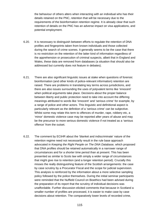the behaviour of others alters when interacting with an individual who has their details retained on the PNC, retention that will be necessary due to the requirements of the bioinformation retention regime. It is already clear that such retention of details on the PNC has an adverse impact on visa applications, and potential employment.

- 6.20. It is necessary to distinguish between efforts to regulate the retention of DNA profiles and fingerprints taken from known individuals and those collected during the search of crime scenes. It generally seems to be the case that there is no restriction on the retention of the latter kind of information regardless of the apprehension or prosecution of criminal suspects, albeit that in England and Wales, these data are removed from databases (a situation that should also be addressed but currently does not feature in debates).
- 6.21. There are also significant linguistic issues at stake when questions of forensic bioinformation (and other kinds of police-relevant information) retention are raised. There are problems in translating key terms across jurisdictions, and there are also issues surrounding the uses of polyvalent terms like 'innocent' when political arguments take place. Decisions about the proper balance between liberty and public protection need to take into account the differing meanings attributed to words like 'innocent' and 'serious crime' for example, by a range of police and other actors. This linguistic and definitional aspect is particularly relevant as the definition of a 'serious crime' can be subjective. Whilst some may relate this term to offences of murder, rape, robbery etc, a 'minor' domestic violence case may be reported after years of abuse and may be the precursor to more serious domestic violence if not treated as a 'serious offence' from the outset.
- 6.22. The comment by ECtHR about the 'blanket and indiscriminate' nature of the retention regime need not necessarily result in the rule base approach advocated in *Keeping the Right People on The DNA Database,* which proposed that DNA profiles should be retained automatically in a narrower range of circumstances and for a shorter time period than at present. This has been presented as similar to Scots law with simply a wider range of circumstances that might give rise to retention (and a longer retention period). Crucially this misses the really distinguishing feature of the Scottish arrangements: the case by case scrutiny by a Procurator Fiscal and the scope for judicial supervision. This analysis is reinforced by the information about a more selective sampling policy followed by the police themselves. During the initial seminar participants were reminded that the Nuffield Council on Bioethics had been advised during the preparation of its report that the scrutiny of individual decisions was unaffordable. Further discussion elicited comments that because in Scotland a smaller number of profiles are processed, it is easier to make case by case decisions about retention. The comparatively lower levels of recorded crime,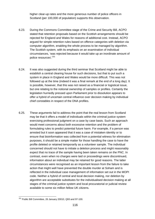higher clear-up rates and the more generous number of police officers in Scotland (per 100,000 of population) supports this observation.

- 6.23. During the Commons Committee stage of the Crime and Security Bill, ACPO stated that retention proposals based on the Scottish arrangements should be rejected for England and Wales for reasons of additional cost. Instead, ACPO argued for simple retention rules based on offence categories with deletion via computer algorithm, enabling the whole process to be managed by algorithm. The Scottish system, with its emphasis on an examination of individual circumstances, 'was rejected because it would take up an inordinate amount of police resources'.<sup>331</sup>
- 6.24. It was also suggested during the third seminar that Scotland might be able to establish a central clearing house for such decisions, but that to put such a system in place in England and Wales would be more difficult. This was not followed up at the time (indeed it was a final remark at the end of a long day). It is possible, however, that this was not raised as a financial or logistical issue, but one relating to the notional ownership of samples or profiles. Certainly the legislation hurriedly pressed upon Parliament prior to dissolution appears to offer a hybrid of uncertain central influence over decision making by individual chief constables in respect of the DNA profiles.
- 6.25. These arguments fail to address the point that the real lesson from Scotland may be that it offers a model of individuals within the criminal justice system exercising professional judgment on a case by case basis. Such an approach would meet concerns about both excessive retention and the problem of formulating rules to predict potential future harm. For example, if a person was arrested but it soon appeared that it was a case of mistaken identity or to ensure that bioinformation was collected from a potential witness for elimination purposes, it should be a simple matter for those handling the case to have the profile deleted or retained temporarily as a volunteer sample. The individual concerned should not have to initiate a deletion process and might reasonably expect that no trace of the sample having been taken remains on the PNC. In contrast, even when no charges were laid or proceedings were discontinued, information about an individual may be retained for good reasons. The latter circumstances were recognised as an important lesson from the failure to take action that might well have prevented the double murder at Soham and is reflected in the individual case management of information set out in the MOPI code. Neither a hybrid of central and local decision making, nor deletion by algorithm are acceptable substitutes for the individualised decision making at all stages of the criminal justice system and local procuratorial or judicial review available to some six million fellow UK citizens.

 $\overline{a}$ <sup>331</sup> Public Bill Committee, 26 January 20010, Q93 and 97-100.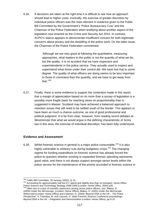6.26. If decisions are taken at the right time it is difficult to see how an approach should lead to higher costs. Ironically, the exercise of greater discretion by individual police officers was the main element in evidence given to the Public Bill Committee by the Government's 'Police Bureaucracy Czar' and the Chairman of the Police Federation when testifying about another aspect of the legislation now enacted as the Crime and Security Act 2010. In contrast, ACPO's stance appears to demonstrate insufficient concern for both legitimate concerns about privacy and the deskilling of the police work. On the latter issue, the Chairman of the Police Federation commented:

> 'Although we are very good at following the quantitative, measuring approaches, what matters to the public is not the quantity of what we do, but the quality. It is no accident that we have inspectors and superintendents in the police service. They actually used to inspect and superintend what those under their control did. We have lost that to some degree. The quality of what officers are doing seems to be less important to those in command than the quantity, and we have to get away from that.'332

6.27. Finally, there is some evidence to support the contention made in this report that a margin of appreciation based on no more than a survey of legislation is a possibly more fragile basis for reaching views on proportionality than is suggested in *Marper*. Scotland may have achieved a balanced approach to retention issues that still need to be settled south of the border. This appears to have been as much a chance outcome, as one of good professional and political judgment. It is far from clear, however, from reading recent debates at Westminster that what we would argue is the defining characteristic of Scots law in this area, the exercise of individual discretion, has been fully understood.

### **Evidence and Assessment**

6.28. Whilst forensic science in general is a major police consumable,  $333$  it is also highly vulnerable to arbitrary cuts during budgetary crises.<sup>334</sup> The changing regime for funding expenditure on forensic science has already forced the police to question whether existing or expanded forensic spending represents good value, and there is not always support amongst senior levels within the police service for the maintenance of the priority accorded to forensic science in

<sup>332</sup> Public Bill Committee, 26 January 20010, Q 15.

<sup>&</sup>lt;sup>333</sup> Accounting for approximately half the ICT spend and slightly less than on transport: Home Office Police Science and Technology Strategy 2008-2009 (London: Home Office, 2004) p26.<br><sup>334</sup> Often due to a lack of scientific awareness among senior police officers, see: Blakey, D.

<sup>(2000).</sup>*Under the Microscope*, (London: Home Office), Blakey, D. (2002) *Under the Microscope Refocused* (London: Home Office) and Coleman, D. (2004) '*Beyond DNA in the UK – The Police Perspective'*, in Townsley, M. and Laycock, G. (eds) Forensic Science Conference proceedings: *Beyond DNA in the UK – Integration and Harmonisation* (London: Home Office), pp 9-10.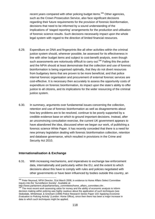recent years compared with other policing budget items.<sup>335</sup> Other agencies, such as the Crown Prosecution Service, also face significant decisions regarding their future requirements for the provision of forensic bioinformation, decisions that need to be informed by a sound understanding of the implications of 'staged reporting' arrangements for the production and utilisation of forensic science results. Such decisions necessarily impact upon the whole legal system with regard to the direction of limited financial resources.

- 6.29. Expenditure on DNA and fingerprints like all other activities within the criminal justice system should, wherever possible, be assessed for its effectiveness in line with other budget items and subject to cost-benefit analysis, even though such assessments are notoriously difficult to carry out.<sup>336</sup> Failing this the police and the NPIA should at least demonstrate that the collection and use of forensic bioinformation is being organised optimally, that they do not divert resources from budgetary items that are proven to be more beneficial, and that police internal forensic organisation and procurement of external forensic services are cost-effective. It is necessary then accurately to assess the opportunity costs of expenditure on forensic bioinformation, its impact upon the state's ability to offer justice to all citizens, and its implications for the wider resourcing of the criminal justice system.
- 6.30. In summary, arguments over fundamental issues concerning the collection, retention and use of forensic bioinformation as well as disagreements about how key problems are to be resolved, continue to be poorly supported by a credible evidence base on which to ground important decisions. Instead, after an unconvincing consultation exercise, the current UK government appears to have abandoned the idea, discussed when we began our work, of publishing a forensic science White Paper. It has recently conceded that there is a need for new primary legislation dealing with forensic bioinformation collection, retention and database governance, which resulted in provisions in the Crime and Security Act 2010.

#### **Internationalisation & Exchange**

6.31. With increasing mechanisms, and imperatives to exchange law enforcement data, internationally and particularly within the EU, and the extent to which decisions about this have to comply with rules and policies negotiated with other governments or have been influenced by bodies outside this country, an

<sup>1</sup> <sup>335</sup> Peter Neyroud, NPIA Director, 31st March 2008, in evidence to Home Affairs Select Committee inquiry into the '*Surveillance Society'*. Available at:

http://www.parliament.uk/parliamentary\_committees/home\_affairs\_committee.cfm .<br><sup>336</sup> The most recent work assessing value for money and the ability of economic analysis to inform decision making within policing was highly cautious about the application of such techniques (see Stokedale, Whitehead, & Gresham (1999) Police Research Series Paper 103 '*Applying Economic Evaluation to Policing Activity'* (London: Home Office), since then there has been a major increase in data to which such techniques might be applied.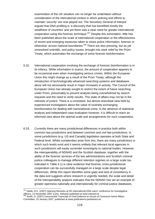examination of the UK situation can no longer be undertaken without consideration of the international context in which policing and efforts to maintain 'security' are now played out. The Secretary General of Interpol argued that DNA profiling is 'a discovery that has benefited mostly the wealthiest of countries' and yet there was a clear need for greater international cooperation using this forensic technique.<sup>337</sup> Despite this exhortation, little has been published about the scale of international cooperation or the effectiveness of recent and emerging measures taken to share police information, forensic or otherwise, across national boundaries.<sup>338</sup> There are also pressing, but as yet unresolved scientific, and policy issues, brought into stark relief by the Prüm Treaty, which automates the exchange of some forensic bioinformation.

- 6.32. International cooperation involving the exchange of forensic bioinformation is in its infancy. While information is scarce, the amount of cooperation appears to be occasional even when investigating serious crimes. Within the European Union this might change as a result of the Prüm Treaty, although the introduction of technologically advanced searching systems and databases alone will not necessarily result in major increases in activity. The Council of the European Union has already sought to restrict the extent of future searching under Prüm, presumably to prevent analysts being overwhelmed by search requests and the need to verify results. This state of affairs may not be in the interests of justice. There is a consistent, but almost anecdotal view held by experienced investigators about the value of routinely exchanging bioinformation for dealing with transnational crime. In the absence of statistical analysis and independent case evaluation however, it is difficult to reach an informed view about the optimal scale and arrangements for such cooperation.
- 6.33. Currently there are many jurisdictional differences in practice both within common law jurisdictions and between common and civil law jurisdictions. In some jurisdictions (e.g. US and Canada) legislation operates at both State and Federal level. Whilst complexities arise from this, there are many jurisdictions in which such levels exist and it seems unlikely that relevant local agencies in such jurisdictions will easily surrender sovereignty to national bodies. However, the interoperability of NDNAD and the Scottish database, together with the ability of the forensic services of the two administrations and Scottish criminal justice colleagues to manage different retention regimes on a large scale (as indicated in Table 4.1) is clear evidence that forensic cross-jurisdictional cooperation can be successfully managed on a large scale despite legal differences. While this report identifies some gaps and lack of consistency in the data and suggests where research is urgently needed, the scale and detail of the interoperability analysis indicates that the NDNAD has set an example of greater openness nationally and internationally for criminal justice databases,

<sup>1</sup> <sup>337</sup> Noble, R.K. (2007) Opening Remarks at 5th International DNA users' conference for investigative officers, 14 November 2007 (Lyon, Interpol) published at www.interpol.int .<br><sup>338</sup> Smith, D. (2007) Uncorrected Transcript of Oral Evidence to House of Commons Home Affairs

Committee, 23 January 2007, published at www.publications.parliament.uk .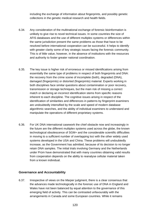including the exchange of information about fingerprints, and possibly genetic collections in the genetic medical research and health fields.

- 6.34. Any consideration of the multinational exchange of forensic bioinformation is unlikely to give rise to novel technical issues. In some countries the size of AFIS databases and the use of different multiplex systems or differences within the same jurisdiction present the same problems as those that have to be resolved before international cooperation can be successful. It helps to identify with greater clarity some of key strategic issues facing the forensic community. This is of little value, however, in the absence of institutions with the resources and authority to foster greater national coordination.
- 6.35. The key issue is higher risk of erroneous or missed identifications arising from essentially the same type of problems in respect of both fingerprints and DNA: the recovery from the crime scene of incomplete (both), degraded (DNA), damaged (fingerprints) or distorted (fingerprints) material. Experts working in both disciplines face similar questions about contamination or poor recovery, transmission or storage techniques, but the main risk of missing a correct match or declaring an incorrect identification stems from specific reasons inherent to each discipline. The cognitive issues arising in respect of the identification of similarities and differences in patterns by fingerprint examiners are undoubtedly intensified by the scale and speed of modern database algorithmic searches, and the ability of individual examiners to understand and manipulate the operations of different proprietary systems.
- 6.36. For UK DNA international casework the chief obstacle now and increasingly in the future are the different multiplex systems used across the globe, the known technological obsolescence of SGM+ and the considerable scientific difficulties in moving to a sufficient number of overlapping loci with the other widely used systems developed in the USA and China. These problems will undoubtedly increase, as the Government has admitted, because of its decision to no longer retain DNA samples. The initial trials involving Germany and the Netherlands under Prüm have demonstrated that with many countries obtaining valid results from cooperation depends on the ability to reanalyse cellular material taken from a known individual.

### **Governance and Accountability**

6.37. Irrespective of views on the *Marper* judgment, there is a clear consensus that the advances made technologically in the forensic use of DNA in England and Wales have not been balanced by equal attention to the governance of this emerging field of activity. This can be contrasted unfavourably with the arrangements in Canada and some European countries. While it remains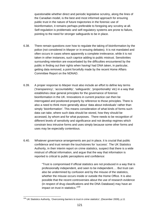questionable whether direct and periodic legislative scrutiny, along the lines of the Canadian model, is the best and most informed approach for ensuring public trust in the nature of future trajectories in the forensic use of bioinformation, it remains perhaps preferable to foregoing any scrutiny at all. Self-regulation is problematic and self-regulatory systems are prone to failure, pointing to the need for stronger safeguards to be in place.

- 6.38. There remain questions over how to regulate the taking of bioinformation by the police (not considered in *Marper* or in ensuing debates). It is not mandated and often occurs in cases where apparently a complete irrelevance, while it is not taken in other instances, such caprice adding to public mistrust. Sensitivities surrounding retention are exacerbated by the difficulties encountered by the public in finding out their rights when having/ had DNA taken, in particular, getting data removed, a point forcefully made by the recent Home Affairs Committee Report on the NDNAD.
- 6.39. A proper response to *Marper* must also include an effort to define key terms ('transparency', 'accountability', 'safeguards', 'proportionality' etc) in a way that establishes clear general principles for the governance of forensic bioinformation in the UK. Innovations in current practice can then be interrogated and positioned properly by reference to those principles. There is also a need to think more generally about 'data about individuals' rather than simply 'bioinformation'. This means consideration of what kinds of forms such data can take, where such data should be stored, how they should be accessed, by whom and for what purposes. There needs to be recognition of different levels of sensitivity and significance and not develop regimes which constrain less intrusive forms and uses simply because some other forms and uses may be especially contentious.
- 6.40. Whatever governance arrangements are put in place, it is crucial that public confidence and trust remain the touchstones for 'success'. The UK Statistics Authority, in their interim report on crime statistics, suspect that there is a wide mistrust of official information, and argue that the way that information is reported is critical to public perceptions and confidence:

"Trust is compromised if official statistics are not produced in a way that is professionally independent, and seen to be independent…. But trust can also be undermined by confusion and by the misuse of the statistics, whether the misuse occurs inside or outside the Home Office. It is also possible that the recent controversies about the use of research evidence (in respect of drug classifications and the DNA Database) may have an impact on trust in statistics."339

 $\overline{a}$ 339 UK Statistics Authority, '*Overcoming barriers to trust in crime statistics'*, (December 2009), p.11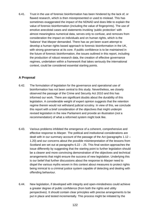6.41. Trust in the use of forensic bioinformation has been hindered by the lack of, or flawed research, which is then misrepresented or used to mislead. This has sometimes exaggerated the impact of the NDNAD and does little to explain the value of forensic bioinformation (including the value of fingerprints). The use of emotive anecdotal cases and statements invoking 'public protection' with almost meaningless numerical data, serves only to confuse, and removes from consideration the impact on individuals and on human rights, which is the 'balance' that *Marper* demanded. There has as yet been scant attempt to develop a human rights based approach to forensic bioinformation in the UK, with strong governance at its core. If public confidence is to be maintained in the future of forensic bioinformation, the issues outlined in this report, including the production of robust research data, the creation of effective governance regimes, undertaken within a framework that takes seriously the international context, could be considered essential starting points.

## **A Proposal**

- 6.42. The formulation of legislation for the governance and operational use of bioinformation has not been central to this study. Nevertheless, we closely observed the passage of the Crime and Security Act 2010 and this has informed our work. There are significant doubts about the durability of this legislation. A considerable weight of expert opinion suggests that the retention regime therein would not withstand judicial scrutiny. In view of this, we conclude this report with a brief consideration of the objectives that might underpin revised legislation in the new Parliament and provide an illustration (*not* a recommendation) of what a reformed system might look like.
- 6.43. Various problems inhibited the emergence of a coherent, comprehensive and effective response to *Marper*. The political and institutional considerations are dealt with in our summary account of the passage of the Act (paragraphs 1.12 – 1.20) and our concerns about the possible misinterpretation of the lessons from Scotland are set out at paragraphs  $6.22 - 25$ . This final section approaches the issue differently by suggesting that the starting point to further legislation should be a clearer and more convincing demonstration of the objectives and technical arrangements that might ensure the success of new legislation. Underlying this is our belief that further discussions about the response to *Marper* need to dispel the various myths woven in this context about measures to protect rights being inimical to a criminal justice system capable of detecting and dealing with offending behaviour.
- 6.44. New legislation, if developed with integrity and open-mindedness could achieve a greater degree of public confidence (from both the rights and utility perspectives). It should contain clear principles with precise arrangements to be put in place and tested incrementally. This process might be initiated by the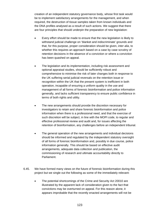creation of an independent statutory governance body, whose first task would be to implement satisfactory arrangements for the management, and when required, the destruction of tissue samples taken from known individuals and the DNA profiles analysed as a result of such actions. We suggest that there are four principles that should underpin the preparation of new legislation:

- Every effort should be made to ensure that the new legislation is likely to withstand judicial challenge on 'blanket and indiscriminate' grounds and that, for this purpose, proper consideration should be given, *inter alia*, to whether this requires an approach based on a case by case scrutiny of retention decisions in the absence of a conviction or where a conviction has been quashed on appeal.
- The legislation and its implementation, including risk assessment and optional appraisal studies, should be sufficiently robust and comprehensive to minimise the risk of later changes both in response to the UK suffering serial judicial reversals on the retention issue or recognition within the UK that the present system is inefficient in both operation, incapable of ensuring a uniform quality in the use and management of all forms of forensic bioinformation and police information generally, and lacks sufficient transparency to ensure public confidence in terms of both rights and utility.
- The new arrangements should provide the discretion necessary for investigators to retain and share forensic bioinformation and police information when there is a professional need, and that the exercise of such discretion will be subject, in line with the MOPI code, to regular and effective professional review and audit and, for issues affecting the retention of bioinformation, any challenges before an independent tribunal.
- The general operation of the new arrangements and individual decisions should be informed and regulated by the independent statutory oversight of all forms of forensic bioinformation and, possibly in due course, police information generally. This should be based on effective audit arrangements, adequate data collection and publication, the commissioning of research and ultimate accountability directly to Parliament.
- 6.45. We have formed many views on the future of forensic bioinformation during this project but we single out the following as some of the immediately relevant:
	- The potential shortcomings of the Crime and Security Act 20010 are illustrated by the apparent lack of consideration given to the fact that convictions may be overturned on appeal. For this reason alone, it appears improbable that the recently enacted arrangements will not be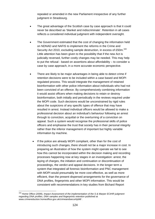repealed or amended in the new Parliament irrespective of any further judgment in Strasbourg.

- The great advantage of the Scottish case by case approach is that it could never be described as 'blanket and indiscriminate'. Retention in all cases reflects a considered individual judgment with independent oversight.
- The Government estimated that the cost of changing the information held on NDNAD and NAFIS to implement the reforms in the Crime and Security Act 2010, excluding sample destruction, in excess of £50m.<sup>340</sup> Little attention has been given to the possibility that if the new Act is judicially reversed, further costly changes may be needed. This may help to put the refusal - based on assertions about affordability – to consider a case by case approach, in a more accurate economic perspective.
- There are likely to be major advantages in being able to detect crime if retention decisions were to be included within a case based and MOPI regulated process. This would integrate the management of retained bioinformation with other police information about individuals who had not been convicted of an offence. By comprehensively combining information it would assist officers when making decisions to retain or destroy bioinformation, both initially and periodically in the reviews required under the MOPI code. Such decisions would be unconstrained by rigid rules about the suspicions of any specific types of offence that may have resulted in arrest. Instead individual officers would be allowed to make a professional decision about an individual's behaviour following an arrest through to conviction, acquittal or the overturning of a conviction on appeal. Such a system would recognise the professional skills of police officers and emphasise the trust that society has in their personal integrity rather than the inferior management of important but highly variable information by machine.
	- If the police are already MOPI compliant, other than for the cost of introducing such changes, there should not be a major increase in cost. In preparing an illustration of how the system might operate we fail to see how this cannot be incorporated within the decision making and recording processes happening now at key stages in an investigation: arrest, the laying of charges, the initiation and continuation or discontinuation of proceedings, the verdict and appeal decisions. In the longer term a system that integrated all forensic bioinformation and PNC management with MOPI would presumably be more cost effective, as well as more efficient, than the present dispersed arrangements for the governance of DNA profiles, fingerprints and other MOPI information. This would be consistent with recommendations in key studies from Bichard Report

<sup>1</sup> 340 Home Office (2009), *Impact Assessment of the implementation of the S & Marper ECtHR judgment regarding DNA profiles, DNA samples and fingerprints retention* published at www.crimereduction.homeoffice.gov.uk/crimeandsecuritybill/ .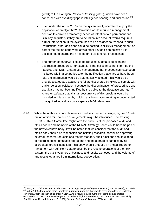(2004) to the Flanagan *Review of Policing* (2008), which have been concerned with avoiding 'gaps in intelligence sharing' and duplication.<sup>341</sup>

- Even under the Act of 2010 can the system really operate chiefly by the application of an algorithm? Conviction would require a management decision to convert a temporary period of retention to a permanent one. Similarly acquittals, if they are to be taken into account, would require a further intervention. If the system has to be designed to respond to such instructions, other decisions could be notified to NDNAD management, as part of the routine paperwork at two other key decision points: if it is decided not to charge the arrestee or to discontinue proceedings.
- The burden of paperwork could be reduced by default deletion and destruction procedures. For example, if the police have not informed the NDNAD and IDENT1 database management that proceedings have been instituted within a set period after the notification that charges have been laid, the information would be automatically deleted. This would also provide a safeguard against the failure discovered by HMIC to comply with earlier deletion legislation because the discontinuation of proceedings and acquittals had not been notified by the police to the database operator.<sup>342</sup> A further safeguard against a reoccurrence of this problem would be provided in this respect by holding any information relating to unconvicted or acquitted individuals on a separate MOPI database.
- 6.46. While the authors cannot claim any expertise in systems design, Figure 6.1 sets out an option for how such arrangements might be introduced. The existing NDNAD Ethics Committee might form the nucleus of the proposed audit and ethics board and members of the NDNAD Strategy Board would become part of the new executive body. It will be noted that we consider that the audit and ethics body should be responsible for initiating research, as well as approving external research requests and that its statutory audit functions should extend to record keeping, database operations and the storage of samples by all accredited forensic suppliers. This body should produce an annual report for Parliament with sufficient data to describe the routine operations of the new system, the basis volumes of business and results achieved, and the volume of and results obtained from international cooperation.

<sup>341</sup> Muir, R. (2009) Arrested Development: Unlocking change in the police service (London, IPPR), pp. 33-34. <sup>342</sup> In the 1990s there were major problems in removing profiles that should have been deleted under the current law from the then quite small NDNAD. As a result, a large number of samples and profiles – estimated at 50,000 but acknowledged to be perhaps higher - were being held on the NDNAD unlawfully. See Williams, R., and Johnson, P. (2008) *Genetic Policing* (Cullompton: Willan), p. 84.